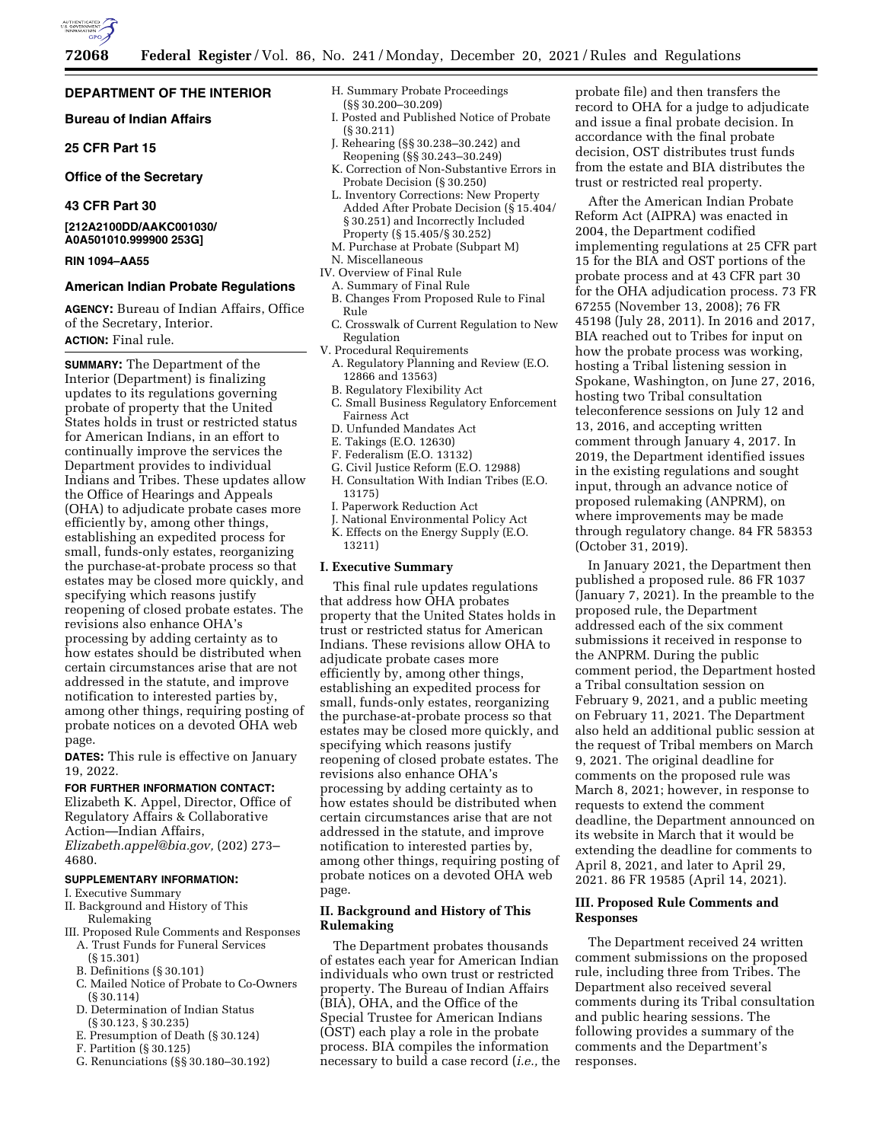

## **DEPARTMENT OF THE INTERIOR**

## **Bureau of Indian Affairs**

**25 CFR Part 15** 

## **Office of the Secretary**

## **43 CFR Part 30**

**[212A2100DD/AAKC001030/ A0A501010.999900 253G]** 

### **RIN 1094–AA55**

## **American Indian Probate Regulations**

**AGENCY:** Bureau of Indian Affairs, Office of the Secretary, Interior. **ACTION:** Final rule.

**SUMMARY:** The Department of the Interior (Department) is finalizing updates to its regulations governing probate of property that the United States holds in trust or restricted status for American Indians, in an effort to continually improve the services the Department provides to individual Indians and Tribes. These updates allow the Office of Hearings and Appeals (OHA) to adjudicate probate cases more efficiently by, among other things, establishing an expedited process for small, funds-only estates, reorganizing the purchase-at-probate process so that estates may be closed more quickly, and specifying which reasons justify reopening of closed probate estates. The revisions also enhance OHA's processing by adding certainty as to how estates should be distributed when certain circumstances arise that are not addressed in the statute, and improve notification to interested parties by, among other things, requiring posting of probate notices on a devoted OHA web page.

**DATES:** This rule is effective on January 19, 2022.

#### **FOR FURTHER INFORMATION CONTACT:**

Elizabeth K. Appel, Director, Office of Regulatory Affairs & Collaborative Action—Indian Affairs, *[Elizabeth.appel@bia.gov,](mailto:Elizabeth.appel@bia.gov)* (202) 273–

4680.

## **SUPPLEMENTARY INFORMATION:**

- I. Executive Summary
- II. Background and History of This Rulemaking
- III. Proposed Rule Comments and Responses A. Trust Funds for Funeral Services (§ 15.301)
	- B. Definitions (§ 30.101)
	- C. Mailed Notice of Probate to Co-Owners (§ 30.114)
	- D. Determination of Indian Status (§ 30.123, § 30.235)
	- E. Presumption of Death (§ 30.124)
	- F. Partition (§ 30.125)
	- G. Renunciations (§§ 30.180–30.192)
- H. Summary Probate Proceedings (§§ 30.200–30.209)
- I. Posted and Published Notice of Probate (§ 30.211)
- J. Rehearing (§§ 30.238–30.242) and Reopening (§§ 30.243–30.249)
- K. Correction of Non-Substantive Errors in Probate Decision (§ 30.250)
- L. Inventory Corrections: New Property Added After Probate Decision (§ 15.404/ § 30.251) and Incorrectly Included Property (§ 15.405/§ 30.252)
- M. Purchase at Probate (Subpart M) N. Miscellaneous
- IV. Overview of Final Rule
- A. Summary of Final Rule
	- B. Changes From Proposed Rule to Final Rule
	- C. Crosswalk of Current Regulation to New Regulation
- V. Procedural Requirements
- A. Regulatory Planning and Review (E.O. 12866 and 13563)
- B. Regulatory Flexibility Act
- C. Small Business Regulatory Enforcement Fairness Act
- D. Unfunded Mandates Act
- E. Takings (E.O. 12630)
- F. Federalism (E.O. 13132)
- G. Civil Justice Reform (E.O. 12988)
- H. Consultation With Indian Tribes (E.O. 13175)
- I. Paperwork Reduction Act
- J. National Environmental Policy Act
- K. Effects on the Energy Supply (E.O. 13211)

#### **I. Executive Summary**

This final rule updates regulations that address how OHA probates property that the United States holds in trust or restricted status for American Indians. These revisions allow OHA to adjudicate probate cases more efficiently by, among other things, establishing an expedited process for small, funds-only estates, reorganizing the purchase-at-probate process so that estates may be closed more quickly, and specifying which reasons justify reopening of closed probate estates. The revisions also enhance OHA's processing by adding certainty as to how estates should be distributed when certain circumstances arise that are not addressed in the statute, and improve notification to interested parties by, among other things, requiring posting of probate notices on a devoted OHA web page.

## **II. Background and History of This Rulemaking**

The Department probates thousands of estates each year for American Indian individuals who own trust or restricted property. The Bureau of Indian Affairs (BIA), OHA, and the Office of the Special Trustee for American Indians (OST) each play a role in the probate process. BIA compiles the information necessary to build a case record (*i.e.,* the probate file) and then transfers the record to OHA for a judge to adjudicate and issue a final probate decision. In accordance with the final probate decision, OST distributes trust funds from the estate and BIA distributes the trust or restricted real property.

After the American Indian Probate Reform Act (AIPRA) was enacted in 2004, the Department codified implementing regulations at 25 CFR part 15 for the BIA and OST portions of the probate process and at 43 CFR part 30 for the OHA adjudication process. 73 FR 67255 (November 13, 2008); 76 FR 45198 (July 28, 2011). In 2016 and 2017, BIA reached out to Tribes for input on how the probate process was working, hosting a Tribal listening session in Spokane, Washington, on June 27, 2016, hosting two Tribal consultation teleconference sessions on July 12 and 13, 2016, and accepting written comment through January 4, 2017. In 2019, the Department identified issues in the existing regulations and sought input, through an advance notice of proposed rulemaking (ANPRM), on where improvements may be made through regulatory change. 84 FR 58353 (October 31, 2019).

In January 2021, the Department then published a proposed rule. 86 FR 1037 (January 7, 2021). In the preamble to the proposed rule, the Department addressed each of the six comment submissions it received in response to the ANPRM. During the public comment period, the Department hosted a Tribal consultation session on February 9, 2021, and a public meeting on February 11, 2021. The Department also held an additional public session at the request of Tribal members on March 9, 2021. The original deadline for comments on the proposed rule was March 8, 2021; however, in response to requests to extend the comment deadline, the Department announced on its website in March that it would be extending the deadline for comments to April 8, 2021, and later to April 29, 2021. 86 FR 19585 (April 14, 2021).

## **III. Proposed Rule Comments and Responses**

The Department received 24 written comment submissions on the proposed rule, including three from Tribes. The Department also received several comments during its Tribal consultation and public hearing sessions. The following provides a summary of the comments and the Department's responses.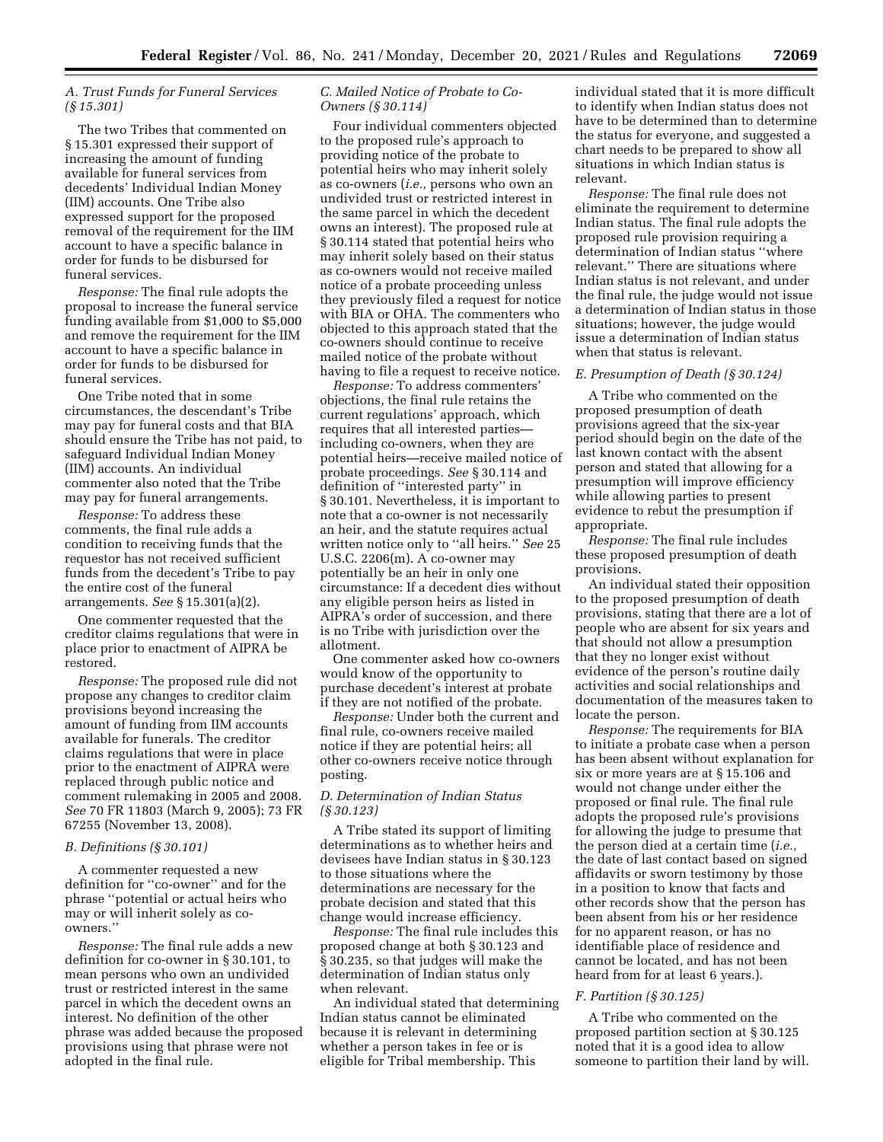## *A. Trust Funds for Funeral Services (§ 15.301)*

The two Tribes that commented on § 15.301 expressed their support of increasing the amount of funding available for funeral services from decedents' Individual Indian Money (IIM) accounts. One Tribe also expressed support for the proposed removal of the requirement for the IIM account to have a specific balance in order for funds to be disbursed for funeral services.

*Response:* The final rule adopts the proposal to increase the funeral service funding available from \$1,000 to \$5,000 and remove the requirement for the IIM account to have a specific balance in order for funds to be disbursed for funeral services.

One Tribe noted that in some circumstances, the descendant's Tribe may pay for funeral costs and that BIA should ensure the Tribe has not paid, to safeguard Individual Indian Money (IIM) accounts. An individual commenter also noted that the Tribe may pay for funeral arrangements.

*Response:* To address these comments, the final rule adds a condition to receiving funds that the requestor has not received sufficient funds from the decedent's Tribe to pay the entire cost of the funeral arrangements. *See* § 15.301(a)(2).

One commenter requested that the creditor claims regulations that were in place prior to enactment of AIPRA be restored.

*Response:* The proposed rule did not propose any changes to creditor claim provisions beyond increasing the amount of funding from IIM accounts available for funerals. The creditor claims regulations that were in place prior to the enactment of AIPRA were replaced through public notice and comment rulemaking in 2005 and 2008. *See* 70 FR 11803 (March 9, 2005); 73 FR 67255 (November 13, 2008).

### *B. Definitions (§ 30.101)*

A commenter requested a new definition for ''co-owner'' and for the phrase ''potential or actual heirs who may or will inherit solely as coowners.''

*Response:* The final rule adds a new definition for co-owner in § 30.101, to mean persons who own an undivided trust or restricted interest in the same parcel in which the decedent owns an interest. No definition of the other phrase was added because the proposed provisions using that phrase were not adopted in the final rule.

## *C. Mailed Notice of Probate to Co-Owners (§ 30.114)*

Four individual commenters objected to the proposed rule's approach to providing notice of the probate to potential heirs who may inherit solely as co-owners (*i.e.,* persons who own an undivided trust or restricted interest in the same parcel in which the decedent owns an interest). The proposed rule at § 30.114 stated that potential heirs who may inherit solely based on their status as co-owners would not receive mailed notice of a probate proceeding unless they previously filed a request for notice with BIA or OHA. The commenters who objected to this approach stated that the co-owners should continue to receive mailed notice of the probate without having to file a request to receive notice.

*Response:* To address commenters' objections, the final rule retains the current regulations' approach, which requires that all interested parties including co-owners, when they are potential heirs—receive mailed notice of probate proceedings. *See* § 30.114 and definition of ''interested party'' in § 30.101. Nevertheless, it is important to note that a co-owner is not necessarily an heir, and the statute requires actual written notice only to ''all heirs.'' *See* 25 U.S.C. 2206(m). A co-owner may potentially be an heir in only one circumstance: If a decedent dies without any eligible person heirs as listed in AIPRA's order of succession, and there is no Tribe with jurisdiction over the allotment.

One commenter asked how co-owners would know of the opportunity to purchase decedent's interest at probate if they are not notified of the probate.

*Response:* Under both the current and final rule, co-owners receive mailed notice if they are potential heirs; all other co-owners receive notice through posting.

## *D. Determination of Indian Status (§ 30.123)*

A Tribe stated its support of limiting determinations as to whether heirs and devisees have Indian status in § 30.123 to those situations where the determinations are necessary for the probate decision and stated that this change would increase efficiency.

*Response:* The final rule includes this proposed change at both § 30.123 and § 30.235, so that judges will make the determination of Indian status only when relevant.

An individual stated that determining Indian status cannot be eliminated because it is relevant in determining whether a person takes in fee or is eligible for Tribal membership. This

individual stated that it is more difficult to identify when Indian status does not have to be determined than to determine the status for everyone, and suggested a chart needs to be prepared to show all situations in which Indian status is relevant.

*Response:* The final rule does not eliminate the requirement to determine Indian status. The final rule adopts the proposed rule provision requiring a determination of Indian status ''where relevant.'' There are situations where Indian status is not relevant, and under the final rule, the judge would not issue a determination of Indian status in those situations; however, the judge would issue a determination of Indian status when that status is relevant.

#### *E. Presumption of Death (§ 30.124)*

A Tribe who commented on the proposed presumption of death provisions agreed that the six-year period should begin on the date of the last known contact with the absent person and stated that allowing for a presumption will improve efficiency while allowing parties to present evidence to rebut the presumption if appropriate.

*Response:* The final rule includes these proposed presumption of death provisions.

An individual stated their opposition to the proposed presumption of death provisions, stating that there are a lot of people who are absent for six years and that should not allow a presumption that they no longer exist without evidence of the person's routine daily activities and social relationships and documentation of the measures taken to locate the person.

*Response:* The requirements for BIA to initiate a probate case when a person has been absent without explanation for six or more years are at § 15.106 and would not change under either the proposed or final rule. The final rule adopts the proposed rule's provisions for allowing the judge to presume that the person died at a certain time (*i.e.,*  the date of last contact based on signed affidavits or sworn testimony by those in a position to know that facts and other records show that the person has been absent from his or her residence for no apparent reason, or has no identifiable place of residence and cannot be located, and has not been heard from for at least 6 years.).

#### *F. Partition (§ 30.125)*

A Tribe who commented on the proposed partition section at § 30.125 noted that it is a good idea to allow someone to partition their land by will.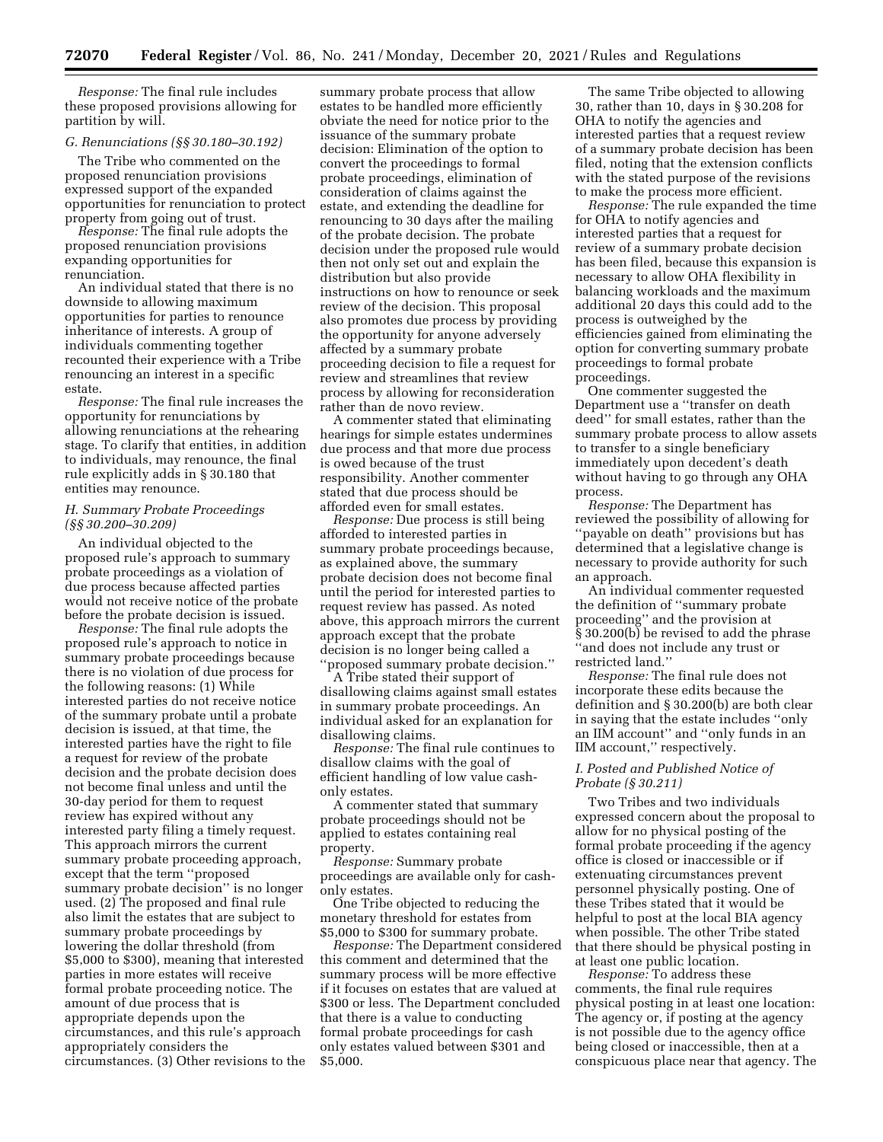*Response:* The final rule includes these proposed provisions allowing for partition by will.

## *G. Renunciations (§§ 30.180–30.192)*

The Tribe who commented on the proposed renunciation provisions expressed support of the expanded opportunities for renunciation to protect property from going out of trust.

*Response:* The final rule adopts the proposed renunciation provisions expanding opportunities for renunciation.

An individual stated that there is no downside to allowing maximum opportunities for parties to renounce inheritance of interests. A group of individuals commenting together recounted their experience with a Tribe renouncing an interest in a specific estate.

*Response:* The final rule increases the opportunity for renunciations by allowing renunciations at the rehearing stage. To clarify that entities, in addition to individuals, may renounce, the final rule explicitly adds in § 30.180 that entities may renounce.

## *H. Summary Probate Proceedings (§§ 30.200–30.209)*

An individual objected to the proposed rule's approach to summary probate proceedings as a violation of due process because affected parties would not receive notice of the probate before the probate decision is issued.

*Response:* The final rule adopts the proposed rule's approach to notice in summary probate proceedings because there is no violation of due process for the following reasons: (1) While interested parties do not receive notice of the summary probate until a probate decision is issued, at that time, the interested parties have the right to file a request for review of the probate decision and the probate decision does not become final unless and until the 30-day period for them to request review has expired without any interested party filing a timely request. This approach mirrors the current summary probate proceeding approach, except that the term ''proposed summary probate decision'' is no longer used. (2) The proposed and final rule also limit the estates that are subject to summary probate proceedings by lowering the dollar threshold (from \$5,000 to \$300), meaning that interested parties in more estates will receive formal probate proceeding notice. The amount of due process that is appropriate depends upon the circumstances, and this rule's approach appropriately considers the circumstances. (3) Other revisions to the

summary probate process that allow estates to be handled more efficiently obviate the need for notice prior to the issuance of the summary probate decision: Elimination of the option to convert the proceedings to formal probate proceedings, elimination of consideration of claims against the estate, and extending the deadline for renouncing to 30 days after the mailing of the probate decision. The probate decision under the proposed rule would then not only set out and explain the distribution but also provide instructions on how to renounce or seek review of the decision. This proposal also promotes due process by providing the opportunity for anyone adversely affected by a summary probate proceeding decision to file a request for review and streamlines that review process by allowing for reconsideration rather than de novo review.

A commenter stated that eliminating hearings for simple estates undermines due process and that more due process is owed because of the trust responsibility. Another commenter stated that due process should be afforded even for small estates.

*Response:* Due process is still being afforded to interested parties in summary probate proceedings because, as explained above, the summary probate decision does not become final until the period for interested parties to request review has passed. As noted above, this approach mirrors the current approach except that the probate decision is no longer being called a ''proposed summary probate decision.''

A Tribe stated their support of disallowing claims against small estates in summary probate proceedings. An individual asked for an explanation for disallowing claims.

*Response:* The final rule continues to disallow claims with the goal of efficient handling of low value cashonly estates.

A commenter stated that summary probate proceedings should not be applied to estates containing real property.

*Response:* Summary probate proceedings are available only for cashonly estates.

One Tribe objected to reducing the monetary threshold for estates from \$5,000 to \$300 for summary probate.

*Response:* The Department considered this comment and determined that the summary process will be more effective if it focuses on estates that are valued at \$300 or less. The Department concluded that there is a value to conducting formal probate proceedings for cash only estates valued between \$301 and \$5,000.

The same Tribe objected to allowing 30, rather than 10, days in § 30.208 for OHA to notify the agencies and interested parties that a request review of a summary probate decision has been filed, noting that the extension conflicts with the stated purpose of the revisions to make the process more efficient.

*Response:* The rule expanded the time for OHA to notify agencies and interested parties that a request for review of a summary probate decision has been filed, because this expansion is necessary to allow OHA flexibility in balancing workloads and the maximum additional 20 days this could add to the process is outweighed by the efficiencies gained from eliminating the option for converting summary probate proceedings to formal probate proceedings.

One commenter suggested the Department use a ''transfer on death deed'' for small estates, rather than the summary probate process to allow assets to transfer to a single beneficiary immediately upon decedent's death without having to go through any OHA process.

*Response:* The Department has reviewed the possibility of allowing for ''payable on death'' provisions but has determined that a legislative change is necessary to provide authority for such an approach.

An individual commenter requested the definition of ''summary probate proceeding'' and the provision at § 30.200(b) be revised to add the phrase ''and does not include any trust or restricted land.''

*Response:* The final rule does not incorporate these edits because the definition and § 30.200(b) are both clear in saying that the estate includes ''only an IIM account'' and ''only funds in an IIM account,'' respectively.

## *I. Posted and Published Notice of Probate (§ 30.211)*

Two Tribes and two individuals expressed concern about the proposal to allow for no physical posting of the formal probate proceeding if the agency office is closed or inaccessible or if extenuating circumstances prevent personnel physically posting. One of these Tribes stated that it would be helpful to post at the local BIA agency when possible. The other Tribe stated that there should be physical posting in at least one public location.

*Response:* To address these comments, the final rule requires physical posting in at least one location: The agency or, if posting at the agency is not possible due to the agency office being closed or inaccessible, then at a conspicuous place near that agency. The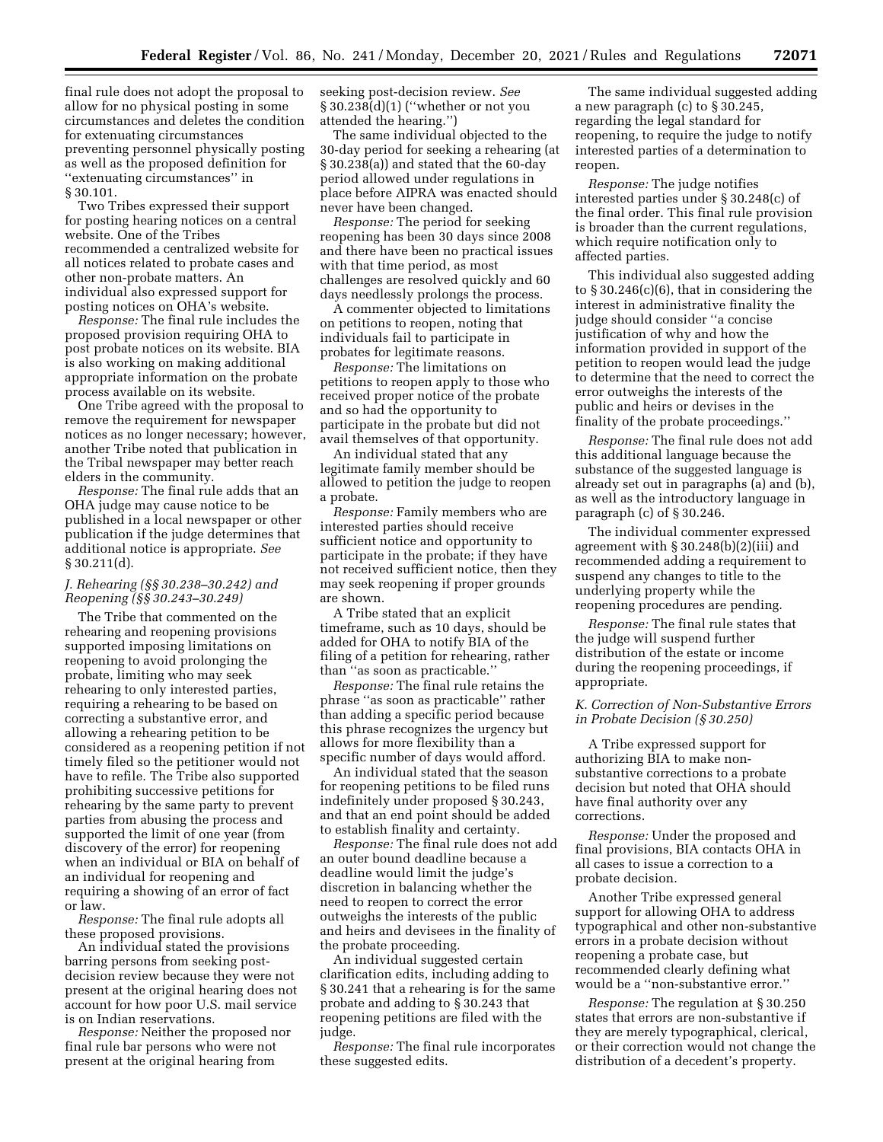final rule does not adopt the proposal to allow for no physical posting in some circumstances and deletes the condition for extenuating circumstances preventing personnel physically posting as well as the proposed definition for ''extenuating circumstances'' in § 30.101.

Two Tribes expressed their support for posting hearing notices on a central website. One of the Tribes recommended a centralized website for all notices related to probate cases and other non-probate matters. An individual also expressed support for posting notices on OHA's website.

*Response:* The final rule includes the proposed provision requiring OHA to post probate notices on its website. BIA is also working on making additional appropriate information on the probate process available on its website.

One Tribe agreed with the proposal to remove the requirement for newspaper notices as no longer necessary; however, another Tribe noted that publication in the Tribal newspaper may better reach elders in the community.

*Response:* The final rule adds that an OHA judge may cause notice to be published in a local newspaper or other publication if the judge determines that additional notice is appropriate. *See*  § 30.211(d).

## *J. Rehearing (§§ 30.238–30.242) and Reopening (§§ 30.243–30.249)*

The Tribe that commented on the rehearing and reopening provisions supported imposing limitations on reopening to avoid prolonging the probate, limiting who may seek rehearing to only interested parties, requiring a rehearing to be based on correcting a substantive error, and allowing a rehearing petition to be considered as a reopening petition if not timely filed so the petitioner would not have to refile. The Tribe also supported prohibiting successive petitions for rehearing by the same party to prevent parties from abusing the process and supported the limit of one year (from discovery of the error) for reopening when an individual or BIA on behalf of an individual for reopening and requiring a showing of an error of fact or law.

*Response:* The final rule adopts all these proposed provisions.

An individual stated the provisions barring persons from seeking postdecision review because they were not present at the original hearing does not account for how poor U.S. mail service is on Indian reservations.

*Response:* Neither the proposed nor final rule bar persons who were not present at the original hearing from

seeking post-decision review. *See*  § 30.238(d)(1) (''whether or not you attended the hearing.'')

The same individual objected to the 30-day period for seeking a rehearing (at § 30.238(a)) and stated that the 60-day period allowed under regulations in place before AIPRA was enacted should never have been changed.

*Response:* The period for seeking reopening has been 30 days since 2008 and there have been no practical issues with that time period, as most challenges are resolved quickly and 60 days needlessly prolongs the process.

A commenter objected to limitations on petitions to reopen, noting that individuals fail to participate in probates for legitimate reasons.

*Response:* The limitations on petitions to reopen apply to those who received proper notice of the probate and so had the opportunity to participate in the probate but did not avail themselves of that opportunity.

An individual stated that any legitimate family member should be allowed to petition the judge to reopen a probate.

*Response:* Family members who are interested parties should receive sufficient notice and opportunity to participate in the probate; if they have not received sufficient notice, then they may seek reopening if proper grounds are shown.

A Tribe stated that an explicit timeframe, such as 10 days, should be added for OHA to notify BIA of the filing of a petition for rehearing, rather than ''as soon as practicable.''

*Response:* The final rule retains the phrase ''as soon as practicable'' rather than adding a specific period because this phrase recognizes the urgency but allows for more flexibility than a specific number of days would afford.

An individual stated that the season for reopening petitions to be filed runs indefinitely under proposed § 30.243, and that an end point should be added to establish finality and certainty.

*Response:* The final rule does not add an outer bound deadline because a deadline would limit the judge's discretion in balancing whether the need to reopen to correct the error outweighs the interests of the public and heirs and devisees in the finality of the probate proceeding.

An individual suggested certain clarification edits, including adding to § 30.241 that a rehearing is for the same probate and adding to § 30.243 that reopening petitions are filed with the judge.

*Response:* The final rule incorporates these suggested edits.

The same individual suggested adding a new paragraph (c) to § 30.245, regarding the legal standard for reopening, to require the judge to notify interested parties of a determination to reopen.

*Response:* The judge notifies interested parties under § 30.248(c) of the final order. This final rule provision is broader than the current regulations, which require notification only to affected parties.

This individual also suggested adding to § 30.246(c)(6), that in considering the interest in administrative finality the judge should consider ''a concise justification of why and how the information provided in support of the petition to reopen would lead the judge to determine that the need to correct the error outweighs the interests of the public and heirs or devises in the finality of the probate proceedings.''

*Response:* The final rule does not add this additional language because the substance of the suggested language is already set out in paragraphs (a) and (b), as well as the introductory language in paragraph (c) of § 30.246.

The individual commenter expressed agreement with § 30.248(b)(2)(iii) and recommended adding a requirement to suspend any changes to title to the underlying property while the reopening procedures are pending.

*Response:* The final rule states that the judge will suspend further distribution of the estate or income during the reopening proceedings, if appropriate.

## *K. Correction of Non-Substantive Errors in Probate Decision (§ 30.250)*

A Tribe expressed support for authorizing BIA to make nonsubstantive corrections to a probate decision but noted that OHA should have final authority over any corrections.

*Response:* Under the proposed and final provisions, BIA contacts OHA in all cases to issue a correction to a probate decision.

Another Tribe expressed general support for allowing OHA to address typographical and other non-substantive errors in a probate decision without reopening a probate case, but recommended clearly defining what would be a ''non-substantive error.''

*Response:* The regulation at § 30.250 states that errors are non-substantive if they are merely typographical, clerical, or their correction would not change the distribution of a decedent's property.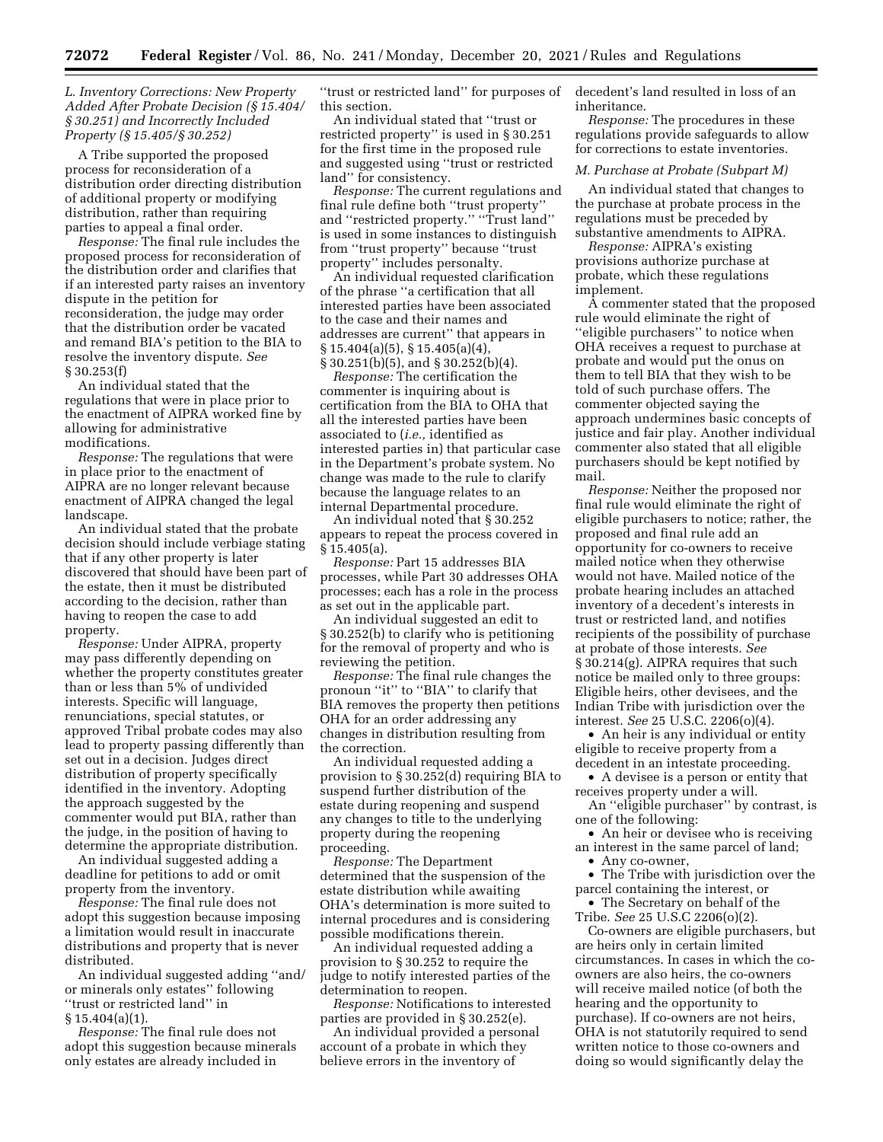*L. Inventory Corrections: New Property Added After Probate Decision (§ 15.404/ § 30.251) and Incorrectly Included Property (§ 15.405/§ 30.252)* 

A Tribe supported the proposed process for reconsideration of a distribution order directing distribution of additional property or modifying distribution, rather than requiring parties to appeal a final order.

*Response:* The final rule includes the proposed process for reconsideration of the distribution order and clarifies that if an interested party raises an inventory dispute in the petition for reconsideration, the judge may order that the distribution order be vacated and remand BIA's petition to the BIA to resolve the inventory dispute. *See*  § 30.253(f)

An individual stated that the regulations that were in place prior to the enactment of AIPRA worked fine by allowing for administrative modifications.

*Response:* The regulations that were in place prior to the enactment of AIPRA are no longer relevant because enactment of AIPRA changed the legal landscape.

An individual stated that the probate decision should include verbiage stating that if any other property is later discovered that should have been part of the estate, then it must be distributed according to the decision, rather than having to reopen the case to add property.

*Response:* Under AIPRA, property may pass differently depending on whether the property constitutes greater than or less than 5% of undivided interests. Specific will language, renunciations, special statutes, or approved Tribal probate codes may also lead to property passing differently than set out in a decision. Judges direct distribution of property specifically identified in the inventory. Adopting the approach suggested by the commenter would put BIA, rather than the judge, in the position of having to determine the appropriate distribution.

An individual suggested adding a deadline for petitions to add or omit property from the inventory.

*Response:* The final rule does not adopt this suggestion because imposing a limitation would result in inaccurate distributions and property that is never distributed.

An individual suggested adding ''and/ or minerals only estates'' following ''trust or restricted land'' in § 15.404(a)(1).

*Response:* The final rule does not adopt this suggestion because minerals only estates are already included in

''trust or restricted land'' for purposes of this section.

An individual stated that ''trust or restricted property'' is used in § 30.251 for the first time in the proposed rule and suggested using ''trust or restricted land'' for consistency.

*Response:* The current regulations and final rule define both ''trust property'' and ''restricted property.'' ''Trust land'' is used in some instances to distinguish from ''trust property'' because ''trust property'' includes personalty.

An individual requested clarification of the phrase ''a certification that all interested parties have been associated to the case and their names and addresses are current'' that appears in  $\S 15.404(a)(5), \S 15.405(a)(4)$ § 30.251(b)(5), and § 30.252(b)(4).

*Response:* The certification the commenter is inquiring about is certification from the BIA to OHA that all the interested parties have been associated to (*i.e.,* identified as interested parties in) that particular case in the Department's probate system. No change was made to the rule to clarify because the language relates to an internal Departmental procedure.

An individual noted that § 30.252 appears to repeat the process covered in § 15.405(a).

*Response:* Part 15 addresses BIA processes, while Part 30 addresses OHA processes; each has a role in the process as set out in the applicable part.

An individual suggested an edit to § 30.252(b) to clarify who is petitioning for the removal of property and who is reviewing the petition.

*Response:* The final rule changes the pronoun "it" to "BIA" to clarify that BIA removes the property then petitions OHA for an order addressing any changes in distribution resulting from the correction.

An individual requested adding a provision to § 30.252(d) requiring BIA to suspend further distribution of the estate during reopening and suspend any changes to title to the underlying property during the reopening proceeding.

*Response:* The Department determined that the suspension of the estate distribution while awaiting OHA's determination is more suited to internal procedures and is considering possible modifications therein.

An individual requested adding a provision to § 30.252 to require the judge to notify interested parties of the determination to reopen.

*Response:* Notifications to interested parties are provided in § 30.252(e).

An individual provided a personal account of a probate in which they believe errors in the inventory of

decedent's land resulted in loss of an inheritance.

*Response:* The procedures in these regulations provide safeguards to allow for corrections to estate inventories.

#### *M. Purchase at Probate (Subpart M)*

An individual stated that changes to the purchase at probate process in the regulations must be preceded by substantive amendments to AIPRA.

*Response:* AIPRA's existing provisions authorize purchase at probate, which these regulations implement.

A commenter stated that the proposed rule would eliminate the right of ''eligible purchasers'' to notice when OHA receives a request to purchase at probate and would put the onus on them to tell BIA that they wish to be told of such purchase offers. The commenter objected saying the approach undermines basic concepts of justice and fair play. Another individual commenter also stated that all eligible purchasers should be kept notified by mail.

*Response:* Neither the proposed nor final rule would eliminate the right of eligible purchasers to notice; rather, the proposed and final rule add an opportunity for co-owners to receive mailed notice when they otherwise would not have. Mailed notice of the probate hearing includes an attached inventory of a decedent's interests in trust or restricted land, and notifies recipients of the possibility of purchase at probate of those interests. *See*  § 30.214(g). AIPRA requires that such notice be mailed only to three groups: Eligible heirs, other devisees, and the Indian Tribe with jurisdiction over the interest. *See* 25 U.S.C. 2206(o)(4).

• An heir is any individual or entity eligible to receive property from a decedent in an intestate proceeding.

• A devisee is a person or entity that receives property under a will.

An ''eligible purchaser'' by contrast, is one of the following:

• An heir or devisee who is receiving an interest in the same parcel of land;

• Any co-owner,

• The Tribe with jurisdiction over the parcel containing the interest, or

• The Secretary on behalf of the Tribe. *See* 25 U.S.C 2206(o)(2).

Co-owners are eligible purchasers, but are heirs only in certain limited circumstances. In cases in which the coowners are also heirs, the co-owners will receive mailed notice (of both the hearing and the opportunity to purchase). If co-owners are not heirs, OHA is not statutorily required to send written notice to those co-owners and doing so would significantly delay the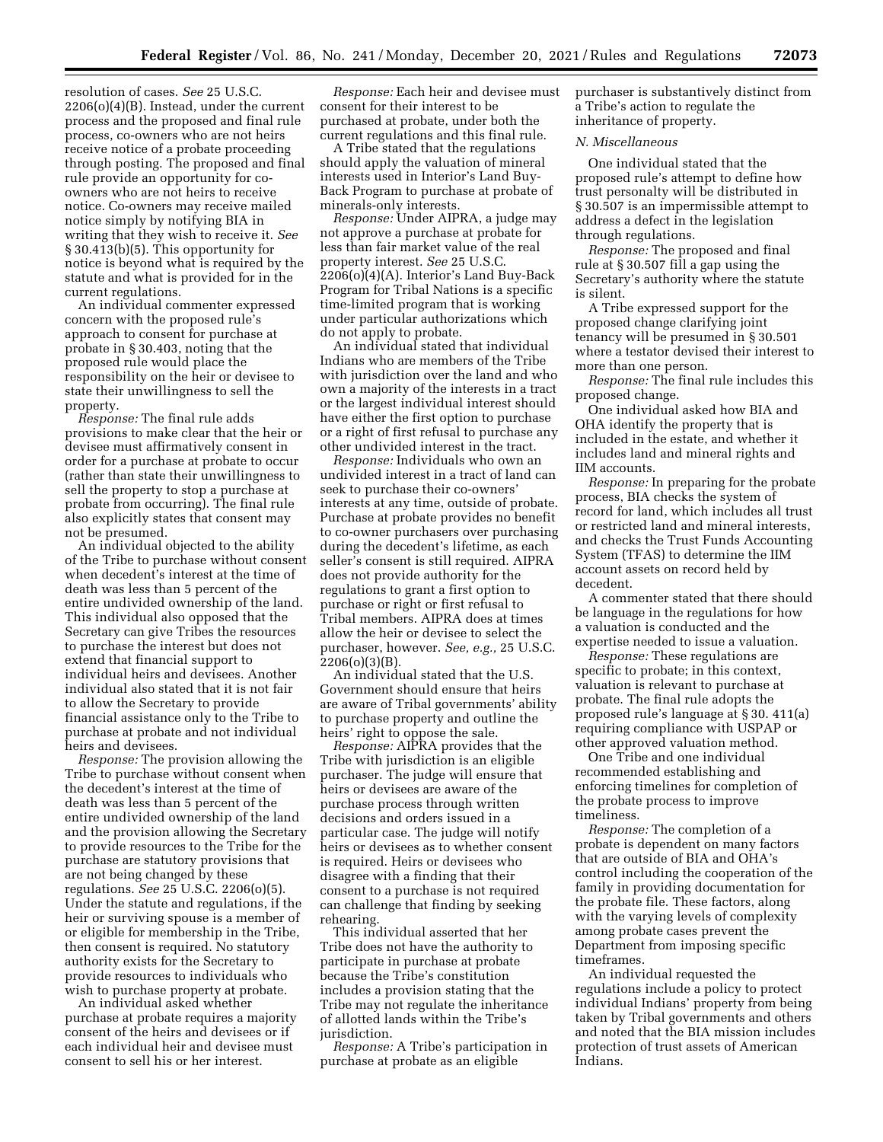resolution of cases. *See* 25 U.S.C. 2206(o)(4)(B). Instead, under the current process and the proposed and final rule process, co-owners who are not heirs receive notice of a probate proceeding through posting. The proposed and final rule provide an opportunity for coowners who are not heirs to receive notice. Co-owners may receive mailed notice simply by notifying BIA in writing that they wish to receive it. *See*  § 30.413(b)(5). This opportunity for notice is beyond what is required by the statute and what is provided for in the current regulations.

An individual commenter expressed concern with the proposed rule's approach to consent for purchase at probate in § 30.403, noting that the proposed rule would place the responsibility on the heir or devisee to state their unwillingness to sell the property.

*Response:* The final rule adds provisions to make clear that the heir or devisee must affirmatively consent in order for a purchase at probate to occur (rather than state their unwillingness to sell the property to stop a purchase at probate from occurring). The final rule also explicitly states that consent may not be presumed.

An individual objected to the ability of the Tribe to purchase without consent when decedent's interest at the time of death was less than 5 percent of the entire undivided ownership of the land. This individual also opposed that the Secretary can give Tribes the resources to purchase the interest but does not extend that financial support to individual heirs and devisees. Another individual also stated that it is not fair to allow the Secretary to provide financial assistance only to the Tribe to purchase at probate and not individual heirs and devisees.

*Response:* The provision allowing the Tribe to purchase without consent when the decedent's interest at the time of death was less than 5 percent of the entire undivided ownership of the land and the provision allowing the Secretary to provide resources to the Tribe for the purchase are statutory provisions that are not being changed by these regulations. *See* 25 U.S.C. 2206(o)(5). Under the statute and regulations, if the heir or surviving spouse is a member of or eligible for membership in the Tribe, then consent is required. No statutory authority exists for the Secretary to provide resources to individuals who wish to purchase property at probate.

An individual asked whether purchase at probate requires a majority consent of the heirs and devisees or if each individual heir and devisee must consent to sell his or her interest.

*Response:* Each heir and devisee must consent for their interest to be purchased at probate, under both the current regulations and this final rule.

A Tribe stated that the regulations should apply the valuation of mineral interests used in Interior's Land Buy-Back Program to purchase at probate of minerals-only interests.

*Response:* Under AIPRA, a judge may not approve a purchase at probate for less than fair market value of the real property interest. *See* 25 U.S.C. 2206(o)(4)(A). Interior's Land Buy-Back Program for Tribal Nations is a specific time-limited program that is working under particular authorizations which do not apply to probate.

An individual stated that individual Indians who are members of the Tribe with jurisdiction over the land and who own a majority of the interests in a tract or the largest individual interest should have either the first option to purchase or a right of first refusal to purchase any other undivided interest in the tract.

*Response:* Individuals who own an undivided interest in a tract of land can seek to purchase their co-owners' interests at any time, outside of probate. Purchase at probate provides no benefit to co-owner purchasers over purchasing during the decedent's lifetime, as each seller's consent is still required. AIPRA does not provide authority for the regulations to grant a first option to purchase or right or first refusal to Tribal members. AIPRA does at times allow the heir or devisee to select the purchaser, however. *See, e.g.,* 25 U.S.C. 2206(o)(3)(B).

An individual stated that the U.S. Government should ensure that heirs are aware of Tribal governments' ability to purchase property and outline the heirs' right to oppose the sale.

*Response:* AIPRA provides that the Tribe with jurisdiction is an eligible purchaser. The judge will ensure that heirs or devisees are aware of the purchase process through written decisions and orders issued in a particular case. The judge will notify heirs or devisees as to whether consent is required. Heirs or devisees who disagree with a finding that their consent to a purchase is not required can challenge that finding by seeking rehearing.

This individual asserted that her Tribe does not have the authority to participate in purchase at probate because the Tribe's constitution includes a provision stating that the Tribe may not regulate the inheritance of allotted lands within the Tribe's jurisdiction.

*Response:* A Tribe's participation in purchase at probate as an eligible

purchaser is substantively distinct from a Tribe's action to regulate the inheritance of property.

## *N. Miscellaneous*

One individual stated that the proposed rule's attempt to define how trust personalty will be distributed in § 30.507 is an impermissible attempt to address a defect in the legislation through regulations.

*Response:* The proposed and final rule at § 30.507 fill a gap using the Secretary's authority where the statute is silent.

A Tribe expressed support for the proposed change clarifying joint tenancy will be presumed in § 30.501 where a testator devised their interest to more than one person.

*Response:* The final rule includes this proposed change.

One individual asked how BIA and OHA identify the property that is included in the estate, and whether it includes land and mineral rights and IIM accounts.

*Response:* In preparing for the probate process, BIA checks the system of record for land, which includes all trust or restricted land and mineral interests, and checks the Trust Funds Accounting System (TFAS) to determine the IIM account assets on record held by decedent.

A commenter stated that there should be language in the regulations for how a valuation is conducted and the expertise needed to issue a valuation.

*Response:* These regulations are specific to probate; in this context, valuation is relevant to purchase at probate. The final rule adopts the proposed rule's language at § 30. 411(a) requiring compliance with USPAP or other approved valuation method.

One Tribe and one individual recommended establishing and enforcing timelines for completion of the probate process to improve timeliness.

*Response:* The completion of a probate is dependent on many factors that are outside of BIA and OHA's control including the cooperation of the family in providing documentation for the probate file. These factors, along with the varying levels of complexity among probate cases prevent the Department from imposing specific timeframes.

An individual requested the regulations include a policy to protect individual Indians' property from being taken by Tribal governments and others and noted that the BIA mission includes protection of trust assets of American Indians.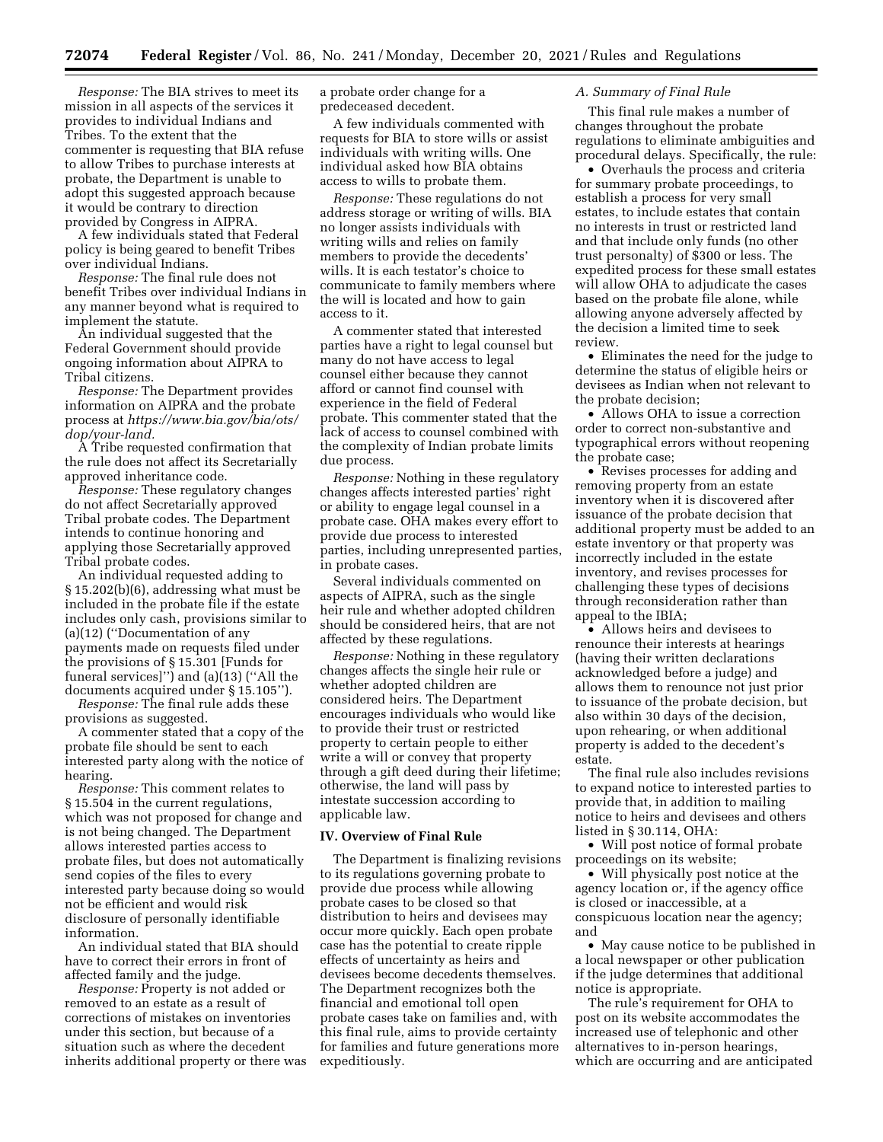*Response:* The BIA strives to meet its mission in all aspects of the services it provides to individual Indians and Tribes. To the extent that the commenter is requesting that BIA refuse to allow Tribes to purchase interests at probate, the Department is unable to adopt this suggested approach because it would be contrary to direction provided by Congress in AIPRA.

A few individuals stated that Federal policy is being geared to benefit Tribes over individual Indians.

*Response:* The final rule does not benefit Tribes over individual Indians in any manner beyond what is required to implement the statute.

An individual suggested that the Federal Government should provide ongoing information about AIPRA to Tribal citizens.

*Response:* The Department provides information on AIPRA and the probate process at *[https://www.bia.gov/bia/ots/](https://www.bia.gov/bia/ots/dop/your-land)  [dop/your-land.](https://www.bia.gov/bia/ots/dop/your-land)* 

A Tribe requested confirmation that the rule does not affect its Secretarially approved inheritance code.

*Response:* These regulatory changes do not affect Secretarially approved Tribal probate codes. The Department intends to continue honoring and applying those Secretarially approved Tribal probate codes.

An individual requested adding to § 15.202(b)(6), addressing what must be included in the probate file if the estate includes only cash, provisions similar to (a)(12) (''Documentation of any payments made on requests filed under the provisions of § 15.301 [Funds for funeral services]'') and (a)(13) (''All the documents acquired under § 15.105'').

*Response:* The final rule adds these provisions as suggested.

A commenter stated that a copy of the probate file should be sent to each interested party along with the notice of hearing.

*Response:* This comment relates to § 15.504 in the current regulations, which was not proposed for change and is not being changed. The Department allows interested parties access to probate files, but does not automatically send copies of the files to every interested party because doing so would not be efficient and would risk disclosure of personally identifiable information.

An individual stated that BIA should have to correct their errors in front of affected family and the judge.

*Response:* Property is not added or removed to an estate as a result of corrections of mistakes on inventories under this section, but because of a situation such as where the decedent inherits additional property or there was a probate order change for a predeceased decedent.

A few individuals commented with requests for BIA to store wills or assist individuals with writing wills. One individual asked how BIA obtains access to wills to probate them.

*Response:* These regulations do not address storage or writing of wills. BIA no longer assists individuals with writing wills and relies on family members to provide the decedents' wills. It is each testator's choice to communicate to family members where the will is located and how to gain access to it.

A commenter stated that interested parties have a right to legal counsel but many do not have access to legal counsel either because they cannot afford or cannot find counsel with experience in the field of Federal probate. This commenter stated that the lack of access to counsel combined with the complexity of Indian probate limits due process.

*Response:* Nothing in these regulatory changes affects interested parties' right or ability to engage legal counsel in a probate case. OHA makes every effort to provide due process to interested parties, including unrepresented parties, in probate cases.

Several individuals commented on aspects of AIPRA, such as the single heir rule and whether adopted children should be considered heirs, that are not affected by these regulations.

*Response:* Nothing in these regulatory changes affects the single heir rule or whether adopted children are considered heirs. The Department encourages individuals who would like to provide their trust or restricted property to certain people to either write a will or convey that property through a gift deed during their lifetime; otherwise, the land will pass by intestate succession according to applicable law.

#### **IV. Overview of Final Rule**

The Department is finalizing revisions to its regulations governing probate to provide due process while allowing probate cases to be closed so that distribution to heirs and devisees may occur more quickly. Each open probate case has the potential to create ripple effects of uncertainty as heirs and devisees become decedents themselves. The Department recognizes both the financial and emotional toll open probate cases take on families and, with this final rule, aims to provide certainty for families and future generations more expeditiously.

### *A. Summary of Final Rule*

This final rule makes a number of changes throughout the probate regulations to eliminate ambiguities and procedural delays. Specifically, the rule:

• Overhauls the process and criteria for summary probate proceedings, to establish a process for very small estates, to include estates that contain no interests in trust or restricted land and that include only funds (no other trust personalty) of \$300 or less. The expedited process for these small estates will allow OHA to adjudicate the cases based on the probate file alone, while allowing anyone adversely affected by the decision a limited time to seek review.

• Eliminates the need for the judge to determine the status of eligible heirs or devisees as Indian when not relevant to the probate decision;

• Allows OHA to issue a correction order to correct non-substantive and typographical errors without reopening the probate case;

• Revises processes for adding and removing property from an estate inventory when it is discovered after issuance of the probate decision that additional property must be added to an estate inventory or that property was incorrectly included in the estate inventory, and revises processes for challenging these types of decisions through reconsideration rather than appeal to the IBIA;

• Allows heirs and devisees to renounce their interests at hearings (having their written declarations acknowledged before a judge) and allows them to renounce not just prior to issuance of the probate decision, but also within 30 days of the decision, upon rehearing, or when additional property is added to the decedent's estate.

The final rule also includes revisions to expand notice to interested parties to provide that, in addition to mailing notice to heirs and devisees and others listed in § 30.114, OHA:

• Will post notice of formal probate proceedings on its website;

• Will physically post notice at the agency location or, if the agency office is closed or inaccessible, at a conspicuous location near the agency; and

• May cause notice to be published in a local newspaper or other publication if the judge determines that additional notice is appropriate.

The rule's requirement for OHA to post on its website accommodates the increased use of telephonic and other alternatives to in-person hearings, which are occurring and are anticipated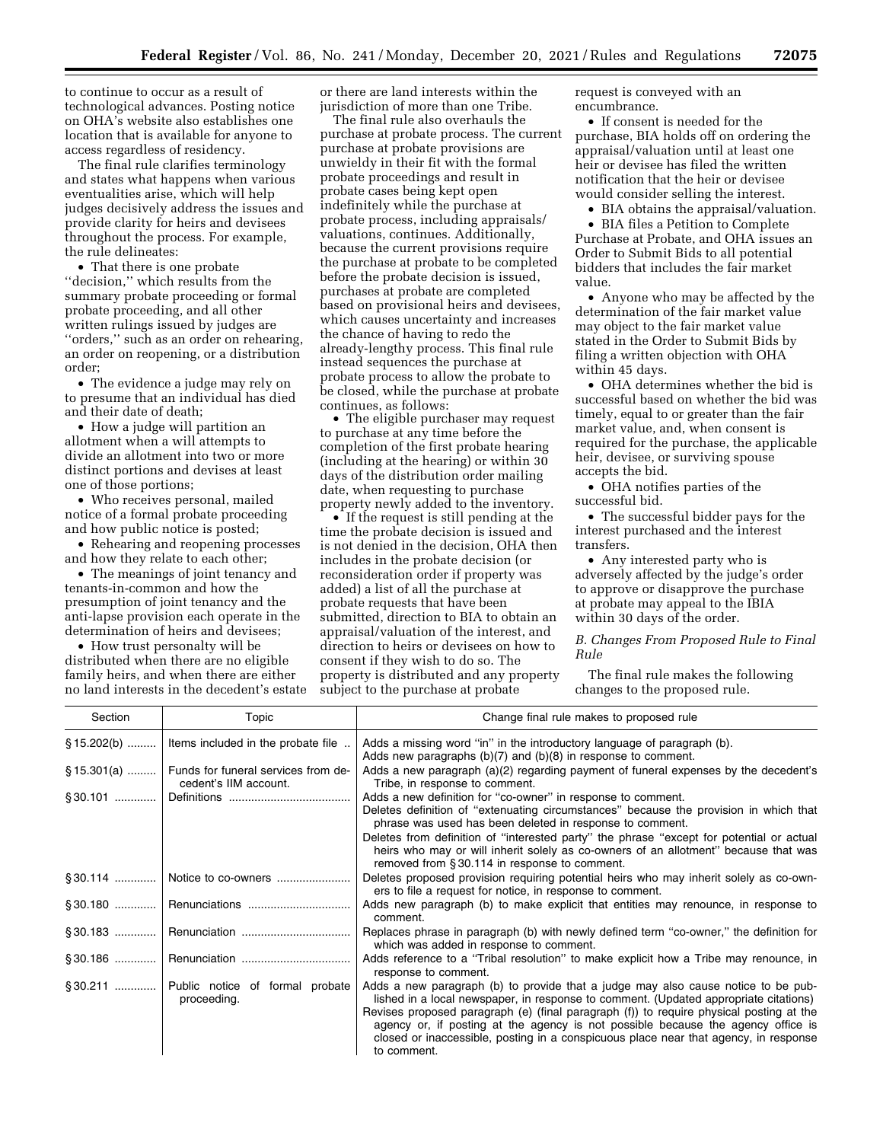to continue to occur as a result of technological advances. Posting notice on OHA's website also establishes one location that is available for anyone to access regardless of residency.

The final rule clarifies terminology and states what happens when various eventualities arise, which will help judges decisively address the issues and provide clarity for heirs and devisees throughout the process. For example, the rule delineates:

• That there is one probate ''decision,'' which results from the summary probate proceeding or formal probate proceeding, and all other written rulings issued by judges are ''orders,'' such as an order on rehearing, an order on reopening, or a distribution order;

• The evidence a judge may rely on to presume that an individual has died and their date of death;

• How a judge will partition an allotment when a will attempts to divide an allotment into two or more distinct portions and devises at least one of those portions;

• Who receives personal, mailed notice of a formal probate proceeding and how public notice is posted;

• Rehearing and reopening processes and how they relate to each other;

• The meanings of joint tenancy and tenants-in-common and how the presumption of joint tenancy and the anti-lapse provision each operate in the determination of heirs and devisees;

• How trust personalty will be distributed when there are no eligible family heirs, and when there are either no land interests in the decedent's estate or there are land interests within the jurisdiction of more than one Tribe.

The final rule also overhauls the purchase at probate process. The current purchase at probate provisions are unwieldy in their fit with the formal probate proceedings and result in probate cases being kept open indefinitely while the purchase at probate process, including appraisals/ valuations, continues. Additionally, because the current provisions require the purchase at probate to be completed before the probate decision is issued, purchases at probate are completed based on provisional heirs and devisees, which causes uncertainty and increases the chance of having to redo the already-lengthy process. This final rule instead sequences the purchase at probate process to allow the probate to be closed, while the purchase at probate continues, as follows:

• The eligible purchaser may request to purchase at any time before the completion of the first probate hearing (including at the hearing) or within 30 days of the distribution order mailing date, when requesting to purchase property newly added to the inventory.

• If the request is still pending at the time the probate decision is issued and is not denied in the decision, OHA then includes in the probate decision (or reconsideration order if property was added) a list of all the purchase at probate requests that have been submitted, direction to BIA to obtain an appraisal/valuation of the interest, and direction to heirs or devisees on how to consent if they wish to do so. The property is distributed and any property subject to the purchase at probate

request is conveyed with an encumbrance.

• If consent is needed for the purchase, BIA holds off on ordering the appraisal/valuation until at least one heir or devisee has filed the written notification that the heir or devisee would consider selling the interest.

• BIA obtains the appraisal/valuation.

• BIA files a Petition to Complete Purchase at Probate, and OHA issues an Order to Submit Bids to all potential bidders that includes the fair market value.

• Anyone who may be affected by the determination of the fair market value may object to the fair market value stated in the Order to Submit Bids by filing a written objection with OHA within 45 days.

• OHA determines whether the bid is successful based on whether the bid was timely, equal to or greater than the fair market value, and, when consent is required for the purchase, the applicable heir, devisee, or surviving spouse accepts the bid.

• OHA notifies parties of the successful bid.

• The successful bidder pays for the interest purchased and the interest transfers.

• Any interested party who is adversely affected by the judge's order to approve or disapprove the purchase at probate may appeal to the IBIA within 30 days of the order.

*B. Changes From Proposed Rule to Final Rule* 

The final rule makes the following changes to the proposed rule.

| Section | Topic                                                                      | Change final rule makes to proposed rule                                                                                                                                                                                                                                                                                                                                                                                                                        |  |  |  |  |
|---------|----------------------------------------------------------------------------|-----------------------------------------------------------------------------------------------------------------------------------------------------------------------------------------------------------------------------------------------------------------------------------------------------------------------------------------------------------------------------------------------------------------------------------------------------------------|--|--|--|--|
|         | $\S$ 15.202(b)    Items included in the probate file                       | Adds a missing word "in" in the introductory language of paragraph (b).<br>Adds new paragraphs $(b)(7)$ and $(b)(8)$ in response to comment.                                                                                                                                                                                                                                                                                                                    |  |  |  |  |
|         | §15.301(a)    Funds for funeral services from de-<br>cedent's IIM account. | Adds a new paragraph (a)(2) regarding payment of funeral expenses by the decedent's<br>Tribe, in response to comment.                                                                                                                                                                                                                                                                                                                                           |  |  |  |  |
|         |                                                                            | Adds a new definition for "co-owner" in response to comment.<br>Deletes definition of "extenuating circumstances" because the provision in which that<br>phrase was used has been deleted in response to comment.<br>Deletes from definition of "interested party" the phrase "except for potential or actual                                                                                                                                                   |  |  |  |  |
|         |                                                                            | heirs who may or will inherit solely as co-owners of an allotment" because that was<br>removed from §30.114 in response to comment.                                                                                                                                                                                                                                                                                                                             |  |  |  |  |
|         | §30.114    Notice to co-owners                                             | Deletes proposed provision requiring potential heirs who may inherit solely as co-own-<br>ers to file a request for notice, in response to comment.                                                                                                                                                                                                                                                                                                             |  |  |  |  |
|         |                                                                            | Adds new paragraph (b) to make explicit that entities may renounce, in response to<br>comment.                                                                                                                                                                                                                                                                                                                                                                  |  |  |  |  |
|         |                                                                            | Replaces phrase in paragraph (b) with newly defined term "co-owner," the definition for<br>which was added in response to comment.                                                                                                                                                                                                                                                                                                                              |  |  |  |  |
|         |                                                                            | Adds reference to a "Tribal resolution" to make explicit how a Tribe may renounce, in<br>response to comment.                                                                                                                                                                                                                                                                                                                                                   |  |  |  |  |
|         | §30.211  Public notice of formal probate<br>proceeding.                    | Adds a new paragraph (b) to provide that a judge may also cause notice to be pub-<br>lished in a local newspaper, in response to comment. (Updated appropriate citations)<br>Revises proposed paragraph (e) (final paragraph (f)) to require physical posting at the<br>agency or, if posting at the agency is not possible because the agency office is<br>closed or inaccessible, posting in a conspicuous place near that agency, in response<br>to comment. |  |  |  |  |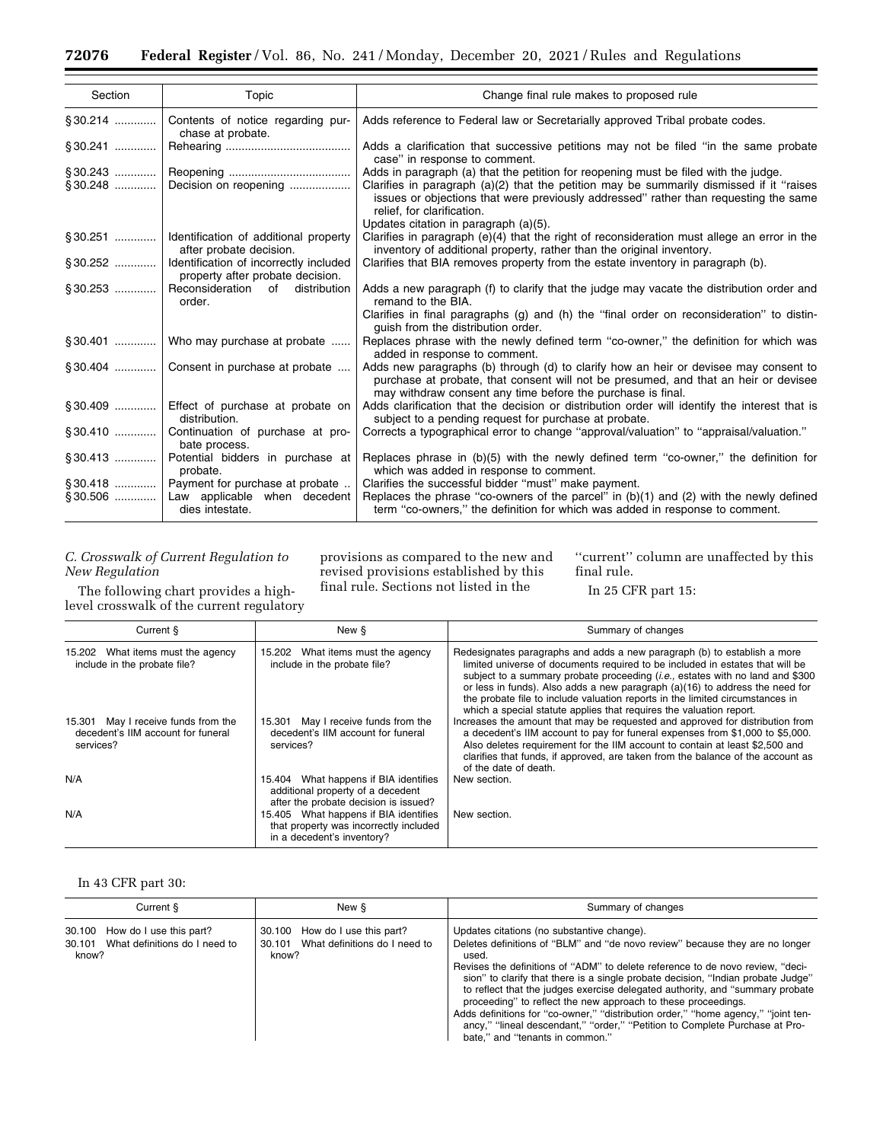| Section     | Topic                                                                       | Change final rule makes to proposed rule                                                                                                                                                                                                                   |  |  |
|-------------|-----------------------------------------------------------------------------|------------------------------------------------------------------------------------------------------------------------------------------------------------------------------------------------------------------------------------------------------------|--|--|
|             | §30.214  Contents of notice regarding pur-<br>chase at probate.             | Adds reference to Federal law or Secretarially approved Tribal probate codes.                                                                                                                                                                              |  |  |
| $§ 30.241$  |                                                                             | Adds a clarification that successive petitions may not be filed "in the same probate<br>case" in response to comment.                                                                                                                                      |  |  |
|             |                                                                             | Adds in paragraph (a) that the petition for reopening must be filed with the judge.                                                                                                                                                                        |  |  |
|             | §30.248  Decision on reopening                                              | Clarifies in paragraph $(a)(2)$ that the petition may be summarily dismissed if it "raises"<br>issues or objections that were previously addressed" rather than requesting the same<br>relief, for clarification.<br>Updates citation in paragraph (a)(5). |  |  |
|             | §30.251    Identification of additional property<br>after probate decision. | Clarifies in paragraph (e)(4) that the right of reconsideration must allege an error in the<br>inventory of additional property, rather than the original inventory.                                                                                       |  |  |
|             | Identification of incorrectly included<br>property after probate decision.  | Clarifies that BIA removes property from the estate inventory in paragraph (b).                                                                                                                                                                            |  |  |
| $\S 30.253$ | Reconsideration of distribution<br>order.                                   | Adds a new paragraph (f) to clarify that the judge may vacate the distribution order and<br>remand to the BIA.<br>Clarifies in final paragraphs (g) and (h) the "final order on reconsideration" to distin-<br>quish from the distribution order.          |  |  |
|             | $\S 30.401$   Who may purchase at probate                                   | Replaces phrase with the newly defined term "co-owner," the definition for which was<br>added in response to comment.                                                                                                                                      |  |  |
|             | §30.404    Consent in purchase at probate                                   | Adds new paragraphs (b) through (d) to clarify how an heir or devisee may consent to<br>purchase at probate, that consent will not be presumed, and that an heir or devisee<br>may withdraw consent any time before the purchase is final.                 |  |  |
|             | Effect of purchase at probate on<br>distribution.                           | Adds clarification that the decision or distribution order will identify the interest that is<br>subject to a pending request for purchase at probate.                                                                                                     |  |  |
|             | §30.410  Continuation of purchase at pro-<br>bate process.                  | Corrects a typographical error to change "approval/valuation" to "appraisal/valuation."                                                                                                                                                                    |  |  |
|             | §30.413  Potential bidders in purchase at<br>probate.                       | Replaces phrase in (b)(5) with the newly defined term "co-owner," the definition for<br>which was added in response to comment.                                                                                                                            |  |  |
|             | §30.418    Payment for purchase at probate                                  | Clarifies the successful bidder "must" make payment.                                                                                                                                                                                                       |  |  |
|             | Law applicable when decedent<br>dies intestate.                             | Replaces the phrase "co-owners of the parcel" in $(b)(1)$ and $(2)$ with the newly defined<br>term "co-owners," the definition for which was added in response to comment.                                                                                 |  |  |

## *C. Crosswalk of Current Regulation to New Regulation*

The following chart provides a highlevel crosswalk of the current regulatory

provisions as compared to the new and revised provisions established by this final rule. Sections not listed in the

''current'' column are unaffected by this final rule.

In 25 CFR part 15:

| Current §                                                                              | New §                                                                                                               | Summary of changes                                                                                                                                                                                                                                                                                                                                                                                                                                                                        |  |  |
|----------------------------------------------------------------------------------------|---------------------------------------------------------------------------------------------------------------------|-------------------------------------------------------------------------------------------------------------------------------------------------------------------------------------------------------------------------------------------------------------------------------------------------------------------------------------------------------------------------------------------------------------------------------------------------------------------------------------------|--|--|
| 15.202 What items must the agency<br>include in the probate file?                      | 15.202 What items must the agency<br>include in the probate file?                                                   | Redesignates paragraphs and adds a new paragraph (b) to establish a more<br>limited universe of documents required to be included in estates that will be<br>subject to a summary probate proceeding <i>(i.e.,</i> estates with no land and \$300<br>or less in funds). Also adds a new paragraph (a)(16) to address the need for<br>the probate file to include valuation reports in the limited circumstances in<br>which a special statute applies that requires the valuation report. |  |  |
| 15.301 May I receive funds from the<br>decedent's IIM account for funeral<br>services? | 15.301 May I receive funds from the<br>decedent's IIM account for funeral<br>services?                              | Increases the amount that may be requested and approved for distribution from<br>a decedent's IIM account to pay for funeral expenses from \$1,000 to \$5,000.<br>Also deletes requirement for the IIM account to contain at least \$2,500 and<br>clarifies that funds, if approved, are taken from the balance of the account as<br>of the date of death.                                                                                                                                |  |  |
| N/A                                                                                    | 15.404 What happens if BIA identifies<br>additional property of a decedent<br>after the probate decision is issued? | New section.                                                                                                                                                                                                                                                                                                                                                                                                                                                                              |  |  |
| N/A                                                                                    | 15.405 What happens if BIA identifies<br>that property was incorrectly included<br>in a decedent's inventory?       | New section.                                                                                                                                                                                                                                                                                                                                                                                                                                                                              |  |  |

## In 43 CFR part 30:

| Current §                                                                       | New §                                                                           | Summary of changes                                                                                                                                                                                                                                                                                                                                                                                                                                                                                                                                                                                                                                                  |  |  |
|---------------------------------------------------------------------------------|---------------------------------------------------------------------------------|---------------------------------------------------------------------------------------------------------------------------------------------------------------------------------------------------------------------------------------------------------------------------------------------------------------------------------------------------------------------------------------------------------------------------------------------------------------------------------------------------------------------------------------------------------------------------------------------------------------------------------------------------------------------|--|--|
| 30.100 How do I use this part?<br>30.101 What definitions do I need to<br>know? | 30.100 How do I use this part?<br>30.101 What definitions do I need to<br>know? | Updates citations (no substantive change).<br>Deletes definitions of "BLM" and "de novo review" because they are no longer<br>used.<br>Revises the definitions of "ADM" to delete reference to de novo review, "deci-<br>sion" to clarify that there is a single probate decision, "Indian probate Judge"<br>to reflect that the judges exercise delegated authority, and "summary probate"<br>proceeding" to reflect the new approach to these proceedings.<br>Adds definitions for "co-owner," "distribution order," "home agency," "joint ten-<br>ancy," "lineal descendant," "order," "Petition to Complete Purchase at Pro-<br>bate," and "tenants in common." |  |  |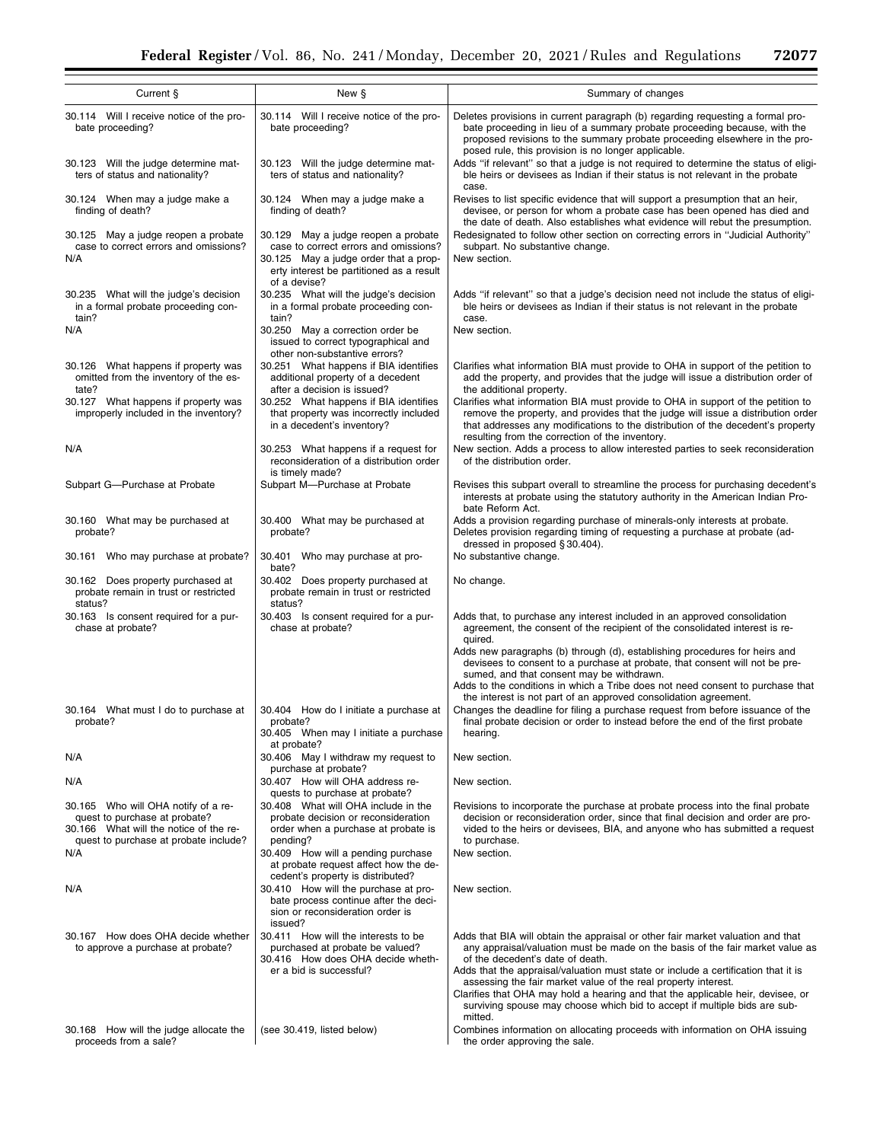| Current §                                                                                                                                               | New §                                                                                                                                                                             | Summary of changes                                                                                                                                                                                                                                                                                                                                                                                                                                                                                                                      |
|---------------------------------------------------------------------------------------------------------------------------------------------------------|-----------------------------------------------------------------------------------------------------------------------------------------------------------------------------------|-----------------------------------------------------------------------------------------------------------------------------------------------------------------------------------------------------------------------------------------------------------------------------------------------------------------------------------------------------------------------------------------------------------------------------------------------------------------------------------------------------------------------------------------|
| 30.114 Will I receive notice of the pro-<br>bate proceeding?                                                                                            | 30.114 Will I receive notice of the pro-<br>bate proceeding?                                                                                                                      | Deletes provisions in current paragraph (b) regarding requesting a formal pro-<br>bate proceeding in lieu of a summary probate proceeding because, with the<br>proposed revisions to the summary probate proceeding elsewhere in the pro-                                                                                                                                                                                                                                                                                               |
| 30.123 Will the judge determine mat-<br>30.123 Will the judge determine mat-<br>ters of status and nationality?<br>ters of status and nationality?      |                                                                                                                                                                                   | posed rule, this provision is no longer applicable.<br>Adds "if relevant" so that a judge is not required to determine the status of eligi-<br>ble heirs or devisees as Indian if their status is not relevant in the probate<br>case.                                                                                                                                                                                                                                                                                                  |
| 30.124 When may a judge make a<br>finding of death?                                                                                                     | 30.124 When may a judge make a<br>finding of death?                                                                                                                               | Revises to list specific evidence that will support a presumption that an heir,<br>devisee, or person for whom a probate case has been opened has died and<br>the date of death. Also establishes what evidence will rebut the presumption.                                                                                                                                                                                                                                                                                             |
| 30.125 May a judge reopen a probate<br>case to correct errors and omissions?<br>N/A                                                                     | 30.129 May a judge reopen a probate<br>case to correct errors and omissions?<br>30.125 May a judge order that a prop-<br>erty interest be partitioned as a result<br>of a devise? | Redesignated to follow other section on correcting errors in "Judicial Authority"<br>subpart. No substantive change.<br>New section.                                                                                                                                                                                                                                                                                                                                                                                                    |
| 30.235 What will the judge's decision<br>in a formal probate proceeding con-<br>tain?                                                                   | 30.235 What will the judge's decision<br>in a formal probate proceeding con-<br>tain?                                                                                             | Adds "if relevant" so that a judge's decision need not include the status of eligi-<br>ble heirs or devisees as Indian if their status is not relevant in the probate<br>case.                                                                                                                                                                                                                                                                                                                                                          |
| N/A                                                                                                                                                     | 30.250 May a correction order be<br>issued to correct typographical and<br>other non-substantive errors?                                                                          | New section.                                                                                                                                                                                                                                                                                                                                                                                                                                                                                                                            |
| 30.126 What happens if property was<br>omitted from the inventory of the es-<br>tate?                                                                   | 30.251 What happens if BIA identifies<br>additional property of a decedent<br>after a decision is issued?                                                                         | Clarifies what information BIA must provide to OHA in support of the petition to<br>add the property, and provides that the judge will issue a distribution order of<br>the additional property.                                                                                                                                                                                                                                                                                                                                        |
| 30.127 What happens if property was<br>improperly included in the inventory?                                                                            | 30.252 What happens if BIA identifies<br>that property was incorrectly included<br>in a decedent's inventory?                                                                     | Clarifies what information BIA must provide to OHA in support of the petition to<br>remove the property, and provides that the judge will issue a distribution order<br>that addresses any modifications to the distribution of the decedent's property<br>resulting from the correction of the inventory.                                                                                                                                                                                                                              |
| N/A                                                                                                                                                     | 30.253 What happens if a request for<br>reconsideration of a distribution order<br>is timely made?                                                                                | New section. Adds a process to allow interested parties to seek reconsideration<br>of the distribution order.                                                                                                                                                                                                                                                                                                                                                                                                                           |
| Subpart G-Purchase at Probate                                                                                                                           | Subpart M--Purchase at Probate                                                                                                                                                    | Revises this subpart overall to streamline the process for purchasing decedent's<br>interests at probate using the statutory authority in the American Indian Pro-<br>bate Reform Act.                                                                                                                                                                                                                                                                                                                                                  |
| 30.160 What may be purchased at<br>probate?                                                                                                             | 30.400 What may be purchased at<br>probate?                                                                                                                                       | Adds a provision regarding purchase of minerals-only interests at probate.<br>Deletes provision regarding timing of requesting a purchase at probate (ad-<br>dressed in proposed §30.404).                                                                                                                                                                                                                                                                                                                                              |
| 30.161 Who may purchase at probate?                                                                                                                     | 30.401 Who may purchase at pro-<br>bate?                                                                                                                                          | No substantive change.                                                                                                                                                                                                                                                                                                                                                                                                                                                                                                                  |
| 30.162 Does property purchased at<br>probate remain in trust or restricted<br>status?                                                                   | 30.402 Does property purchased at<br>probate remain in trust or restricted<br>status?                                                                                             | No change.                                                                                                                                                                                                                                                                                                                                                                                                                                                                                                                              |
| 30.163 Is consent required for a pur-<br>chase at probate?                                                                                              | 30.403 Is consent required for a pur-<br>chase at probate?                                                                                                                        | Adds that, to purchase any interest included in an approved consolidation<br>agreement, the consent of the recipient of the consolidated interest is re-<br>quired.<br>Adds new paragraphs (b) through (d), establishing procedures for heirs and<br>devisees to consent to a purchase at probate, that consent will not be pre-                                                                                                                                                                                                        |
|                                                                                                                                                         |                                                                                                                                                                                   | sumed, and that consent may be withdrawn.<br>Adds to the conditions in which a Tribe does not need consent to purchase that<br>the interest is not part of an approved consolidation agreement.                                                                                                                                                                                                                                                                                                                                         |
| 30.164 What must I do to purchase at<br>probate?                                                                                                        | 30.404 How do I initiate a purchase at<br>probate?<br>30.405 When may I initiate a purchase<br>at probate?                                                                        | Changes the deadline for filing a purchase request from before issuance of the<br>final probate decision or order to instead before the end of the first probate<br>hearing.                                                                                                                                                                                                                                                                                                                                                            |
| N/A                                                                                                                                                     | 30.406 May I withdraw my request to<br>purchase at probate?                                                                                                                       | New section.                                                                                                                                                                                                                                                                                                                                                                                                                                                                                                                            |
| N/A                                                                                                                                                     | 30.407 How will OHA address re-<br>quests to purchase at probate?                                                                                                                 | New section.                                                                                                                                                                                                                                                                                                                                                                                                                                                                                                                            |
| 30.165 Who will OHA notify of a re-<br>quest to purchase at probate?<br>30.166 What will the notice of the re-<br>quest to purchase at probate include? | 30.408 What will OHA include in the<br>probate decision or reconsideration<br>order when a purchase at probate is<br>pending?                                                     | Revisions to incorporate the purchase at probate process into the final probate<br>decision or reconsideration order, since that final decision and order are pro-<br>vided to the heirs or devisees, BIA, and anyone who has submitted a request<br>to purchase.                                                                                                                                                                                                                                                                       |
| N/A                                                                                                                                                     | 30.409 How will a pending purchase<br>at probate request affect how the de-<br>cedent's property is distributed?                                                                  | New section.                                                                                                                                                                                                                                                                                                                                                                                                                                                                                                                            |
| N/A                                                                                                                                                     | 30.410 How will the purchase at pro-<br>bate process continue after the deci-<br>sion or reconsideration order is<br>issued?                                                      | New section.                                                                                                                                                                                                                                                                                                                                                                                                                                                                                                                            |
| 30.167 How does OHA decide whether<br>to approve a purchase at probate?                                                                                 | 30.411 How will the interests to be<br>purchased at probate be valued?<br>30.416 How does OHA decide wheth-<br>er a bid is successful?                                            | Adds that BIA will obtain the appraisal or other fair market valuation and that<br>any appraisal/valuation must be made on the basis of the fair market value as<br>of the decedent's date of death.<br>Adds that the appraisal/valuation must state or include a certification that it is<br>assessing the fair market value of the real property interest.<br>Clarifies that OHA may hold a hearing and that the applicable heir, devisee, or<br>surviving spouse may choose which bid to accept if multiple bids are sub-<br>mitted. |
| 30.168 How will the judge allocate the<br>proceeds from a sale?                                                                                         | (see 30.419, listed below)                                                                                                                                                        | Combines information on allocating proceeds with information on OHA issuing<br>the order approving the sale.                                                                                                                                                                                                                                                                                                                                                                                                                            |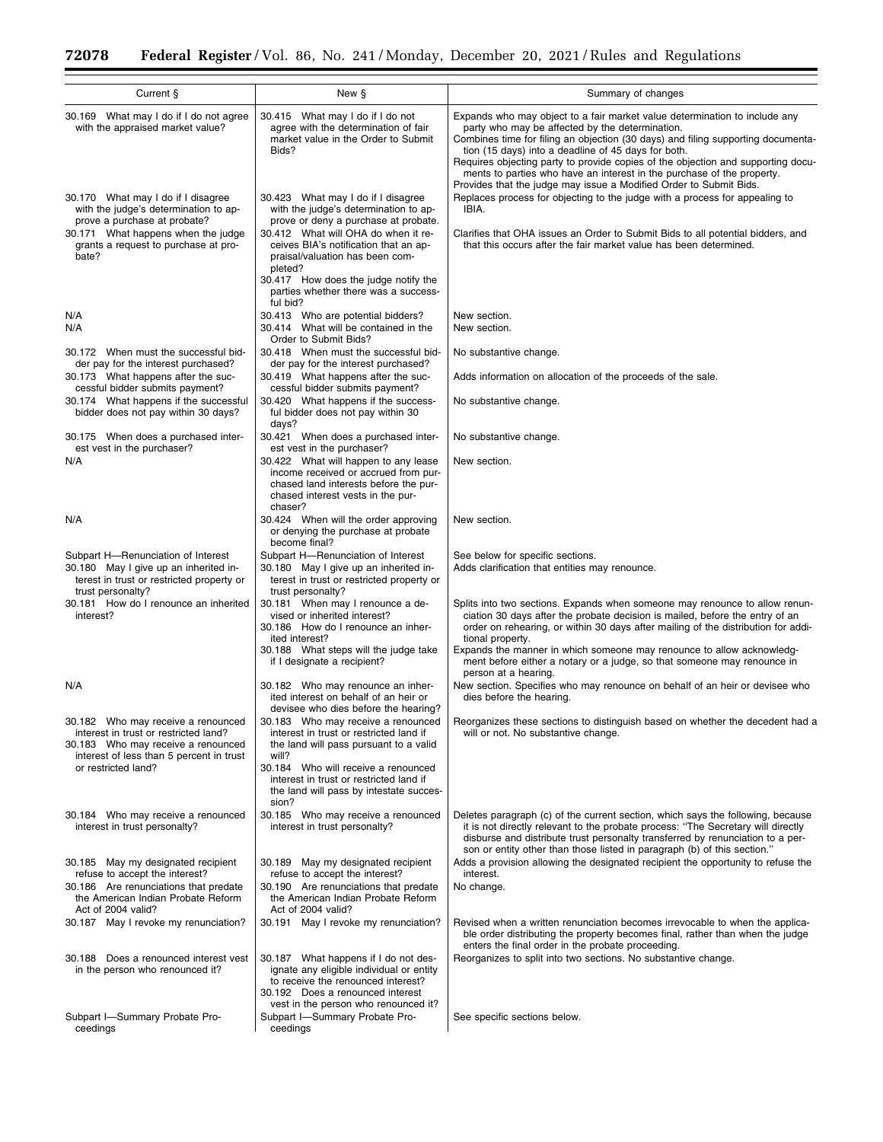| Current §<br>New §                                                                                                                                            |                                                                                                                                                            | Summary of changes                                                                                                                                                                                                                                                                                                                                                                                                             |  |  |  |
|---------------------------------------------------------------------------------------------------------------------------------------------------------------|------------------------------------------------------------------------------------------------------------------------------------------------------------|--------------------------------------------------------------------------------------------------------------------------------------------------------------------------------------------------------------------------------------------------------------------------------------------------------------------------------------------------------------------------------------------------------------------------------|--|--|--|
| 30.169 What may I do if I do not agree                                                                                                                        | 30.415 What may I do if I do not                                                                                                                           | Expands who may object to a fair market value determination to include any                                                                                                                                                                                                                                                                                                                                                     |  |  |  |
| with the appraised market value?                                                                                                                              | agree with the determination of fair<br>market value in the Order to Submit<br>Bids?                                                                       | party who may be affected by the determination.<br>Combines time for filing an objection (30 days) and filing supporting documenta-<br>tion (15 days) into a deadline of 45 days for both.<br>Requires objecting party to provide copies of the objection and supporting docu-<br>ments to parties who have an interest in the purchase of the property.<br>Provides that the judge may issue a Modified Order to Submit Bids. |  |  |  |
| 30.170 What may I do if I disagree<br>with the judge's determination to ap-<br>prove a purchase at probate?                                                   | 30.423 What may I do if I disagree<br>with the judge's determination to ap-<br>prove or deny a purchase at probate.<br>30.412 What will OHA do when it re- | Replaces process for objecting to the judge with a process for appealing to<br>IBIA.                                                                                                                                                                                                                                                                                                                                           |  |  |  |
| 30.171 What happens when the judge<br>grants a request to purchase at pro-<br>bate?                                                                           | ceives BIA's notification that an ap-<br>praisal/valuation has been com-<br>pleted?<br>30.417 How does the judge notify the                                | Clarifies that OHA issues an Order to Submit Bids to all potential bidders, and<br>that this occurs after the fair market value has been determined.                                                                                                                                                                                                                                                                           |  |  |  |
|                                                                                                                                                               | parties whether there was a success-<br>ful bid?                                                                                                           |                                                                                                                                                                                                                                                                                                                                                                                                                                |  |  |  |
| N/A<br>N/A                                                                                                                                                    | 30.413 Who are potential bidders?                                                                                                                          | New section.<br>New section.                                                                                                                                                                                                                                                                                                                                                                                                   |  |  |  |
|                                                                                                                                                               | 30.414 What will be contained in the<br>Order to Submit Bids?                                                                                              |                                                                                                                                                                                                                                                                                                                                                                                                                                |  |  |  |
| 30.172 When must the successful bid-<br>der pay for the interest purchased?                                                                                   | 30.418 When must the successful bid-<br>der pay for the interest purchased?                                                                                | No substantive change.                                                                                                                                                                                                                                                                                                                                                                                                         |  |  |  |
| 30.173 What happens after the suc-<br>cessful bidder submits payment?                                                                                         | 30.419 What happens after the suc-<br>cessful bidder submits payment?                                                                                      | Adds information on allocation of the proceeds of the sale.                                                                                                                                                                                                                                                                                                                                                                    |  |  |  |
| 30.174 What happens if the successful<br>bidder does not pay within 30 days?                                                                                  | 30.420 What happens if the success-<br>ful bidder does not pay within 30<br>days?                                                                          | No substantive change.                                                                                                                                                                                                                                                                                                                                                                                                         |  |  |  |
| 30.175 When does a purchased inter-<br>est vest in the purchaser?                                                                                             | 30.421 When does a purchased inter-<br>est vest in the purchaser?                                                                                          | No substantive change.                                                                                                                                                                                                                                                                                                                                                                                                         |  |  |  |
| N/A                                                                                                                                                           | 30.422 What will happen to any lease<br>income received or accrued from pur-                                                                               | New section.                                                                                                                                                                                                                                                                                                                                                                                                                   |  |  |  |
|                                                                                                                                                               | chased land interests before the pur-<br>chased interest vests in the pur-<br>chaser?                                                                      |                                                                                                                                                                                                                                                                                                                                                                                                                                |  |  |  |
| N/A                                                                                                                                                           | 30.424 When will the order approving<br>or denying the purchase at probate<br>become final?                                                                | New section.                                                                                                                                                                                                                                                                                                                                                                                                                   |  |  |  |
| Subpart H--Renunciation of Interest                                                                                                                           | Subpart H-Renunciation of Interest                                                                                                                         | See below for specific sections.                                                                                                                                                                                                                                                                                                                                                                                               |  |  |  |
| 30.180 May I give up an inherited in-<br>terest in trust or restricted property or<br>trust personalty?                                                       | 30.180 May I give up an inherited in-<br>terest in trust or restricted property or<br>trust personalty?                                                    | Adds clarification that entities may renounce.                                                                                                                                                                                                                                                                                                                                                                                 |  |  |  |
| 30.181 How do I renounce an inherited<br>interest?                                                                                                            | 30.181 When may I renounce a de-<br>vised or inherited interest?<br>30.186 How do I renounce an inher-                                                     | Splits into two sections. Expands when someone may renounce to allow renun-<br>ciation 30 days after the probate decision is mailed, before the entry of an<br>order on rehearing, or within 30 days after mailing of the distribution for addi-                                                                                                                                                                               |  |  |  |
|                                                                                                                                                               | ited interest?<br>30.188 What steps will the judge take<br>if I designate a recipient?                                                                     | tional property.<br>Expands the manner in which someone may renounce to allow acknowledg-<br>ment before either a notary or a judge, so that someone may renounce in<br>person at a hearing.                                                                                                                                                                                                                                   |  |  |  |
| N/A                                                                                                                                                           | 30.182 Who may renounce an inher-<br>ited interest on behalf of an heir or<br>devisee who dies before the hearing?                                         | New section. Specifies who may renounce on behalf of an heir or devisee who<br>dies before the hearing.                                                                                                                                                                                                                                                                                                                        |  |  |  |
| 30.182 Who may receive a renounced<br>interest in trust or restricted land?<br>30.183 Who may receive a renounced<br>interest of less than 5 percent in trust | 30.183 Who may receive a renounced<br>interest in trust or restricted land if<br>the land will pass pursuant to a valid<br>will?                           | Reorganizes these sections to distinguish based on whether the decedent had a<br>will or not. No substantive change.                                                                                                                                                                                                                                                                                                           |  |  |  |
| or restricted land?                                                                                                                                           | 30.184 Who will receive a renounced<br>interest in trust or restricted land if<br>the land will pass by intestate succes-<br>sion?                         |                                                                                                                                                                                                                                                                                                                                                                                                                                |  |  |  |
| 30.184 Who may receive a renounced<br>interest in trust personalty?                                                                                           | 30.185 Who may receive a renounced<br>interest in trust personalty?                                                                                        | Deletes paragraph (c) of the current section, which says the following, because<br>it is not directly relevant to the probate process: "The Secretary will directly<br>disburse and distribute trust personalty transferred by renunciation to a per-<br>son or entity other than those listed in paragraph (b) of this section."                                                                                              |  |  |  |
| 30.185 May my designated recipient<br>refuse to accept the interest?                                                                                          | 30.189 May my designated recipient<br>refuse to accept the interest?                                                                                       | Adds a provision allowing the designated recipient the opportunity to refuse the<br>interest.                                                                                                                                                                                                                                                                                                                                  |  |  |  |
| 30.186 Are renunciations that predate<br>the American Indian Probate Reform<br>Act of 2004 valid?                                                             | 30.190 Are renunciations that predate<br>the American Indian Probate Reform<br>Act of 2004 valid?                                                          | No change.                                                                                                                                                                                                                                                                                                                                                                                                                     |  |  |  |
| 30.187 May I revoke my renunciation?                                                                                                                          | 30.191 May I revoke my renunciation?                                                                                                                       | Revised when a written renunciation becomes irrevocable to when the applica-<br>ble order distributing the property becomes final, rather than when the judge<br>enters the final order in the probate proceeding.                                                                                                                                                                                                             |  |  |  |
| 30.188 Does a renounced interest vest<br>in the person who renounced it?                                                                                      | 30.187 What happens if I do not des-<br>ignate any eligible individual or entity<br>to receive the renounced interest?<br>30.192 Does a renounced interest | Reorganizes to split into two sections. No substantive change.                                                                                                                                                                                                                                                                                                                                                                 |  |  |  |
| Subpart I-Summary Probate Pro-<br>ceedings                                                                                                                    | vest in the person who renounced it?<br>Subpart I-Summary Probate Pro-<br>ceedings                                                                         | See specific sections below.                                                                                                                                                                                                                                                                                                                                                                                                   |  |  |  |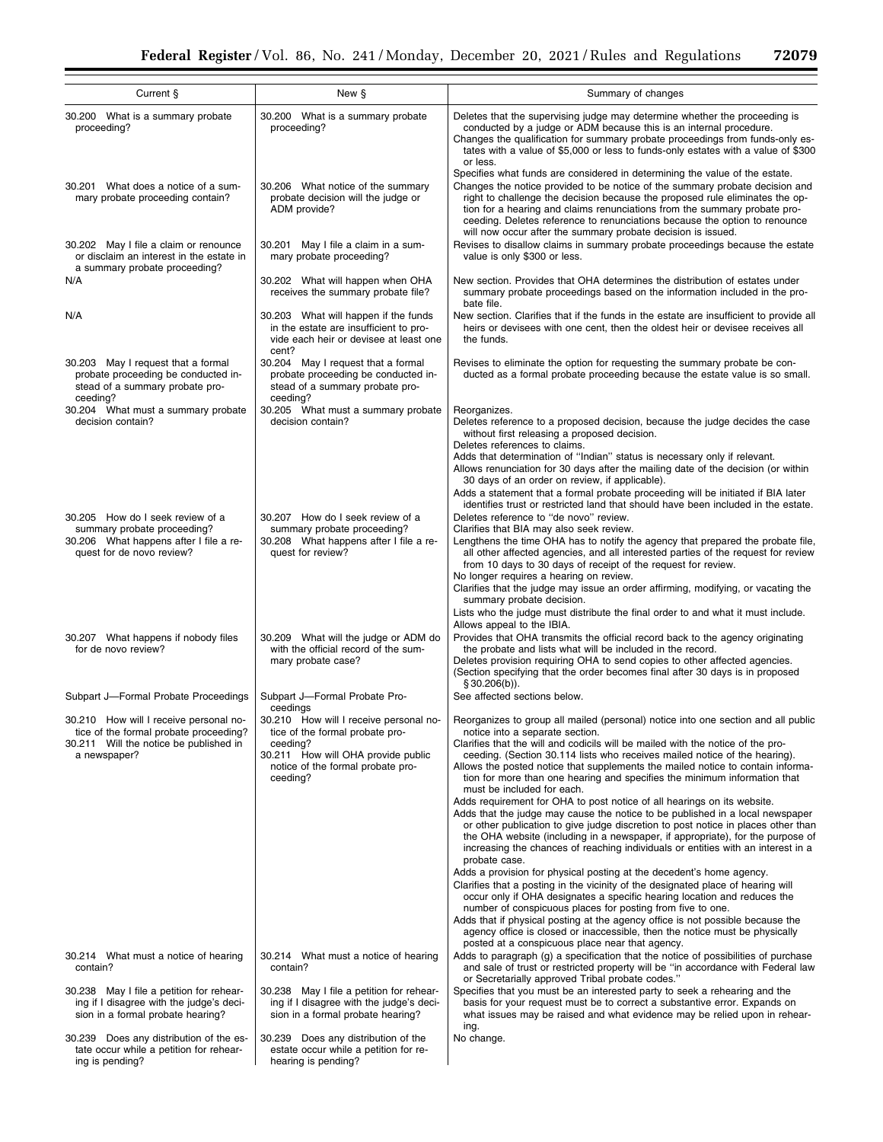| Current §                                                                                                                                  | New §                                                                                                                                                            | Summary of changes                                                                                                                                                                                                                                                                                                                                                                                                                                                     |  |  |  |
|--------------------------------------------------------------------------------------------------------------------------------------------|------------------------------------------------------------------------------------------------------------------------------------------------------------------|------------------------------------------------------------------------------------------------------------------------------------------------------------------------------------------------------------------------------------------------------------------------------------------------------------------------------------------------------------------------------------------------------------------------------------------------------------------------|--|--|--|
| 30.200 What is a summary probate<br>proceeding?                                                                                            | 30.200 What is a summary probate<br>proceeding?                                                                                                                  | Deletes that the supervising judge may determine whether the proceeding is<br>conducted by a judge or ADM because this is an internal procedure.<br>Changes the qualification for summary probate proceedings from funds-only es-<br>tates with a value of \$5,000 or less to funds-only estates with a value of \$300<br>or less.                                                                                                                                     |  |  |  |
| 30.201 What does a notice of a sum-<br>mary probate proceeding contain?                                                                    | 30.206 What notice of the summary<br>probate decision will the judge or<br>ADM provide?                                                                          | Specifies what funds are considered in determining the value of the estate.<br>Changes the notice provided to be notice of the summary probate decision and<br>right to challenge the decision because the proposed rule eliminates the op-<br>tion for a hearing and claims renunciations from the summary probate pro-<br>ceeding. Deletes reference to renunciations because the option to renounce<br>will now occur after the summary probate decision is issued. |  |  |  |
| 30.202 May I file a claim or renounce<br>or disclaim an interest in the estate in<br>a summary probate proceeding?                         | 30.201 May I file a claim in a sum-<br>mary probate proceeding?                                                                                                  | Revises to disallow claims in summary probate proceedings because the estate<br>value is only \$300 or less.                                                                                                                                                                                                                                                                                                                                                           |  |  |  |
| N/A                                                                                                                                        | 30.202 What will happen when OHA<br>receives the summary probate file?                                                                                           | New section. Provides that OHA determines the distribution of estates under<br>summary probate proceedings based on the information included in the pro-<br>bate file.                                                                                                                                                                                                                                                                                                 |  |  |  |
| N/A                                                                                                                                        | 30.203 What will happen if the funds<br>in the estate are insufficient to pro-<br>vide each heir or devisee at least one<br>cent?                                | New section. Clarifies that if the funds in the estate are insufficient to provide all<br>heirs or devisees with one cent, then the oldest heir or devisee receives all<br>the funds.                                                                                                                                                                                                                                                                                  |  |  |  |
| 30.203 May I request that a formal<br>probate proceeding be conducted in-<br>stead of a summary probate pro-<br>ceeding?                   | 30.204 May I request that a formal<br>probate proceeding be conducted in-<br>stead of a summary probate pro-<br>ceeding?                                         | Revises to eliminate the option for requesting the summary probate be con-<br>ducted as a formal probate proceeding because the estate value is so small.                                                                                                                                                                                                                                                                                                              |  |  |  |
| 30.204 What must a summary probate<br>decision contain?                                                                                    | 30.205 What must a summary probate<br>decision contain?                                                                                                          | Reorganizes.<br>Deletes reference to a proposed decision, because the judge decides the case<br>without first releasing a proposed decision.<br>Deletes references to claims.                                                                                                                                                                                                                                                                                          |  |  |  |
|                                                                                                                                            |                                                                                                                                                                  | Adds that determination of "Indian" status is necessary only if relevant.<br>Allows renunciation for 30 days after the mailing date of the decision (or within<br>30 days of an order on review, if applicable).<br>Adds a statement that a formal probate proceeding will be initiated if BIA later                                                                                                                                                                   |  |  |  |
| 30.205 How do I seek review of a<br>summary probate proceeding?                                                                            | 30.207 How do I seek review of a<br>summary probate proceeding?                                                                                                  | identifies trust or restricted land that should have been included in the estate.<br>Deletes reference to "de novo" review.<br>Clarifies that BIA may also seek review.                                                                                                                                                                                                                                                                                                |  |  |  |
| 30.206 What happens after I file a re-<br>quest for de novo review?                                                                        | 30.208 What happens after I file a re-<br>quest for review?                                                                                                      | Lengthens the time OHA has to notify the agency that prepared the probate file,<br>all other affected agencies, and all interested parties of the request for review<br>from 10 days to 30 days of receipt of the request for review.<br>No longer requires a hearing on review.                                                                                                                                                                                       |  |  |  |
|                                                                                                                                            |                                                                                                                                                                  | Clarifies that the judge may issue an order affirming, modifying, or vacating the<br>summary probate decision.<br>Lists who the judge must distribute the final order to and what it must include.<br>Allows appeal to the IBIA.                                                                                                                                                                                                                                       |  |  |  |
| 30.207 What happens if nobody files<br>for de novo review?                                                                                 | 30.209 What will the judge or ADM do<br>with the official record of the sum-<br>mary probate case?                                                               | Provides that OHA transmits the official record back to the agency originating<br>the probate and lists what will be included in the record.<br>Deletes provision requiring OHA to send copies to other affected agencies.<br>(Section specifying that the order becomes final after 30 days is in proposed<br>$$30.206(b)$ ).                                                                                                                                         |  |  |  |
| Subpart J-Formal Probate Proceedings                                                                                                       | Subpart J-Formal Probate Pro-<br>ceedings                                                                                                                        | See affected sections below.                                                                                                                                                                                                                                                                                                                                                                                                                                           |  |  |  |
| 30.210 How will I receive personal no-<br>tice of the formal probate proceeding?<br>30.211 Will the notice be published in<br>a newspaper? | 30.210 How will I receive personal no-<br>tice of the formal probate pro-<br>ceeding?<br>30.211 How will OHA provide public<br>notice of the formal probate pro- | Reorganizes to group all mailed (personal) notice into one section and all public<br>notice into a separate section.<br>Clarifies that the will and codicils will be mailed with the notice of the pro-<br>ceeding. (Section 30.114 lists who receives mailed notice of the hearing).<br>Allows the posted notice that supplements the mailed notice to contain informa-                                                                                               |  |  |  |
|                                                                                                                                            | ceeding?                                                                                                                                                         | tion for more than one hearing and specifies the minimum information that<br>must be included for each.<br>Adds requirement for OHA to post notice of all hearings on its website.<br>Adds that the judge may cause the notice to be published in a local newspaper<br>or other publication to give judge discretion to post notice in places other than                                                                                                               |  |  |  |
|                                                                                                                                            |                                                                                                                                                                  | the OHA website (including in a newspaper, if appropriate), for the purpose of<br>increasing the chances of reaching individuals or entities with an interest in a<br>probate case.                                                                                                                                                                                                                                                                                    |  |  |  |
|                                                                                                                                            |                                                                                                                                                                  | Adds a provision for physical posting at the decedent's home agency.<br>Clarifies that a posting in the vicinity of the designated place of hearing will<br>occur only if OHA designates a specific hearing location and reduces the<br>number of conspicuous places for posting from five to one.                                                                                                                                                                     |  |  |  |
|                                                                                                                                            |                                                                                                                                                                  | Adds that if physical posting at the agency office is not possible because the<br>agency office is closed or inaccessible, then the notice must be physically<br>posted at a conspicuous place near that agency.                                                                                                                                                                                                                                                       |  |  |  |
| 30.214 What must a notice of hearing<br>contain?                                                                                           | 30.214 What must a notice of hearing<br>contain?                                                                                                                 | Adds to paragraph (g) a specification that the notice of possibilities of purchase<br>and sale of trust or restricted property will be "in accordance with Federal law<br>or Secretarially approved Tribal probate codes."                                                                                                                                                                                                                                             |  |  |  |
| 30.238 May I file a petition for rehear-<br>ing if I disagree with the judge's deci-<br>sion in a formal probate hearing?                  | 30.238 May I file a petition for rehear-<br>ing if I disagree with the judge's deci-<br>sion in a formal probate hearing?                                        | Specifies that you must be an interested party to seek a rehearing and the<br>basis for your request must be to correct a substantive error. Expands on<br>what issues may be raised and what evidence may be relied upon in rehear-<br>ing.                                                                                                                                                                                                                           |  |  |  |
| 30.239 Does any distribution of the es-<br>tate occur while a petition for rehear-<br>ing is pending?                                      | 30.239 Does any distribution of the<br>estate occur while a petition for re-<br>hearing is pending?                                                              | No change.                                                                                                                                                                                                                                                                                                                                                                                                                                                             |  |  |  |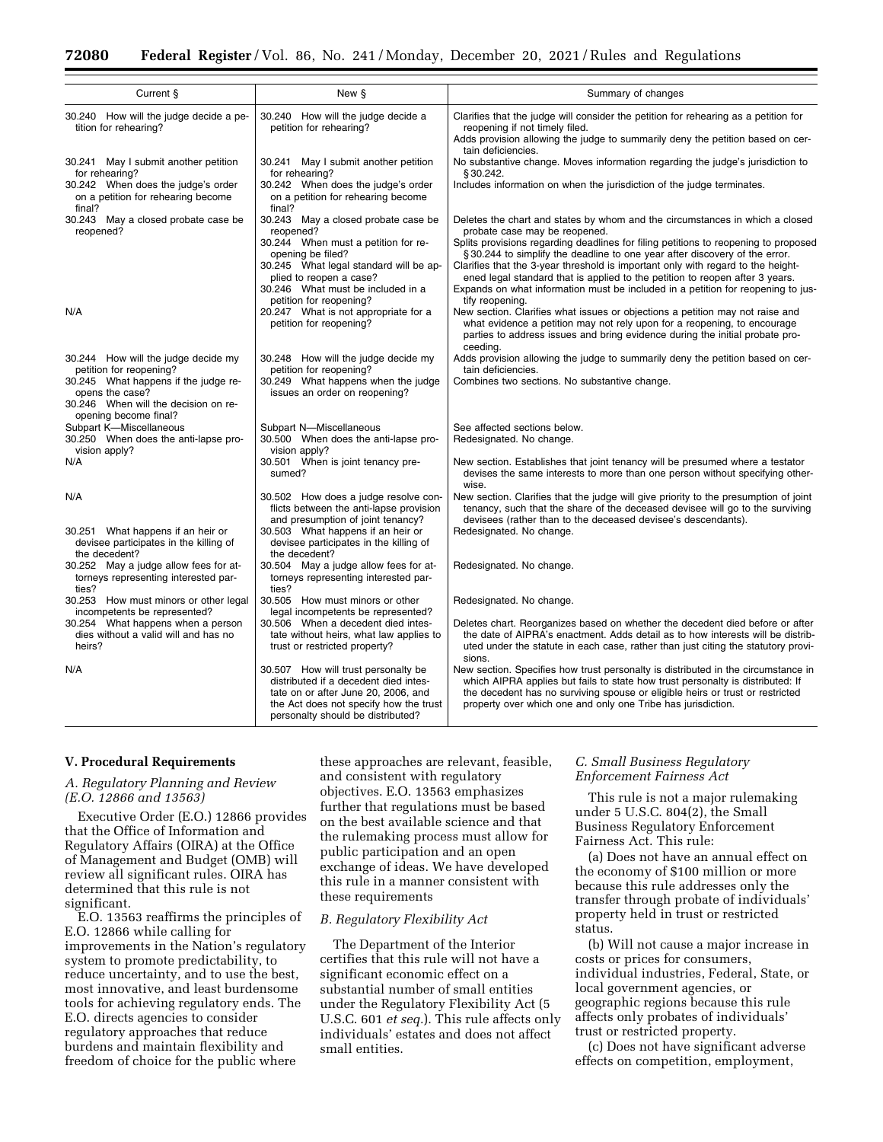| Current §                                                                                                                | New §                                                                                                                                                                                              | Summary of changes                                                                                                                                                                                                                                                                                                                                                                                                        |  |  |
|--------------------------------------------------------------------------------------------------------------------------|----------------------------------------------------------------------------------------------------------------------------------------------------------------------------------------------------|---------------------------------------------------------------------------------------------------------------------------------------------------------------------------------------------------------------------------------------------------------------------------------------------------------------------------------------------------------------------------------------------------------------------------|--|--|
| 30.240 How will the judge decide a pe-<br>tition for rehearing?                                                          | 30.240 How will the judge decide a<br>petition for rehearing?                                                                                                                                      | Clarifies that the judge will consider the petition for rehearing as a petition for<br>reopening if not timely filed.                                                                                                                                                                                                                                                                                                     |  |  |
|                                                                                                                          |                                                                                                                                                                                                    | Adds provision allowing the judge to summarily deny the petition based on cer-<br>tain deficiencies.                                                                                                                                                                                                                                                                                                                      |  |  |
| 30.241 May I submit another petition<br>for rehearing?                                                                   | 30.241 May I submit another petition<br>for rehearing?                                                                                                                                             | No substantive change. Moves information regarding the judge's jurisdiction to<br>§30.242.                                                                                                                                                                                                                                                                                                                                |  |  |
| 30.242 When does the judge's order<br>on a petition for rehearing become<br>final?                                       | 30.242 When does the judge's order<br>on a petition for rehearing become<br>final?                                                                                                                 | Includes information on when the jurisdiction of the judge terminates.                                                                                                                                                                                                                                                                                                                                                    |  |  |
| 30.243 May a closed probate case be<br>reopened?                                                                         | 30.243 May a closed probate case be<br>reopened?                                                                                                                                                   | Deletes the chart and states by whom and the circumstances in which a closed<br>probate case may be reopened.                                                                                                                                                                                                                                                                                                             |  |  |
|                                                                                                                          | 30.244 When must a petition for re-<br>opening be filed?<br>30.245 What legal standard will be ap-<br>plied to reopen a case?<br>30.246 What must be included in a                                 | Splits provisions regarding deadlines for filing petitions to reopening to proposed<br>§30.244 to simplify the deadline to one year after discovery of the error.<br>Clarifies that the 3-year threshold is important only with regard to the height-<br>ened legal standard that is applied to the petition to reopen after 3 years.<br>Expands on what information must be included in a petition for reopening to jus- |  |  |
| N/A                                                                                                                      | petition for reopening?<br>20.247 What is not appropriate for a<br>petition for reopening?                                                                                                         | tify reopening.<br>New section. Clarifies what issues or objections a petition may not raise and<br>what evidence a petition may not rely upon for a reopening, to encourage<br>parties to address issues and bring evidence during the initial probate pro-<br>ceeding.                                                                                                                                                  |  |  |
| 30.244 How will the judge decide my<br>petition for reopening?                                                           | 30.248 How will the judge decide my<br>petition for reopening?                                                                                                                                     | Adds provision allowing the judge to summarily deny the petition based on cer-<br>tain deficiencies.                                                                                                                                                                                                                                                                                                                      |  |  |
| 30.245 What happens if the judge re-<br>opens the case?<br>30.246 When will the decision on re-<br>opening become final? | 30.249 What happens when the judge<br>issues an order on reopening?                                                                                                                                | Combines two sections. No substantive change.                                                                                                                                                                                                                                                                                                                                                                             |  |  |
| Subpart K-Miscellaneous<br>30.250 When does the anti-lapse pro-                                                          | Subpart N-Miscellaneous<br>30.500 When does the anti-lapse pro-                                                                                                                                    | See affected sections below.<br>Redesignated. No change.                                                                                                                                                                                                                                                                                                                                                                  |  |  |
| vision apply?<br>N/A                                                                                                     | vision apply?<br>30.501 When is joint tenancy pre-<br>sumed?                                                                                                                                       | New section. Establishes that joint tenancy will be presumed where a testator<br>devises the same interests to more than one person without specifying other-<br>wise.                                                                                                                                                                                                                                                    |  |  |
| N/A                                                                                                                      | 30.502 How does a judge resolve con-<br>flicts between the anti-lapse provision<br>and presumption of joint tenancy?                                                                               | New section. Clarifies that the judge will give priority to the presumption of joint<br>tenancy, such that the share of the deceased devisee will go to the surviving<br>devisees (rather than to the deceased devisee's descendants).                                                                                                                                                                                    |  |  |
| 30.251 What happens if an heir or<br>devisee participates in the killing of<br>the decedent?                             | 30.503 What happens if an heir or<br>devisee participates in the killing of<br>the decedent?                                                                                                       | Redesignated. No change.                                                                                                                                                                                                                                                                                                                                                                                                  |  |  |
| 30.252 May a judge allow fees for at-<br>torneys representing interested par-<br>ties?                                   | 30.504 May a judge allow fees for at-<br>torneys representing interested par-<br>ties?                                                                                                             | Redesignated. No change.                                                                                                                                                                                                                                                                                                                                                                                                  |  |  |
| 30.253 How must minors or other legal<br>incompetents be represented?                                                    | 30.505 How must minors or other<br>legal incompetents be represented?                                                                                                                              | Redesignated. No change.                                                                                                                                                                                                                                                                                                                                                                                                  |  |  |
| 30.254 What happens when a person<br>dies without a valid will and has no<br>heirs?                                      | 30.506 When a decedent died intes-<br>tate without heirs, what law applies to<br>trust or restricted property?                                                                                     | Deletes chart. Reorganizes based on whether the decedent died before or after<br>the date of AIPRA's enactment. Adds detail as to how interests will be distrib-<br>uted under the statute in each case, rather than just citing the statutory provi-<br>sions.                                                                                                                                                           |  |  |
| N/A                                                                                                                      | 30.507 How will trust personalty be<br>distributed if a decedent died intes-<br>tate on or after June 20, 2006, and<br>the Act does not specify how the trust<br>personalty should be distributed? | New section. Specifies how trust personalty is distributed in the circumstance in<br>which AIPRA applies but fails to state how trust personalty is distributed: If<br>the decedent has no surviving spouse or eligible heirs or trust or restricted<br>property over which one and only one Tribe has jurisdiction.                                                                                                      |  |  |

#### **V. Procedural Requirements**

## *A. Regulatory Planning and Review (E.O. 12866 and 13563)*

Executive Order (E.O.) 12866 provides that the Office of Information and Regulatory Affairs (OIRA) at the Office of Management and Budget (OMB) will review all significant rules. OIRA has determined that this rule is not significant.

E.O. 13563 reaffirms the principles of E.O. 12866 while calling for improvements in the Nation's regulatory system to promote predictability, to reduce uncertainty, and to use the best, most innovative, and least burdensome tools for achieving regulatory ends. The E.O. directs agencies to consider regulatory approaches that reduce burdens and maintain flexibility and freedom of choice for the public where

these approaches are relevant, feasible, and consistent with regulatory objectives. E.O. 13563 emphasizes further that regulations must be based on the best available science and that the rulemaking process must allow for public participation and an open exchange of ideas. We have developed this rule in a manner consistent with these requirements

### *B. Regulatory Flexibility Act*

The Department of the Interior certifies that this rule will not have a significant economic effect on a substantial number of small entities under the Regulatory Flexibility Act (5 U.S.C. 601 *et seq.*). This rule affects only individuals' estates and does not affect small entities.

## *C. Small Business Regulatory Enforcement Fairness Act*

This rule is not a major rulemaking under 5 U.S.C. 804(2), the Small Business Regulatory Enforcement Fairness Act. This rule:

(a) Does not have an annual effect on the economy of \$100 million or more because this rule addresses only the transfer through probate of individuals' property held in trust or restricted status.

(b) Will not cause a major increase in costs or prices for consumers, individual industries, Federal, State, or local government agencies, or geographic regions because this rule affects only probates of individuals' trust or restricted property.

(c) Does not have significant adverse effects on competition, employment,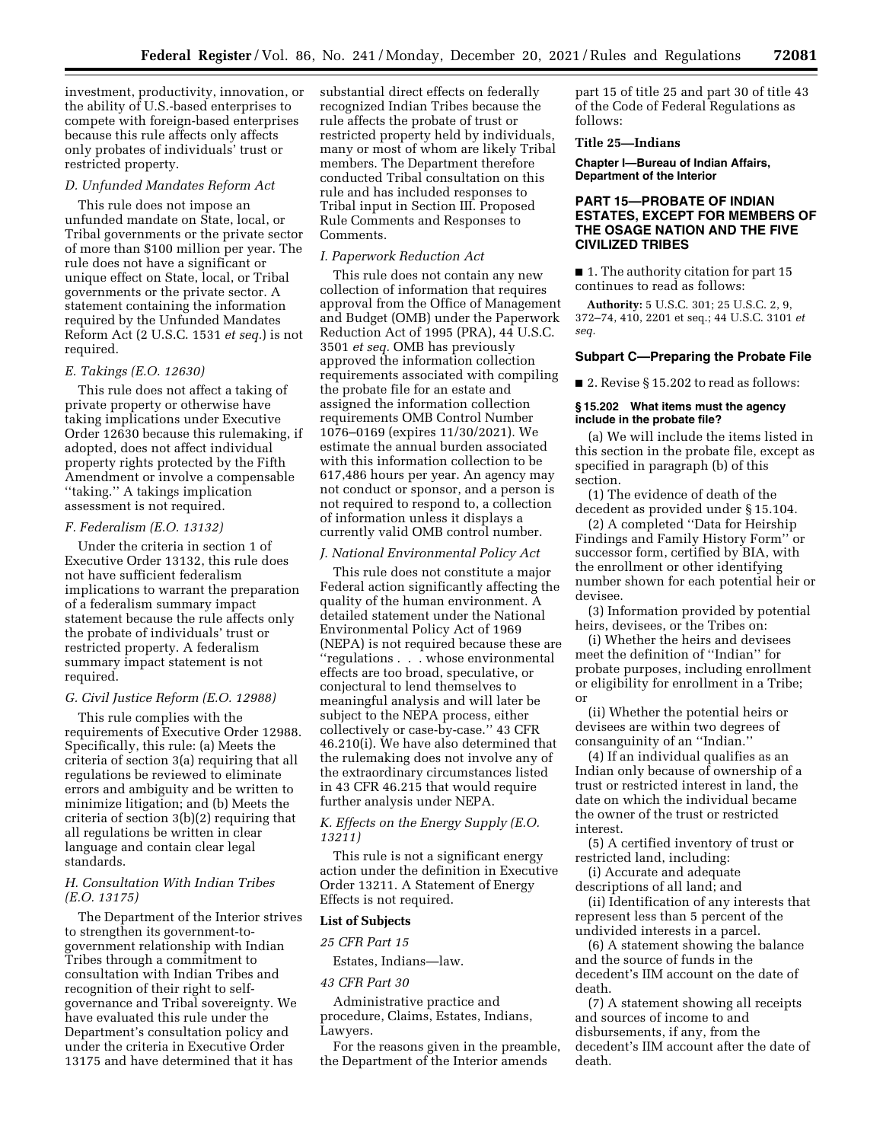investment, productivity, innovation, or the ability of U.S.-based enterprises to compete with foreign-based enterprises because this rule affects only affects only probates of individuals' trust or restricted property.

### *D. Unfunded Mandates Reform Act*

This rule does not impose an unfunded mandate on State, local, or Tribal governments or the private sector of more than \$100 million per year. The rule does not have a significant or unique effect on State, local, or Tribal governments or the private sector. A statement containing the information required by the Unfunded Mandates Reform Act (2 U.S.C. 1531 *et seq.*) is not required.

#### *E. Takings (E.O. 12630)*

This rule does not affect a taking of private property or otherwise have taking implications under Executive Order 12630 because this rulemaking, if adopted, does not affect individual property rights protected by the Fifth Amendment or involve a compensable ''taking.'' A takings implication assessment is not required.

#### *F. Federalism (E.O. 13132)*

Under the criteria in section 1 of Executive Order 13132, this rule does not have sufficient federalism implications to warrant the preparation of a federalism summary impact statement because the rule affects only the probate of individuals' trust or restricted property. A federalism summary impact statement is not required.

## *G. Civil Justice Reform (E.O. 12988)*

This rule complies with the requirements of Executive Order 12988. Specifically, this rule: (a) Meets the criteria of section 3(a) requiring that all regulations be reviewed to eliminate errors and ambiguity and be written to minimize litigation; and (b) Meets the criteria of section 3(b)(2) requiring that all regulations be written in clear language and contain clear legal standards.

## *H. Consultation With Indian Tribes (E.O. 13175)*

The Department of the Interior strives to strengthen its government-togovernment relationship with Indian Tribes through a commitment to consultation with Indian Tribes and recognition of their right to selfgovernance and Tribal sovereignty. We have evaluated this rule under the Department's consultation policy and under the criteria in Executive Order 13175 and have determined that it has

substantial direct effects on federally recognized Indian Tribes because the rule affects the probate of trust or restricted property held by individuals, many or most of whom are likely Tribal members. The Department therefore conducted Tribal consultation on this rule and has included responses to Tribal input in Section III. Proposed Rule Comments and Responses to Comments.

## *I. Paperwork Reduction Act*

This rule does not contain any new collection of information that requires approval from the Office of Management and Budget (OMB) under the Paperwork Reduction Act of 1995 (PRA), 44 U.S.C. 3501 *et seq.* OMB has previously approved the information collection requirements associated with compiling the probate file for an estate and assigned the information collection requirements OMB Control Number 1076–0169 (expires 11/30/2021). We estimate the annual burden associated with this information collection to be 617,486 hours per year. An agency may not conduct or sponsor, and a person is not required to respond to, a collection of information unless it displays a currently valid OMB control number.

#### *J. National Environmental Policy Act*

This rule does not constitute a major Federal action significantly affecting the quality of the human environment. A detailed statement under the National Environmental Policy Act of 1969 (NEPA) is not required because these are ''regulations . . . whose environmental effects are too broad, speculative, or conjectural to lend themselves to meaningful analysis and will later be subject to the NEPA process, either collectively or case-by-case.'' 43 CFR 46.210(i). We have also determined that the rulemaking does not involve any of the extraordinary circumstances listed in 43 CFR 46.215 that would require further analysis under NEPA.

## *K. Effects on the Energy Supply (E.O. 13211)*

This rule is not a significant energy action under the definition in Executive Order 13211. A Statement of Energy Effects is not required.

## **List of Subjects**

*25 CFR Part 15* 

Estates, Indians—law.

## *43 CFR Part 30*

Administrative practice and procedure, Claims, Estates, Indians, Lawyers.

For the reasons given in the preamble, the Department of the Interior amends

part 15 of title 25 and part 30 of title 43 of the Code of Federal Regulations as follows:

### **Title 25—Indians**

**Chapter I—Bureau of Indian Affairs, Department of the Interior** 

## **PART 15—PROBATE OF INDIAN ESTATES, EXCEPT FOR MEMBERS OF THE OSAGE NATION AND THE FIVE CIVILIZED TRIBES**

■ 1. The authority citation for part 15 continues to read as follows:

**Authority:** 5 U.S.C. 301; 25 U.S.C. 2, 9, 372–74, 410, 2201 et seq.; 44 U.S.C. 3101 *et seq.* 

#### **Subpart C—Preparing the Probate File**

■ 2. Revise § 15.202 to read as follows:

#### **§ 15.202 What items must the agency include in the probate file?**

(a) We will include the items listed in this section in the probate file, except as specified in paragraph (b) of this section.

(1) The evidence of death of the decedent as provided under § 15.104.

(2) A completed ''Data for Heirship Findings and Family History Form'' or successor form, certified by BIA, with the enrollment or other identifying number shown for each potential heir or devisee.

(3) Information provided by potential heirs, devisees, or the Tribes on:

(i) Whether the heirs and devisees meet the definition of ''Indian'' for probate purposes, including enrollment or eligibility for enrollment in a Tribe; or

(ii) Whether the potential heirs or devisees are within two degrees of consanguinity of an ''Indian.''

(4) If an individual qualifies as an Indian only because of ownership of a trust or restricted interest in land, the date on which the individual became the owner of the trust or restricted interest.

(5) A certified inventory of trust or restricted land, including:

(i) Accurate and adequate descriptions of all land; and

(ii) Identification of any interests that represent less than 5 percent of the undivided interests in a parcel.

(6) A statement showing the balance and the source of funds in the decedent's IIM account on the date of death.

(7) A statement showing all receipts and sources of income to and disbursements, if any, from the decedent's IIM account after the date of death.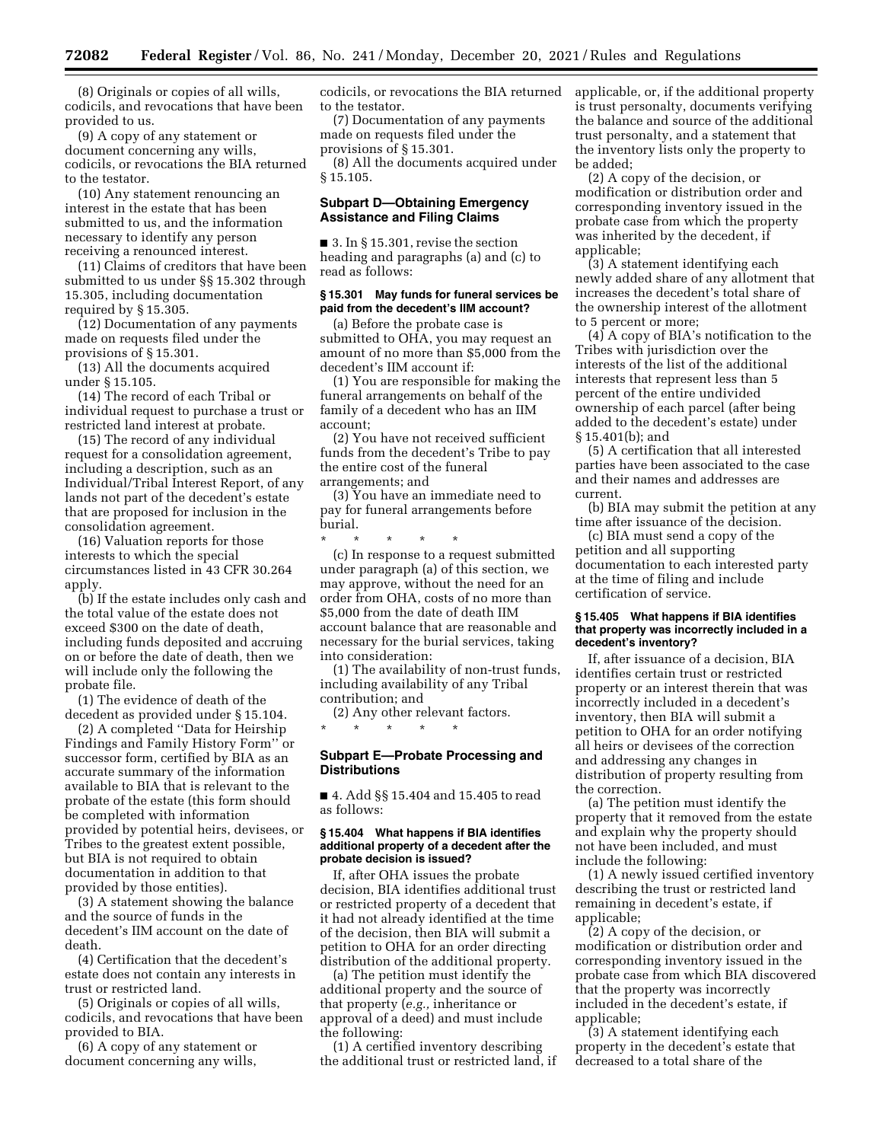(8) Originals or copies of all wills, codicils, and revocations that have been provided to us.

(9) A copy of any statement or document concerning any wills, codicils, or revocations the BIA returned to the testator.

(10) Any statement renouncing an interest in the estate that has been submitted to us, and the information necessary to identify any person receiving a renounced interest.

(11) Claims of creditors that have been submitted to us under §§ 15.302 through 15.305, including documentation required by § 15.305.

(12) Documentation of any payments made on requests filed under the provisions of § 15.301.

(13) All the documents acquired under § 15.105.

(14) The record of each Tribal or individual request to purchase a trust or restricted land interest at probate.

(15) The record of any individual request for a consolidation agreement, including a description, such as an Individual/Tribal Interest Report, of any lands not part of the decedent's estate that are proposed for inclusion in the consolidation agreement.

(16) Valuation reports for those interests to which the special circumstances listed in 43 CFR 30.264 apply.

(b) If the estate includes only cash and the total value of the estate does not exceed \$300 on the date of death, including funds deposited and accruing on or before the date of death, then we will include only the following the probate file.

(1) The evidence of death of the decedent as provided under § 15.104.

(2) A completed ''Data for Heirship Findings and Family History Form'' or successor form, certified by BIA as an accurate summary of the information available to BIA that is relevant to the probate of the estate (this form should be completed with information provided by potential heirs, devisees, or Tribes to the greatest extent possible, but BIA is not required to obtain documentation in addition to that provided by those entities).

(3) A statement showing the balance and the source of funds in the decedent's IIM account on the date of death.

(4) Certification that the decedent's estate does not contain any interests in trust or restricted land.

(5) Originals or copies of all wills, codicils, and revocations that have been provided to BIA.

(6) A copy of any statement or document concerning any wills,

codicils, or revocations the BIA returned to the testator.

(7) Documentation of any payments made on requests filed under the provisions of § 15.301.

(8) All the documents acquired under § 15.105.

## **Subpart D—Obtaining Emergency Assistance and Filing Claims**

■ 3. In § 15.301, revise the section heading and paragraphs (a) and (c) to read as follows:

#### **§ 15.301 May funds for funeral services be paid from the decedent's IIM account?**

(a) Before the probate case is submitted to OHA, you may request an amount of no more than \$5,000 from the decedent's IIM account if:

(1) You are responsible for making the funeral arrangements on behalf of the family of a decedent who has an IIM account;

(2) You have not received sufficient funds from the decedent's Tribe to pay the entire cost of the funeral arrangements; and

(3) You have an immediate need to pay for funeral arrangements before burial.

\* \* \* \* \* (c) In response to a request submitted under paragraph (a) of this section, we may approve, without the need for an order from OHA, costs of no more than \$5,000 from the date of death IIM account balance that are reasonable and necessary for the burial services, taking into consideration:

(1) The availability of non-trust funds, including availability of any Tribal contribution; and

(2) Any other relevant factors. \* \* \* \* \*

## **Subpart E—Probate Processing and Distributions**

■ 4. Add §§ 15.404 and 15.405 to read as follows:

## **§ 15.404 What happens if BIA identifies additional property of a decedent after the probate decision is issued?**

If, after OHA issues the probate decision, BIA identifies additional trust or restricted property of a decedent that it had not already identified at the time of the decision, then BIA will submit a petition to OHA for an order directing distribution of the additional property.

(a) The petition must identify the additional property and the source of that property (*e.g.,* inheritance or approval of a deed) and must include the following:

(1) A certified inventory describing the additional trust or restricted land, if applicable, or, if the additional property is trust personalty, documents verifying the balance and source of the additional trust personalty, and a statement that the inventory lists only the property to be added;

(2) A copy of the decision, or modification or distribution order and corresponding inventory issued in the probate case from which the property was inherited by the decedent, if applicable;

(3) A statement identifying each newly added share of any allotment that increases the decedent's total share of the ownership interest of the allotment to 5 percent or more;

(4) A copy of BIA's notification to the Tribes with jurisdiction over the interests of the list of the additional interests that represent less than 5 percent of the entire undivided ownership of each parcel (after being added to the decedent's estate) under § 15.401(b); and

(5) A certification that all interested parties have been associated to the case and their names and addresses are current.

(b) BIA may submit the petition at any time after issuance of the decision.

(c) BIA must send a copy of the petition and all supporting documentation to each interested party at the time of filing and include certification of service.

### **§ 15.405 What happens if BIA identifies that property was incorrectly included in a decedent's inventory?**

If, after issuance of a decision, BIA identifies certain trust or restricted property or an interest therein that was incorrectly included in a decedent's inventory, then BIA will submit a petition to OHA for an order notifying all heirs or devisees of the correction and addressing any changes in distribution of property resulting from the correction.

(a) The petition must identify the property that it removed from the estate and explain why the property should not have been included, and must include the following:

(1) A newly issued certified inventory describing the trust or restricted land remaining in decedent's estate, if applicable;

(2) A copy of the decision, or modification or distribution order and corresponding inventory issued in the probate case from which BIA discovered that the property was incorrectly included in the decedent's estate, if applicable;

(3) A statement identifying each property in the decedent's estate that decreased to a total share of the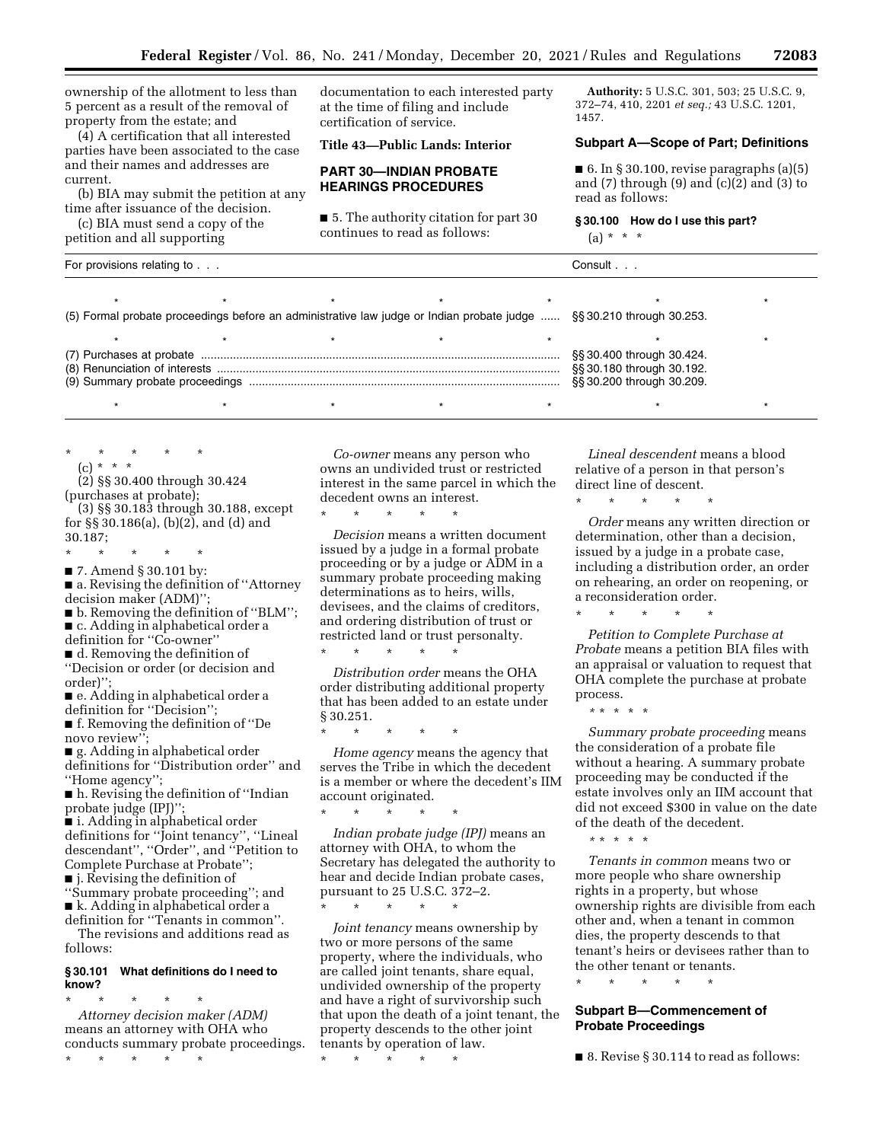ownership of the allotment to less than 5 percent as a result of the removal of property from the estate; and

(4) A certification that all interested parties have been associated to the case and their names and addresses are current.

(b) BIA may submit the petition at any time after issuance of the decision.

(c) BIA must send a copy of the petition and all supporting

documentation to each interested party at the time of filing and include certification of service.

**Title 43—Public Lands: Interior** 

### **PART 30—INDIAN PROBATE HEARINGS PROCEDURES**

■ 5. The authority citation for part 30 continues to read as follows:

**Authority:** 5 U.S.C. 301, 503; 25 U.S.C. 9, 372–74, 410, 2201 *et seq.;* 43 U.S.C. 1201, 1457.

#### **Subpart A—Scope of Part; Definitions**

■ 6. In § 30.100, revise paragraphs (a)(5) and  $(7)$  through  $(9)$  and  $(c)(2)$  and  $(3)$  to read as follows:

**§ 30.100 How do I use this part?**   $(a) * * * *$ 

| For provisions relating to                                                                                          |  |  |  | Consult                                                                             |  |  |
|---------------------------------------------------------------------------------------------------------------------|--|--|--|-------------------------------------------------------------------------------------|--|--|
| (5) Formal probate proceedings before an administrative law judge or Indian probate judge  §§30.210 through 30.253. |  |  |  |                                                                                     |  |  |
|                                                                                                                     |  |  |  |                                                                                     |  |  |
|                                                                                                                     |  |  |  | §§ 30.400 through 30.424.<br>§§ 30.180 through 30.192.<br>§§ 30.200 through 30.209. |  |  |
|                                                                                                                     |  |  |  |                                                                                     |  |  |

\* \* \* \* \*

(c) \* \* \* (2) §§ 30.400 through 30.424

(purchases at probate);

(3) §§ 30.183 through 30.188, except for §§ 30.186(a), (b)(2), and (d) and 30.187;

\* \* \* \* \*

■ 7. Amend § 30.101 by:

■ a. Revising the definition of "Attorney decision maker (ADM)'';

■ b. Removing the definition of "BLM"; ■ c. Adding in alphabetical order a

definition for ''Co-owner''

■ d. Removing the definition of ''Decision or order (or decision and

order)''; ■ e. Adding in alphabetical order a definition for ''Decision'';

■ f. Removing the definition of "De novo review"

■ g. Adding in alphabetical order definitions for ''Distribution order'' and ''Home agency'';

■ h. Revising the definition of "Indian probate judge (IPJ)'';

■ i. Adding in alphabetical order definitions for ''Joint tenancy'', ''Lineal descendant'', ''Order'', and ''Petition to Complete Purchase at Probate''; ■ j. Revising the definition of

''Summary probate proceeding''; and ■ k. Adding in alphabetical order a definition for ''Tenants in common''.

The revisions and additions read as follows:

## **§ 30.101 What definitions do I need to know?**

\* \* \* \* \* *Attorney decision maker (ADM)*  means an attorney with OHA who conducts summary probate proceedings. \* \* \* \* \*

*Co-owner* means any person who owns an undivided trust or restricted interest in the same parcel in which the decedent owns an interest.

\* \* \* \* \* *Decision* means a written document issued by a judge in a formal probate proceeding or by a judge or ADM in a summary probate proceeding making determinations as to heirs, wills, devisees, and the claims of creditors, and ordering distribution of trust or restricted land or trust personalty.

\* \* \* \* \*

*Distribution order* means the OHA order distributing additional property that has been added to an estate under § 30.251.

\* \* \* \* \*

*Home agency* means the agency that serves the Tribe in which the decedent is a member or where the decedent's IIM account originated.

\* \* \* \* \* *Indian probate judge (IPJ)* means an attorney with OHA, to whom the

Secretary has delegated the authority to hear and decide Indian probate cases, pursuant to 25 U.S.C. 372–2. \* \* \* \* \*

*Joint tenancy* means ownership by two or more persons of the same property, where the individuals, who are called joint tenants, share equal, undivided ownership of the property and have a right of survivorship such that upon the death of a joint tenant, the property descends to the other joint tenants by operation of law.

\* \* \* \* \*

*Lineal descendent* means a blood relative of a person in that person's direct line of descent.

\* \* \* \* \*

*Order* means any written direction or determination, other than a decision, issued by a judge in a probate case, including a distribution order, an order on rehearing, an order on reopening, or a reconsideration order.

\* \* \* \* \*

*Petition to Complete Purchase at Probate* means a petition BIA files with an appraisal or valuation to request that OHA complete the purchase at probate process.

*\** \* \* \* \*

*Summary probate proceeding* means the consideration of a probate file without a hearing. A summary probate proceeding may be conducted if the estate involves only an IIM account that did not exceed \$300 in value on the date of the death of the decedent.

*\** \* \* \* \*

*Tenants in common* means two or more people who share ownership rights in a property, but whose ownership rights are divisible from each other and, when a tenant in common dies, the property descends to that tenant's heirs or devisees rather than to the other tenant or tenants.

\* \* \* \* \*

## **Subpart B—Commencement of Probate Proceedings**

■ 8. Revise § 30.114 to read as follows: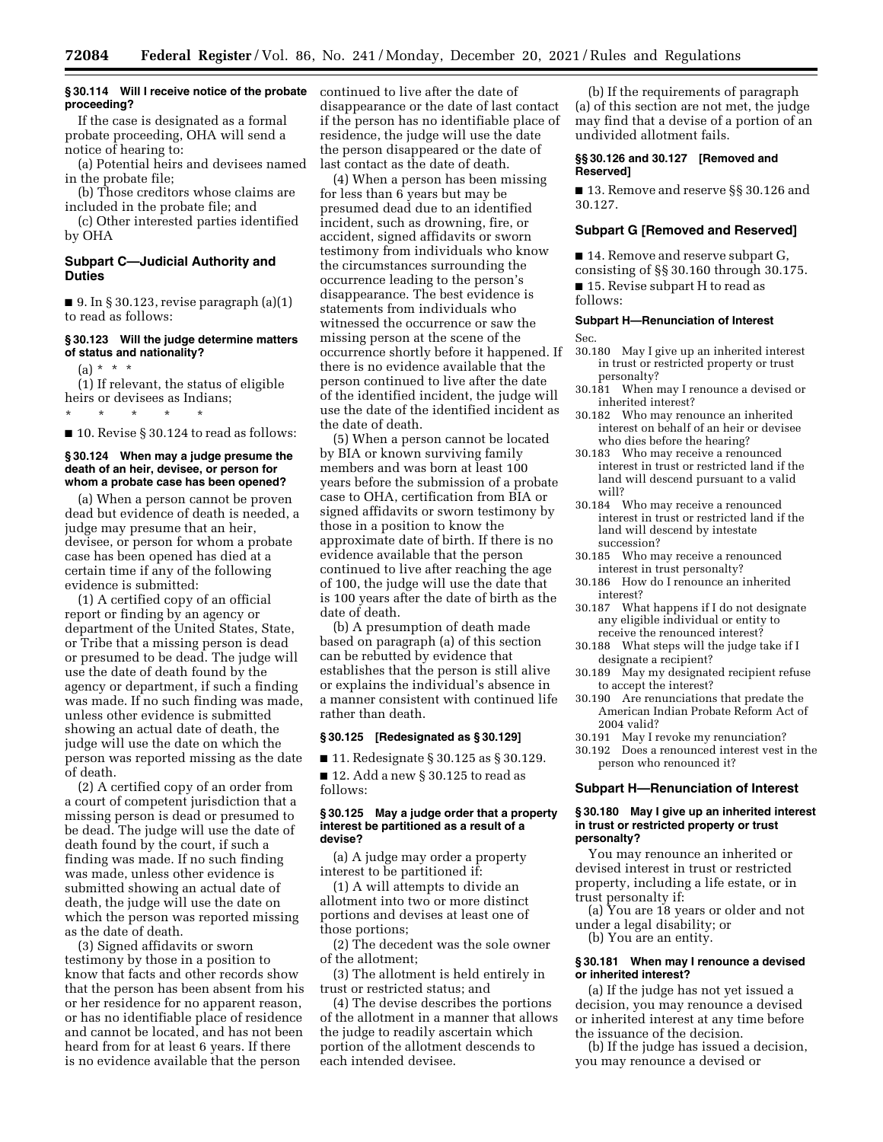## **§ 30.114 Will I receive notice of the probate proceeding?**

If the case is designated as a formal probate proceeding, OHA will send a notice of hearing to:

(a) Potential heirs and devisees named in the probate file;

(b) Those creditors whose claims are included in the probate file; and

(c) Other interested parties identified by OHA

### **Subpart C—Judicial Authority and Duties**

 $\blacksquare$  9. In § 30.123, revise paragraph (a)(1) to read as follows:

## **§ 30.123 Will the judge determine matters of status and nationality?**

 $(a) * * * *$ 

(1) If relevant, the status of eligible heirs or devisees as Indians;

\* \* \* \* \*

■ 10. Revise § 30.124 to read as follows:

#### **§ 30.124 When may a judge presume the death of an heir, devisee, or person for whom a probate case has been opened?**

(a) When a person cannot be proven dead but evidence of death is needed, a judge may presume that an heir, devisee, or person for whom a probate case has been opened has died at a certain time if any of the following evidence is submitted:

(1) A certified copy of an official report or finding by an agency or department of the United States, State, or Tribe that a missing person is dead or presumed to be dead. The judge will use the date of death found by the agency or department, if such a finding was made. If no such finding was made, unless other evidence is submitted showing an actual date of death, the judge will use the date on which the person was reported missing as the date of death.

(2) A certified copy of an order from a court of competent jurisdiction that a missing person is dead or presumed to be dead. The judge will use the date of death found by the court, if such a finding was made. If no such finding was made, unless other evidence is submitted showing an actual date of death, the judge will use the date on which the person was reported missing as the date of death.

(3) Signed affidavits or sworn testimony by those in a position to know that facts and other records show that the person has been absent from his or her residence for no apparent reason, or has no identifiable place of residence and cannot be located, and has not been heard from for at least 6 years. If there is no evidence available that the person

continued to live after the date of disappearance or the date of last contact if the person has no identifiable place of residence, the judge will use the date the person disappeared or the date of last contact as the date of death.

(4) When a person has been missing for less than 6 years but may be presumed dead due to an identified incident, such as drowning, fire, or accident, signed affidavits or sworn testimony from individuals who know the circumstances surrounding the occurrence leading to the person's disappearance. The best evidence is statements from individuals who witnessed the occurrence or saw the missing person at the scene of the occurrence shortly before it happened. If there is no evidence available that the person continued to live after the date of the identified incident, the judge will use the date of the identified incident as the date of death.

(5) When a person cannot be located by BIA or known surviving family members and was born at least 100 years before the submission of a probate case to OHA, certification from BIA or signed affidavits or sworn testimony by those in a position to know the approximate date of birth. If there is no evidence available that the person continued to live after reaching the age of 100, the judge will use the date that is 100 years after the date of birth as the date of death.

(b) A presumption of death made based on paragraph (a) of this section can be rebutted by evidence that establishes that the person is still alive or explains the individual's absence in a manner consistent with continued life rather than death.

### **§ 30.125 [Redesignated as § 30.129]**

■ 11. Redesignate § 30.125 as § 30.129.

■ 12. Add a new § 30.125 to read as follows:

#### **§ 30.125 May a judge order that a property interest be partitioned as a result of a devise?**

(a) A judge may order a property interest to be partitioned if:

(1) A will attempts to divide an allotment into two or more distinct portions and devises at least one of those portions;

(2) The decedent was the sole owner of the allotment;

(3) The allotment is held entirely in trust or restricted status; and

(4) The devise describes the portions of the allotment in a manner that allows the judge to readily ascertain which portion of the allotment descends to each intended devisee.

(b) If the requirements of paragraph (a) of this section are not met, the judge may find that a devise of a portion of an undivided allotment fails.

### **§§ 30.126 and 30.127 [Removed and Reserved]**

■ 13. Remove and reserve §§ 30.126 and 30.127.

### **Subpart G [Removed and Reserved]**

■ 14. Remove and reserve subpart G, consisting of §§ 30.160 through 30.175. ■ 15. Revise subpart H to read as follows:

# **Subpart H—Renunciation of Interest**

Sec.

- 30.180 May I give up an inherited interest in trust or restricted property or trust personalty?
- 30.181 When may I renounce a devised or inherited interest?
- 30.182 Who may renounce an inherited interest on behalf of an heir or devisee who dies before the hearing?
- 30.183 Who may receive a renounced interest in trust or restricted land if the land will descend pursuant to a valid will?
- 30.184 Who may receive a renounced interest in trust or restricted land if the land will descend by intestate succession?
- 30.185 Who may receive a renounced interest in trust personalty?
- 30.186 How do I renounce an inherited interest?
- 30.187 What happens if I do not designate any eligible individual or entity to receive the renounced interest?
- 30.188 What steps will the judge take if I designate a recipient?
- 30.189 May my designated recipient refuse to accept the interest?
- 30.190 Are renunciations that predate the American Indian Probate Reform Act of 2004 valid?
- 30.191 May I revoke my renunciation?
- 30.192 Does a renounced interest vest in the person who renounced it?

#### **Subpart H—Renunciation of Interest**

#### **§ 30.180 May I give up an inherited interest in trust or restricted property or trust personalty?**

You may renounce an inherited or devised interest in trust or restricted property, including a life estate, or in trust personalty if:

(a) You are 18 years or older and not under a legal disability; or

(b) You are an entity.

#### **§ 30.181 When may I renounce a devised or inherited interest?**

(a) If the judge has not yet issued a decision, you may renounce a devised or inherited interest at any time before the issuance of the decision.

(b) If the judge has issued a decision, you may renounce a devised or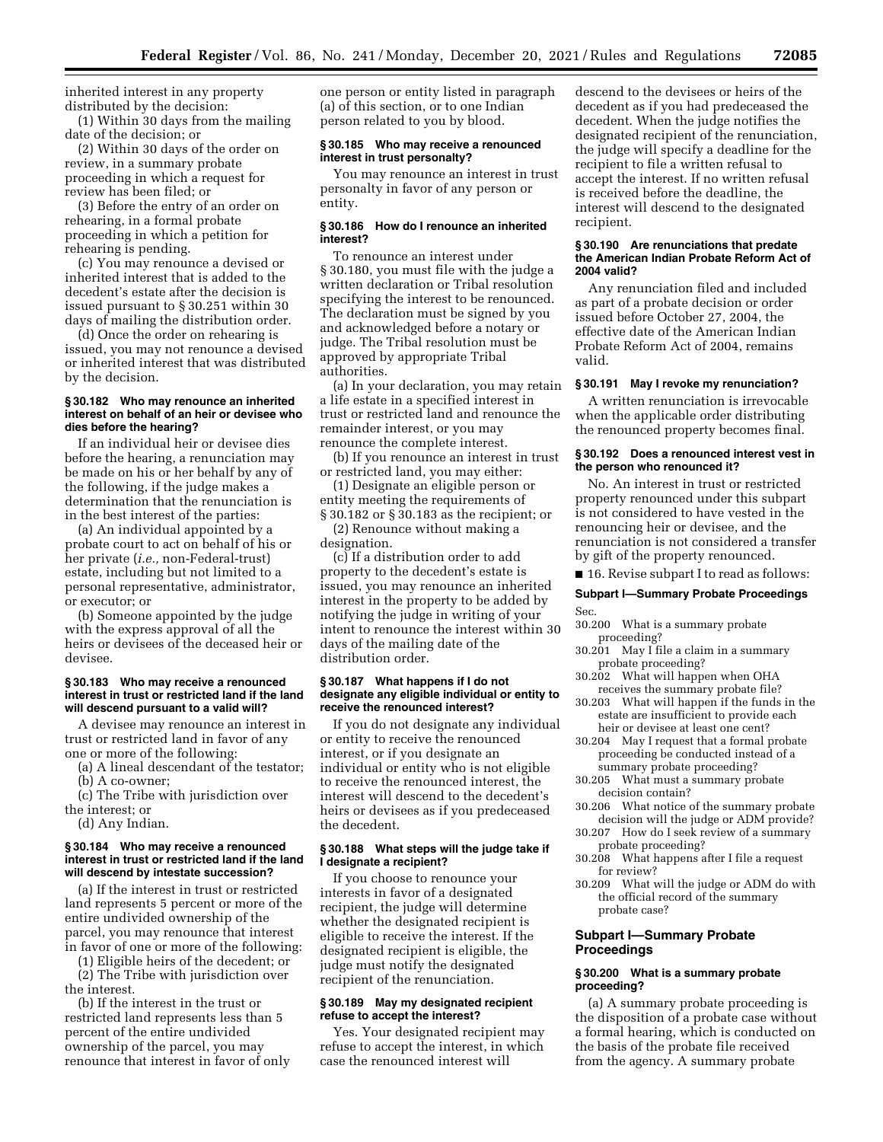inherited interest in any property distributed by the decision:

(1) Within 30 days from the mailing date of the decision; or

(2) Within 30 days of the order on review, in a summary probate proceeding in which a request for review has been filed; or

(3) Before the entry of an order on rehearing, in a formal probate proceeding in which a petition for rehearing is pending.

(c) You may renounce a devised or inherited interest that is added to the decedent's estate after the decision is issued pursuant to § 30.251 within 30 days of mailing the distribution order.

(d) Once the order on rehearing is issued, you may not renounce a devised or inherited interest that was distributed by the decision.

### **§ 30.182 Who may renounce an inherited interest on behalf of an heir or devisee who dies before the hearing?**

If an individual heir or devisee dies before the hearing, a renunciation may be made on his or her behalf by any of the following, if the judge makes a determination that the renunciation is in the best interest of the parties:

(a) An individual appointed by a probate court to act on behalf of his or her private (*i.e.,* non-Federal-trust) estate, including but not limited to a personal representative, administrator, or executor; or

(b) Someone appointed by the judge with the express approval of all the heirs or devisees of the deceased heir or devisee.

#### **§ 30.183 Who may receive a renounced interest in trust or restricted land if the land will descend pursuant to a valid will?**

A devisee may renounce an interest in trust or restricted land in favor of any one or more of the following:

- (a) A lineal descendant of the testator;
- (b) A co-owner;

(c) The Tribe with jurisdiction over the interest; or

(d) Any Indian.

### **§ 30.184 Who may receive a renounced interest in trust or restricted land if the land will descend by intestate succession?**

(a) If the interest in trust or restricted land represents 5 percent or more of the entire undivided ownership of the parcel, you may renounce that interest in favor of one or more of the following:

(1) Eligible heirs of the decedent; or

(2) The Tribe with jurisdiction over the interest.

(b) If the interest in the trust or restricted land represents less than 5 percent of the entire undivided ownership of the parcel, you may renounce that interest in favor of only one person or entity listed in paragraph (a) of this section, or to one Indian person related to you by blood.

## **§ 30.185 Who may receive a renounced interest in trust personalty?**

You may renounce an interest in trust personalty in favor of any person or entity.

### **§ 30.186 How do I renounce an inherited interest?**

To renounce an interest under § 30.180, you must file with the judge a written declaration or Tribal resolution specifying the interest to be renounced. The declaration must be signed by you and acknowledged before a notary or judge. The Tribal resolution must be approved by appropriate Tribal authorities.

(a) In your declaration, you may retain a life estate in a specified interest in trust or restricted land and renounce the remainder interest, or you may renounce the complete interest.

(b) If you renounce an interest in trust or restricted land, you may either:

(1) Designate an eligible person or entity meeting the requirements of § 30.182 or § 30.183 as the recipient; or

(2) Renounce without making a designation.

(c) If a distribution order to add property to the decedent's estate is issued, you may renounce an inherited interest in the property to be added by notifying the judge in writing of your intent to renounce the interest within 30 days of the mailing date of the distribution order.

#### **§ 30.187 What happens if I do not designate any eligible individual or entity to receive the renounced interest?**

If you do not designate any individual or entity to receive the renounced interest, or if you designate an individual or entity who is not eligible to receive the renounced interest, the interest will descend to the decedent's heirs or devisees as if you predeceased the decedent.

## **§ 30.188 What steps will the judge take if I designate a recipient?**

If you choose to renounce your interests in favor of a designated recipient, the judge will determine whether the designated recipient is eligible to receive the interest. If the designated recipient is eligible, the judge must notify the designated recipient of the renunciation.

## **§ 30.189 May my designated recipient refuse to accept the interest?**

Yes. Your designated recipient may refuse to accept the interest, in which case the renounced interest will

descend to the devisees or heirs of the decedent as if you had predeceased the decedent. When the judge notifies the designated recipient of the renunciation, the judge will specify a deadline for the recipient to file a written refusal to accept the interest. If no written refusal is received before the deadline, the interest will descend to the designated recipient.

#### **§ 30.190 Are renunciations that predate the American Indian Probate Reform Act of 2004 valid?**

Any renunciation filed and included as part of a probate decision or order issued before October 27, 2004, the effective date of the American Indian Probate Reform Act of 2004, remains valid.

#### **§ 30.191 May I revoke my renunciation?**

A written renunciation is irrevocable when the applicable order distributing the renounced property becomes final.

### **§ 30.192 Does a renounced interest vest in the person who renounced it?**

No. An interest in trust or restricted property renounced under this subpart is not considered to have vested in the renouncing heir or devisee, and the renunciation is not considered a transfer by gift of the property renounced.

■ 16. Revise subpart I to read as follows:

## **Subpart I—Summary Probate Proceedings**  Sec.

- 30.200 What is a summary probate proceeding?
- 30.201 May I file a claim in a summary probate proceeding?
- 30.202 What will happen when OHA receives the summary probate file?
- 30.203 What will happen if the funds in the estate are insufficient to provide each heir or devisee at least one cent?
- 30.204 May I request that a formal probate proceeding be conducted instead of a summary probate proceeding?
- 30.205 What must a summary probate decision contain?
- 30.206 What notice of the summary probate
- decision will the judge or ADM provide? 30.207 How do I seek review of a summary
- probate proceeding? 30.208 What happens after I file a request for review?
- 30.209 What will the judge or ADM do with the official record of the summary probate case?

## **Subpart I—Summary Probate Proceedings**

### **§ 30.200 What is a summary probate proceeding?**

(a) A summary probate proceeding is the disposition of a probate case without a formal hearing, which is conducted on the basis of the probate file received from the agency. A summary probate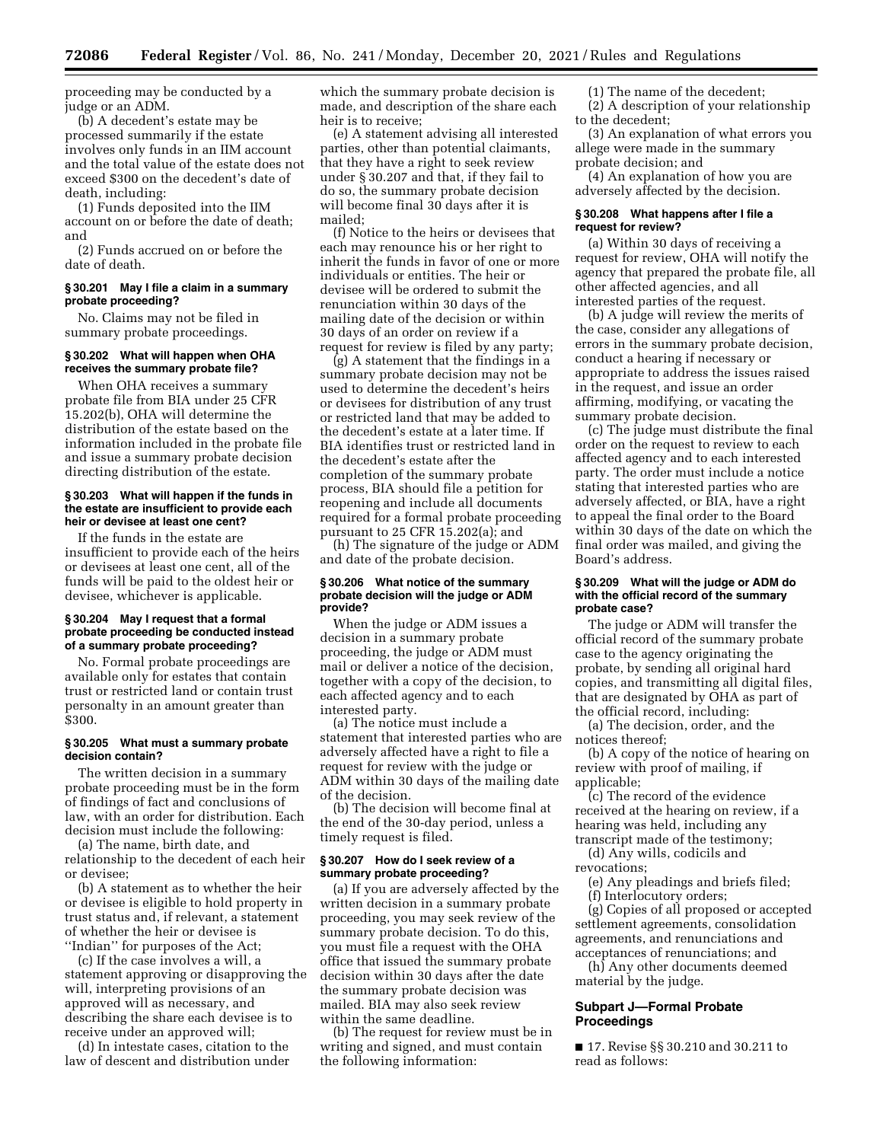proceeding may be conducted by a judge or an ADM.

(b) A decedent's estate may be processed summarily if the estate involves only funds in an IIM account and the total value of the estate does not exceed \$300 on the decedent's date of death, including:

(1) Funds deposited into the IIM account on or before the date of death; and

(2) Funds accrued on or before the date of death.

#### **§ 30.201 May I file a claim in a summary probate proceeding?**

No. Claims may not be filed in summary probate proceedings.

### **§ 30.202 What will happen when OHA receives the summary probate file?**

When OHA receives a summary probate file from BIA under 25 CFR 15.202(b), OHA will determine the distribution of the estate based on the information included in the probate file and issue a summary probate decision directing distribution of the estate.

#### **§ 30.203 What will happen if the funds in the estate are insufficient to provide each heir or devisee at least one cent?**

If the funds in the estate are insufficient to provide each of the heirs or devisees at least one cent, all of the funds will be paid to the oldest heir or devisee, whichever is applicable.

#### **§ 30.204 May I request that a formal probate proceeding be conducted instead of a summary probate proceeding?**

No. Formal probate proceedings are available only for estates that contain trust or restricted land or contain trust personalty in an amount greater than \$300.

## **§ 30.205 What must a summary probate decision contain?**

The written decision in a summary probate proceeding must be in the form of findings of fact and conclusions of law, with an order for distribution. Each decision must include the following:

(a) The name, birth date, and relationship to the decedent of each heir or devisee;

(b) A statement as to whether the heir or devisee is eligible to hold property in trust status and, if relevant, a statement of whether the heir or devisee is ''Indian'' for purposes of the Act;

(c) If the case involves a will, a statement approving or disapproving the will, interpreting provisions of an approved will as necessary, and describing the share each devisee is to receive under an approved will;

(d) In intestate cases, citation to the law of descent and distribution under which the summary probate decision is made, and description of the share each heir is to receive;

(e) A statement advising all interested parties, other than potential claimants, that they have a right to seek review under § 30.207 and that, if they fail to do so, the summary probate decision will become final 30 days after it is mailed;

(f) Notice to the heirs or devisees that each may renounce his or her right to inherit the funds in favor of one or more individuals or entities. The heir or devisee will be ordered to submit the renunciation within 30 days of the mailing date of the decision or within 30 days of an order on review if a request for review is filed by any party;

(g) A statement that the findings in a summary probate decision may not be used to determine the decedent's heirs or devisees for distribution of any trust or restricted land that may be added to the decedent's estate at a later time. If BIA identifies trust or restricted land in the decedent's estate after the completion of the summary probate process, BIA should file a petition for reopening and include all documents required for a formal probate proceeding pursuant to 25 CFR 15.202(a); and

(h) The signature of the judge or ADM and date of the probate decision.

### **§ 30.206 What notice of the summary probate decision will the judge or ADM provide?**

When the judge or ADM issues a decision in a summary probate proceeding, the judge or ADM must mail or deliver a notice of the decision, together with a copy of the decision, to each affected agency and to each interested party.

(a) The notice must include a statement that interested parties who are adversely affected have a right to file a request for review with the judge or ADM within 30 days of the mailing date of the decision.

(b) The decision will become final at the end of the 30-day period, unless a timely request is filed.

### **§ 30.207 How do I seek review of a summary probate proceeding?**

(a) If you are adversely affected by the written decision in a summary probate proceeding, you may seek review of the summary probate decision. To do this, you must file a request with the OHA office that issued the summary probate decision within 30 days after the date the summary probate decision was mailed. BIA may also seek review within the same deadline.

(b) The request for review must be in writing and signed, and must contain the following information:

(1) The name of the decedent;

(2) A description of your relationship to the decedent;

(3) An explanation of what errors you allege were made in the summary probate decision; and

(4) An explanation of how you are adversely affected by the decision.

#### **§ 30.208 What happens after I file a request for review?**

(a) Within 30 days of receiving a request for review, OHA will notify the agency that prepared the probate file, all other affected agencies, and all interested parties of the request.

(b) A judge will review the merits of the case, consider any allegations of errors in the summary probate decision, conduct a hearing if necessary or appropriate to address the issues raised in the request, and issue an order affirming, modifying, or vacating the summary probate decision.

(c) The judge must distribute the final order on the request to review to each affected agency and to each interested party. The order must include a notice stating that interested parties who are adversely affected, or BIA, have a right to appeal the final order to the Board within 30 days of the date on which the final order was mailed, and giving the Board's address.

#### **§ 30.209 What will the judge or ADM do with the official record of the summary probate case?**

The judge or ADM will transfer the official record of the summary probate case to the agency originating the probate, by sending all original hard copies, and transmitting all digital files, that are designated by OHA as part of the official record, including:

(a) The decision, order, and the notices thereof;

(b) A copy of the notice of hearing on review with proof of mailing, if applicable;

(c) The record of the evidence received at the hearing on review, if a hearing was held, including any transcript made of the testimony;

(d) Any wills, codicils and revocations;

(e) Any pleadings and briefs filed; (f) Interlocutory orders;

(g) Copies of all proposed or accepted settlement agreements, consolidation agreements, and renunciations and acceptances of renunciations; and

(h) Any other documents deemed material by the judge.

## **Subpart J—Formal Probate Proceedings**

■ 17. Revise §§ 30.210 and 30.211 to read as follows: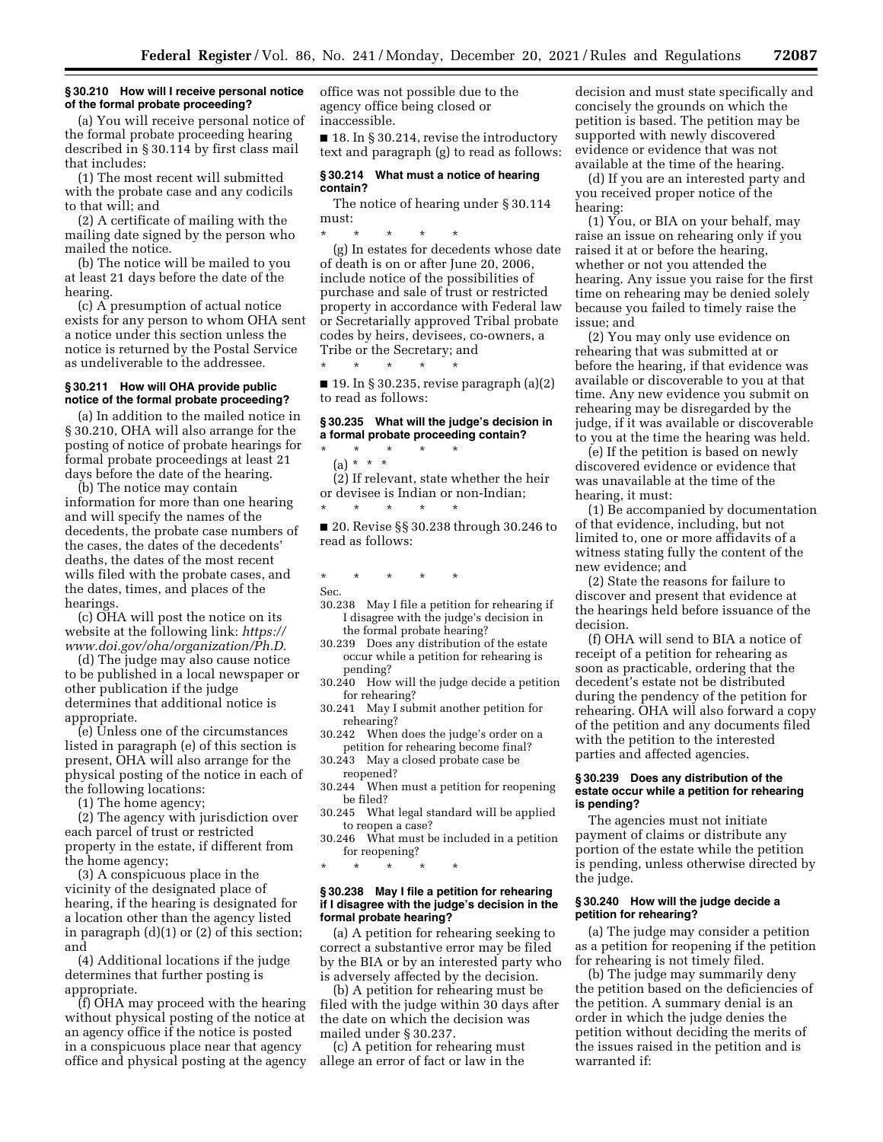#### **§ 30.210 How will I receive personal notice of the formal probate proceeding?**

(a) You will receive personal notice of the formal probate proceeding hearing described in § 30.114 by first class mail that includes:

(1) The most recent will submitted with the probate case and any codicils to that will; and

(2) A certificate of mailing with the mailing date signed by the person who mailed the notice.

(b) The notice will be mailed to you at least 21 days before the date of the hearing.

(c) A presumption of actual notice exists for any person to whom OHA sent a notice under this section unless the notice is returned by the Postal Service as undeliverable to the addressee.

#### **§ 30.211 How will OHA provide public notice of the formal probate proceeding?**

(a) In addition to the mailed notice in § 30.210, OHA will also arrange for the posting of notice of probate hearings for formal probate proceedings at least 21 days before the date of the hearing.

(b) The notice may contain information for more than one hearing and will specify the names of the decedents, the probate case numbers of the cases, the dates of the decedents' deaths, the dates of the most recent wills filed with the probate cases, and the dates, times, and places of the hearings.

(c) OHA will post the notice on its website at the following link: *[https://](https://www.doi.gov/oha/organization/Ph.D) [www.doi.gov/oha/organization/Ph.D.](https://www.doi.gov/oha/organization/Ph.D)* 

(d) The judge may also cause notice to be published in a local newspaper or other publication if the judge determines that additional notice is appropriate.

(e) Unless one of the circumstances listed in paragraph (e) of this section is present, OHA will also arrange for the physical posting of the notice in each of the following locations:

(1) The home agency;

(2) The agency with jurisdiction over each parcel of trust or restricted property in the estate, if different from the home agency;

(3) A conspicuous place in the vicinity of the designated place of hearing, if the hearing is designated for a location other than the agency listed in paragraph (d)(1) or (2) of this section; and

(4) Additional locations if the judge determines that further posting is appropriate.

(f) OHA may proceed with the hearing without physical posting of the notice at an agency office if the notice is posted in a conspicuous place near that agency office and physical posting at the agency office was not possible due to the agency office being closed or inaccessible.

■ 18. In § 30.214, revise the introductory text and paragraph (g) to read as follows:

## **§ 30.214 What must a notice of hearing contain?**

The notice of hearing under § 30.114 must:

\* \* \* \* \* (g) In estates for decedents whose date of death is on or after June 20, 2006,

include notice of the possibilities of purchase and sale of trust or restricted property in accordance with Federal law or Secretarially approved Tribal probate codes by heirs, devisees, co-owners, a Tribe or the Secretary; and

\* \* \* \* \*  $\blacksquare$  19. In § 30.235, revise paragraph (a)(2) to read as follows:

## **§ 30.235 What will the judge's decision in a formal probate proceeding contain?**

- \* \* \* \* \*
	- (a) \* \* \*

(2) If relevant, state whether the heir or devisee is Indian or non-Indian; \* \* \* \* \*

■ 20. Revise §§ 30.238 through 30.246 to read as follows:

\* \* \* \* \*

Sec.

- 30.238 May I file a petition for rehearing if I disagree with the judge's decision in the formal probate hearing?
- 30.239 Does any distribution of the estate occur while a petition for rehearing is pending?
- 30.240 How will the judge decide a petition for rehearing?
- 30.241 May I submit another petition for rehearing?
- 30.242 When does the judge's order on a petition for rehearing become final?

30.243 May a closed probate case be reopened?

30.244 When must a petition for reopening be filed?

30.245 What legal standard will be applied to reopen a case?

30.246 What must be included in a petition for reopening?

\* \* \* \* \*

#### **§ 30.238 May I file a petition for rehearing if I disagree with the judge's decision in the formal probate hearing?**

(a) A petition for rehearing seeking to correct a substantive error may be filed by the BIA or by an interested party who is adversely affected by the decision.

(b) A petition for rehearing must be filed with the judge within 30 days after the date on which the decision was mailed under § 30.237.

(c) A petition for rehearing must allege an error of fact or law in the

decision and must state specifically and concisely the grounds on which the petition is based. The petition may be supported with newly discovered evidence or evidence that was not available at the time of the hearing.

(d) If you are an interested party and you received proper notice of the hearing:

(1) You, or BIA on your behalf, may raise an issue on rehearing only if you raised it at or before the hearing, whether or not you attended the hearing. Any issue you raise for the first time on rehearing may be denied solely because you failed to timely raise the issue; and

(2) You may only use evidence on rehearing that was submitted at or before the hearing, if that evidence was available or discoverable to you at that time. Any new evidence you submit on rehearing may be disregarded by the judge, if it was available or discoverable to you at the time the hearing was held.

(e) If the petition is based on newly discovered evidence or evidence that was unavailable at the time of the hearing, it must:

(1) Be accompanied by documentation of that evidence, including, but not limited to, one or more affidavits of a witness stating fully the content of the new evidence; and

(2) State the reasons for failure to discover and present that evidence at the hearings held before issuance of the decision.

(f) OHA will send to BIA a notice of receipt of a petition for rehearing as soon as practicable, ordering that the decedent's estate not be distributed during the pendency of the petition for rehearing. OHA will also forward a copy of the petition and any documents filed with the petition to the interested parties and affected agencies.

## **§ 30.239 Does any distribution of the estate occur while a petition for rehearing is pending?**

The agencies must not initiate payment of claims or distribute any portion of the estate while the petition is pending, unless otherwise directed by the judge.

## **§ 30.240 How will the judge decide a petition for rehearing?**

(a) The judge may consider a petition as a petition for reopening if the petition for rehearing is not timely filed.

(b) The judge may summarily deny the petition based on the deficiencies of the petition. A summary denial is an order in which the judge denies the petition without deciding the merits of the issues raised in the petition and is warranted if: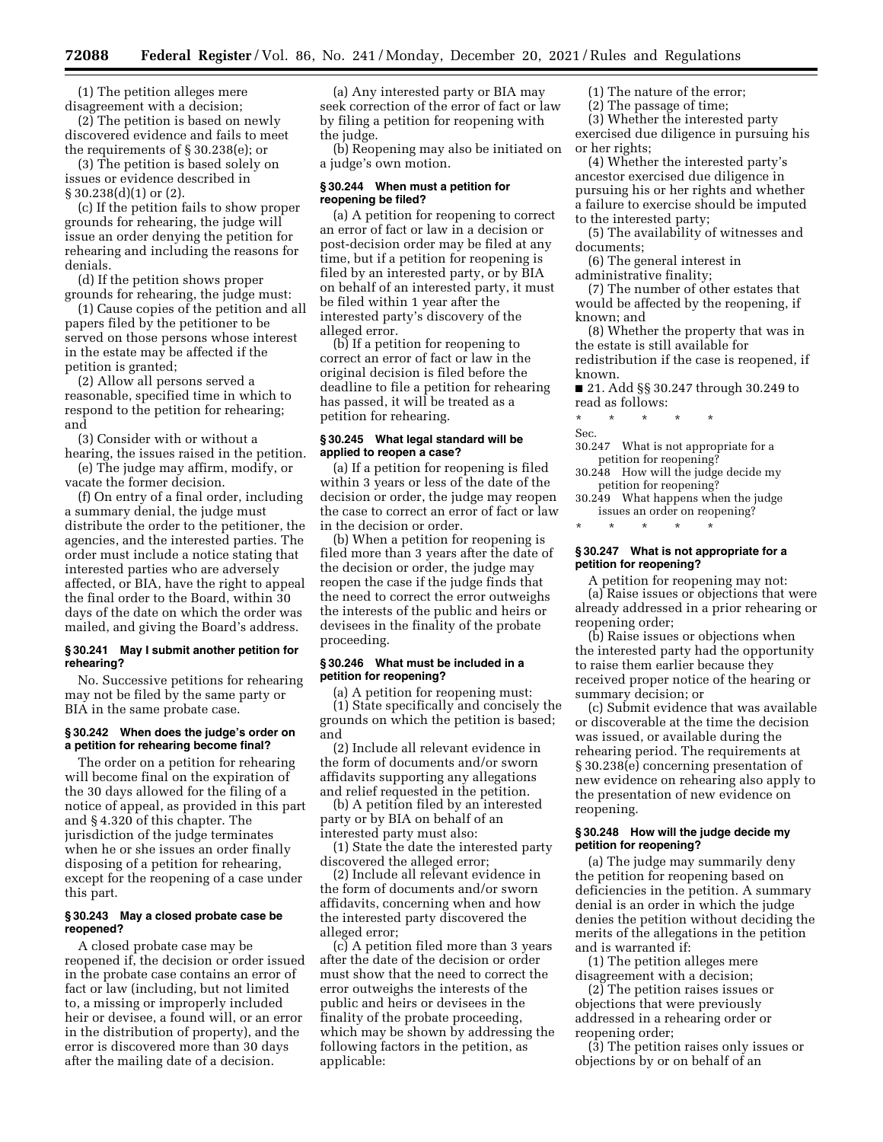(1) The petition alleges mere disagreement with a decision;

(2) The petition is based on newly discovered evidence and fails to meet the requirements of § 30.238(e); or

(3) The petition is based solely on issues or evidence described in § 30.238(d)(1) or (2).

(c) If the petition fails to show proper grounds for rehearing, the judge will issue an order denying the petition for rehearing and including the reasons for denials.

(d) If the petition shows proper grounds for rehearing, the judge must:

(1) Cause copies of the petition and all papers filed by the petitioner to be served on those persons whose interest in the estate may be affected if the petition is granted;

(2) Allow all persons served a reasonable, specified time in which to respond to the petition for rehearing; and

(3) Consider with or without a hearing, the issues raised in the petition.

(e) The judge may affirm, modify, or vacate the former decision.

(f) On entry of a final order, including a summary denial, the judge must distribute the order to the petitioner, the agencies, and the interested parties. The order must include a notice stating that interested parties who are adversely affected, or BIA, have the right to appeal the final order to the Board, within 30 days of the date on which the order was mailed, and giving the Board's address.

## **§ 30.241 May I submit another petition for rehearing?**

No. Successive petitions for rehearing may not be filed by the same party or BIA in the same probate case.

#### **§ 30.242 When does the judge's order on a petition for rehearing become final?**

The order on a petition for rehearing will become final on the expiration of the 30 days allowed for the filing of a notice of appeal, as provided in this part and § 4.320 of this chapter. The jurisdiction of the judge terminates when he or she issues an order finally disposing of a petition for rehearing, except for the reopening of a case under this part.

#### **§ 30.243 May a closed probate case be reopened?**

A closed probate case may be reopened if, the decision or order issued in the probate case contains an error of fact or law (including, but not limited to, a missing or improperly included heir or devisee, a found will, or an error in the distribution of property), and the error is discovered more than 30 days after the mailing date of a decision.

(a) Any interested party or BIA may seek correction of the error of fact or law by filing a petition for reopening with the judge.

(b) Reopening may also be initiated on a judge's own motion.

### **§ 30.244 When must a petition for reopening be filed?**

(a) A petition for reopening to correct an error of fact or law in a decision or post-decision order may be filed at any time, but if a petition for reopening is filed by an interested party, or by BIA on behalf of an interested party, it must be filed within 1 year after the interested party's discovery of the alleged error.

(b) If a petition for reopening to correct an error of fact or law in the original decision is filed before the deadline to file a petition for rehearing has passed, it will be treated as a petition for rehearing.

### **§ 30.245 What legal standard will be applied to reopen a case?**

(a) If a petition for reopening is filed within 3 years or less of the date of the decision or order, the judge may reopen the case to correct an error of fact or law in the decision or order.

(b) When a petition for reopening is filed more than 3 years after the date of the decision or order, the judge may reopen the case if the judge finds that the need to correct the error outweighs the interests of the public and heirs or devisees in the finality of the probate proceeding.

## **§ 30.246 What must be included in a petition for reopening?**

(a) A petition for reopening must: (1) State specifically and concisely the grounds on which the petition is based; and

(2) Include all relevant evidence in the form of documents and/or sworn affidavits supporting any allegations and relief requested in the petition.

(b) A petition filed by an interested party or by BIA on behalf of an interested party must also:

(1) State the date the interested party discovered the alleged error;

(2) Include all relevant evidence in the form of documents and/or sworn affidavits, concerning when and how the interested party discovered the alleged error;

(c) A petition filed more than 3 years after the date of the decision or order must show that the need to correct the error outweighs the interests of the public and heirs or devisees in the finality of the probate proceeding, which may be shown by addressing the following factors in the petition, as applicable:

(1) The nature of the error;

(2) The passage of time;

(3) Whether the interested party exercised due diligence in pursuing his or her rights;

(4) Whether the interested party's ancestor exercised due diligence in pursuing his or her rights and whether a failure to exercise should be imputed to the interested party;

(5) The availability of witnesses and documents;

(6) The general interest in

administrative finality;

(7) The number of other estates that would be affected by the reopening, if known; and

(8) Whether the property that was in the estate is still available for redistribution if the case is reopened, if known.

■ 21. Add §§ 30.247 through 30.249 to read as follows:

\* \* \* \* \* Sec.

30.247 What is not appropriate for a petition for reopening?

30.248 How will the judge decide my petition for reopening?

30.249 What happens when the judge issues an order on reopening?

\* \* \* \* \*

### **§ 30.247 What is not appropriate for a petition for reopening?**

A petition for reopening may not: (a) Raise issues or objections that were already addressed in a prior rehearing or reopening order;

(b) Raise issues or objections when the interested party had the opportunity to raise them earlier because they received proper notice of the hearing or summary decision; or

(c) Submit evidence that was available or discoverable at the time the decision was issued, or available during the rehearing period. The requirements at § 30.238(e) concerning presentation of new evidence on rehearing also apply to the presentation of new evidence on reopening.

## **§ 30.248 How will the judge decide my petition for reopening?**

(a) The judge may summarily deny the petition for reopening based on deficiencies in the petition. A summary denial is an order in which the judge denies the petition without deciding the merits of the allegations in the petition and is warranted if:

(1) The petition alleges mere disagreement with a decision;

 $(2)$  The petition raises issues or objections that were previously addressed in a rehearing order or reopening order;

(3) The petition raises only issues or objections by or on behalf of an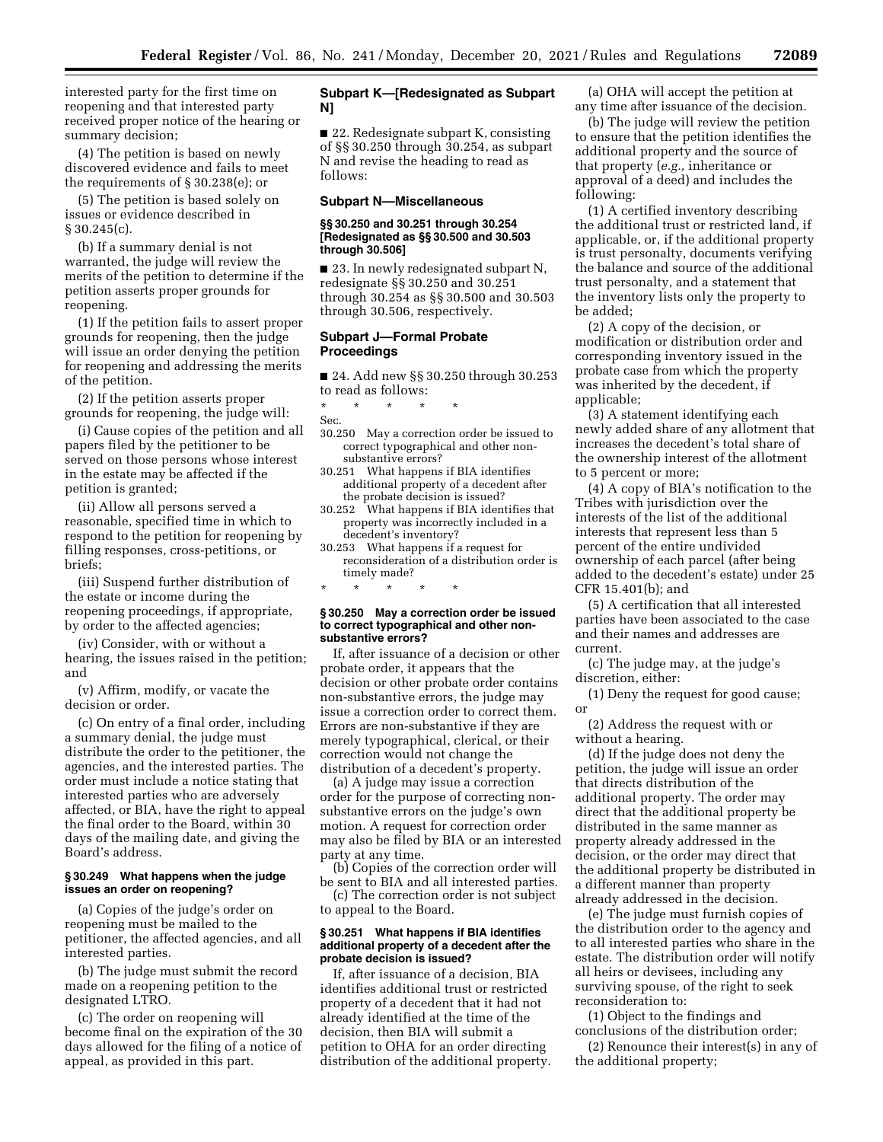interested party for the first time on reopening and that interested party received proper notice of the hearing or summary decision;

(4) The petition is based on newly discovered evidence and fails to meet the requirements of § 30.238(e); or

(5) The petition is based solely on issues or evidence described in § 30.245(c).

(b) If a summary denial is not warranted, the judge will review the merits of the petition to determine if the petition asserts proper grounds for reopening.

(1) If the petition fails to assert proper grounds for reopening, then the judge will issue an order denying the petition for reopening and addressing the merits of the petition.

(2) If the petition asserts proper grounds for reopening, the judge will:

(i) Cause copies of the petition and all papers filed by the petitioner to be served on those persons whose interest in the estate may be affected if the petition is granted;

(ii) Allow all persons served a reasonable, specified time in which to respond to the petition for reopening by filling responses, cross-petitions, or briefs;

(iii) Suspend further distribution of the estate or income during the reopening proceedings, if appropriate, by order to the affected agencies;

(iv) Consider, with or without a hearing, the issues raised in the petition; and

(v) Affirm, modify, or vacate the decision or order.

(c) On entry of a final order, including a summary denial, the judge must distribute the order to the petitioner, the agencies, and the interested parties. The order must include a notice stating that interested parties who are adversely affected, or BIA, have the right to appeal the final order to the Board, within 30 days of the mailing date, and giving the Board's address.

## **§ 30.249 What happens when the judge issues an order on reopening?**

(a) Copies of the judge's order on reopening must be mailed to the petitioner, the affected agencies, and all interested parties.

(b) The judge must submit the record made on a reopening petition to the designated LTRO.

(c) The order on reopening will become final on the expiration of the 30 days allowed for the filing of a notice of appeal, as provided in this part.

## **Subpart K—[Redesignated as Subpart N]**

■ 22. Redesignate subpart K, consisting of §§ 30.250 through 30.254, as subpart N and revise the heading to read as follows:

#### **Subpart N—Miscellaneous**

#### **§§ 30.250 and 30.251 through 30.254 [Redesignated as §§ 30.500 and 30.503 through 30.506]**

■ 23. In newly redesignated subpart N, redesignate §§ 30.250 and 30.251 through 30.254 as §§ 30.500 and 30.503 through 30.506, respectively.

#### **Subpart J—Formal Probate Proceedings**

■ 24. Add new §§ 30.250 through 30.253 to read as follows:

### \* \* \* \* \*

- Sec.
- 30.250 May a correction order be issued to correct typographical and other nonsubstantive errors?
- 30.251 What happens if BIA identifies additional property of a decedent after the probate decision is issued?
- 30.252 What happens if BIA identifies that property was incorrectly included in a decedent's inventory?
- 30.253 What happens if a request for reconsideration of a distribution order is timely made?

\* \* \* \* \*

#### **§ 30.250 May a correction order be issued to correct typographical and other nonsubstantive errors?**

If, after issuance of a decision or other probate order, it appears that the decision or other probate order contains non-substantive errors, the judge may issue a correction order to correct them. Errors are non-substantive if they are merely typographical, clerical, or their correction would not change the distribution of a decedent's property.

(a) A judge may issue a correction order for the purpose of correcting nonsubstantive errors on the judge's own motion. A request for correction order may also be filed by BIA or an interested party at any time.

(b) Copies of the correction order will be sent to BIA and all interested parties.

(c) The correction order is not subject to appeal to the Board.

#### **§ 30.251 What happens if BIA identifies additional property of a decedent after the probate decision is issued?**

If, after issuance of a decision, BIA identifies additional trust or restricted property of a decedent that it had not already identified at the time of the decision, then BIA will submit a petition to OHA for an order directing distribution of the additional property.

(a) OHA will accept the petition at any time after issuance of the decision.

(b) The judge will review the petition to ensure that the petition identifies the additional property and the source of that property (*e.g.,* inheritance or approval of a deed) and includes the following:

(1) A certified inventory describing the additional trust or restricted land, if applicable, or, if the additional property is trust personalty, documents verifying the balance and source of the additional trust personalty, and a statement that the inventory lists only the property to be added;

(2) A copy of the decision, or modification or distribution order and corresponding inventory issued in the probate case from which the property was inherited by the decedent, if applicable;

(3) A statement identifying each newly added share of any allotment that increases the decedent's total share of the ownership interest of the allotment to 5 percent or more;

(4) A copy of BIA's notification to the Tribes with jurisdiction over the interests of the list of the additional interests that represent less than 5 percent of the entire undivided ownership of each parcel (after being added to the decedent's estate) under 25 CFR 15.401(b); and

(5) A certification that all interested parties have been associated to the case and their names and addresses are current.

(c) The judge may, at the judge's discretion, either:

(1) Deny the request for good cause; or

(2) Address the request with or without a hearing.

(d) If the judge does not deny the petition, the judge will issue an order that directs distribution of the additional property. The order may direct that the additional property be distributed in the same manner as property already addressed in the decision, or the order may direct that the additional property be distributed in a different manner than property already addressed in the decision.

(e) The judge must furnish copies of the distribution order to the agency and to all interested parties who share in the estate. The distribution order will notify all heirs or devisees, including any surviving spouse, of the right to seek reconsideration to:

(1) Object to the findings and conclusions of the distribution order;

(2) Renounce their interest(s) in any of the additional property;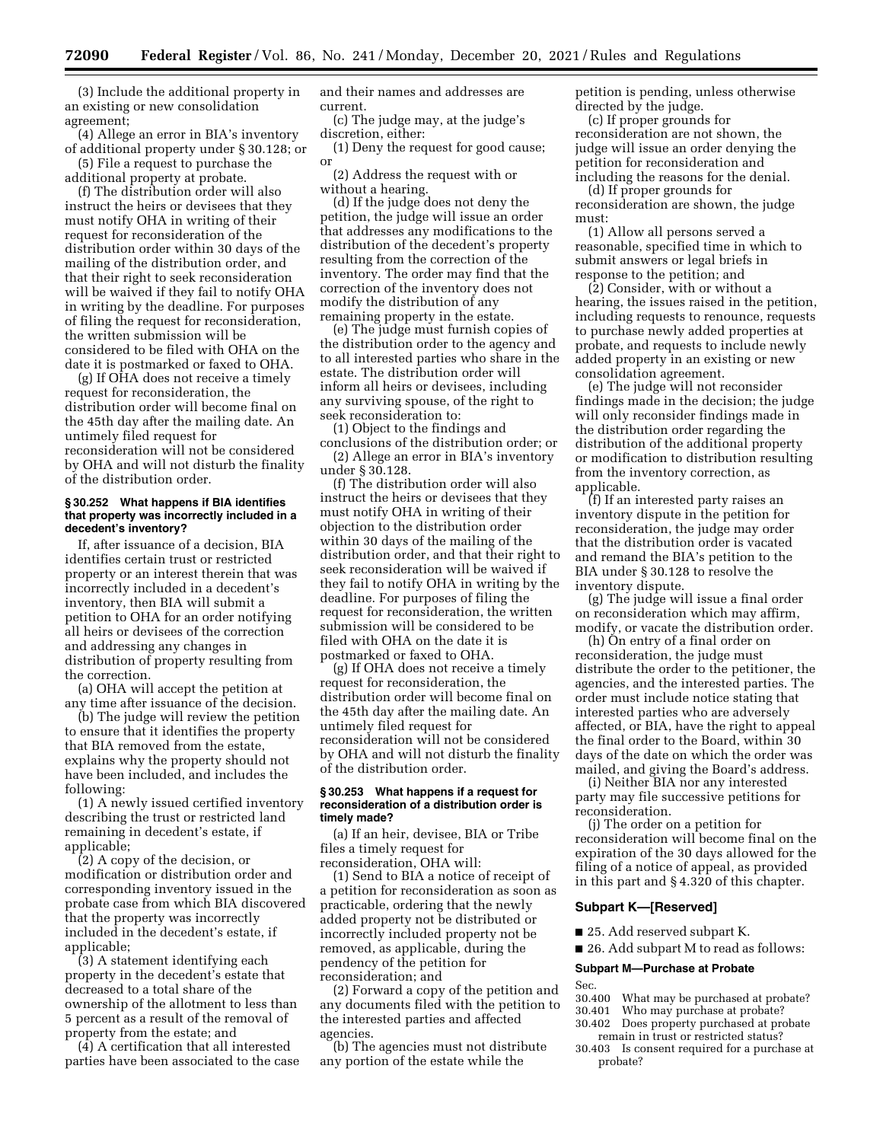(3) Include the additional property in an existing or new consolidation agreement;

(4) Allege an error in BIA's inventory of additional property under § 30.128; or

(5) File a request to purchase the additional property at probate.

(f) The distribution order will also instruct the heirs or devisees that they must notify OHA in writing of their request for reconsideration of the distribution order within 30 days of the mailing of the distribution order, and that their right to seek reconsideration will be waived if they fail to notify OHA in writing by the deadline. For purposes of filing the request for reconsideration, the written submission will be considered to be filed with OHA on the date it is postmarked or faxed to OHA.

(g) If OHA does not receive a timely request for reconsideration, the distribution order will become final on the 45th day after the mailing date. An untimely filed request for reconsideration will not be considered by OHA and will not disturb the finality of the distribution order.

#### **§ 30.252 What happens if BIA identifies that property was incorrectly included in a decedent's inventory?**

If, after issuance of a decision, BIA identifies certain trust or restricted property or an interest therein that was incorrectly included in a decedent's inventory, then BIA will submit a petition to OHA for an order notifying all heirs or devisees of the correction and addressing any changes in distribution of property resulting from the correction.

(a) OHA will accept the petition at any time after issuance of the decision.

(b) The judge will review the petition to ensure that it identifies the property that BIA removed from the estate, explains why the property should not have been included, and includes the following:

(1) A newly issued certified inventory describing the trust or restricted land remaining in decedent's estate, if applicable;

(2) A copy of the decision, or modification or distribution order and corresponding inventory issued in the probate case from which BIA discovered that the property was incorrectly included in the decedent's estate, if applicable;

(3) A statement identifying each property in the decedent's estate that decreased to a total share of the ownership of the allotment to less than 5 percent as a result of the removal of property from the estate; and

(4) A certification that all interested parties have been associated to the case and their names and addresses are current.

(c) The judge may, at the judge's discretion, either:

(1) Deny the request for good cause; or

(2) Address the request with or without a hearing.

(d) If the judge does not deny the petition, the judge will issue an order that addresses any modifications to the distribution of the decedent's property resulting from the correction of the inventory. The order may find that the correction of the inventory does not modify the distribution of any remaining property in the estate.

(e) The judge must furnish copies of the distribution order to the agency and to all interested parties who share in the estate. The distribution order will inform all heirs or devisees, including any surviving spouse, of the right to seek reconsideration to:

(1) Object to the findings and conclusions of the distribution order; or (2) Allege an error in BIA's inventory under § 30.128.

(f) The distribution order will also instruct the heirs or devisees that they must notify OHA in writing of their objection to the distribution order within 30 days of the mailing of the distribution order, and that their right to seek reconsideration will be waived if they fail to notify OHA in writing by the deadline. For purposes of filing the request for reconsideration, the written submission will be considered to be filed with OHA on the date it is postmarked or faxed to OHA.

(g) If OHA does not receive a timely request for reconsideration, the distribution order will become final on the 45th day after the mailing date. An untimely filed request for reconsideration will not be considered by OHA and will not disturb the finality of the distribution order.

#### **§ 30.253 What happens if a request for reconsideration of a distribution order is timely made?**

(a) If an heir, devisee, BIA or Tribe files a timely request for reconsideration, OHA will:

(1) Send to BIA a notice of receipt of a petition for reconsideration as soon as practicable, ordering that the newly added property not be distributed or incorrectly included property not be removed, as applicable, during the pendency of the petition for reconsideration; and

(2) Forward a copy of the petition and any documents filed with the petition to the interested parties and affected agencies.

(b) The agencies must not distribute any portion of the estate while the

petition is pending, unless otherwise directed by the judge.

(c) If proper grounds for reconsideration are not shown, the judge will issue an order denying the petition for reconsideration and including the reasons for the denial.

(d) If proper grounds for reconsideration are shown, the judge must:

(1) Allow all persons served a reasonable, specified time in which to submit answers or legal briefs in response to the petition; and

(2) Consider, with or without a hearing, the issues raised in the petition, including requests to renounce, requests to purchase newly added properties at probate, and requests to include newly added property in an existing or new consolidation agreement.

(e) The judge will not reconsider findings made in the decision; the judge will only reconsider findings made in the distribution order regarding the distribution of the additional property or modification to distribution resulting from the inventory correction, as applicable.

(f) If an interested party raises an inventory dispute in the petition for reconsideration, the judge may order that the distribution order is vacated and remand the BIA's petition to the BIA under § 30.128 to resolve the inventory dispute.

(g) The judge will issue a final order on reconsideration which may affirm, modify, or vacate the distribution order.

(h) On entry of a final order on reconsideration, the judge must distribute the order to the petitioner, the agencies, and the interested parties. The order must include notice stating that interested parties who are adversely affected, or BIA, have the right to appeal the final order to the Board, within 30 days of the date on which the order was mailed, and giving the Board's address.

(i) Neither BIA nor any interested party may file successive petitions for reconsideration.

(j) The order on a petition for reconsideration will become final on the expiration of the 30 days allowed for the filing of a notice of appeal, as provided in this part and § 4.320 of this chapter.

#### **Subpart K—[Reserved]**

■ 25. Add reserved subpart K.

■ 26. Add subpart M to read as follows:

#### **Subpart M—Purchase at Probate**

Sec.<br>30.400 What may be purchased at probate?

- 30.401 Who may purchase at probate?
- 30.402 Does property purchased at probate remain in trust or restricted status?
- 30.403 Is consent required for a purchase at probate?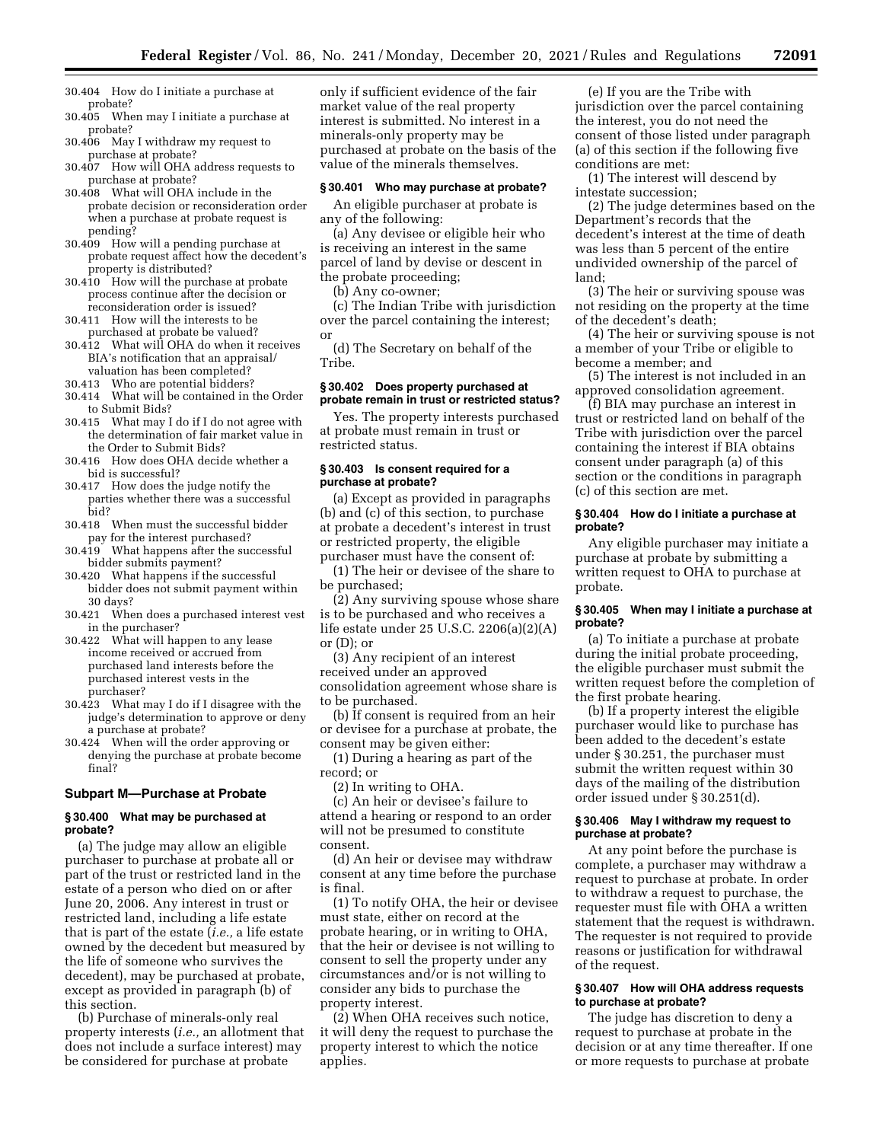30.404 How do I initiate a purchase at probate?

- 30.405 When may I initiate a purchase at probate?
- 30.406 May I withdraw my request to purchase at probate?
- 30.407 How will OHA address requests to purchase at probate?
- 30.408 What will OHA include in the probate decision or reconsideration order when a purchase at probate request is pending?
- 30.409 How will a pending purchase at probate request affect how the decedent's property is distributed?
- 30.410 How will the purchase at probate process continue after the decision or reconsideration order is issued?
- 30.411 How will the interests to be purchased at probate be valued?
- 30.412 What will OHA do when it receives BIA's notification that an appraisal/ valuation has been completed?
- 30.413 Who are potential bidders?
- 30.414 What will be contained in the Order to Submit Bids?
- 30.415 What may I do if I do not agree with the determination of fair market value in the Order to Submit Bids?
- 30.416 How does OHA decide whether a bid is successful?
- 30.417 How does the judge notify the parties whether there was a successful bid?
- 30.418 When must the successful bidder pay for the interest purchased?
- 30.419 What happens after the successful bidder submits payment?
- 30.420 What happens if the successful bidder does not submit payment within 30 days?
- 30.421 When does a purchased interest vest in the purchaser?
- 30.422 What will happen to any lease income received or accrued from purchased land interests before the purchased interest vests in the purchaser?
- 30.423 What may I do if I disagree with the judge's determination to approve or deny a purchase at probate?
- 30.424 When will the order approving or denying the purchase at probate become final?

### **Subpart M—Purchase at Probate**

#### **§ 30.400 What may be purchased at probate?**

(a) The judge may allow an eligible purchaser to purchase at probate all or part of the trust or restricted land in the estate of a person who died on or after June 20, 2006. Any interest in trust or restricted land, including a life estate that is part of the estate (*i.e.,* a life estate owned by the decedent but measured by the life of someone who survives the decedent), may be purchased at probate, except as provided in paragraph (b) of this section.

(b) Purchase of minerals-only real property interests (*i.e.,* an allotment that does not include a surface interest) may be considered for purchase at probate

only if sufficient evidence of the fair market value of the real property interest is submitted. No interest in a minerals-only property may be purchased at probate on the basis of the value of the minerals themselves.

## **§ 30.401 Who may purchase at probate?**

An eligible purchaser at probate is any of the following:

(a) Any devisee or eligible heir who is receiving an interest in the same parcel of land by devise or descent in the probate proceeding;

(b) Any co-owner;

(c) The Indian Tribe with jurisdiction over the parcel containing the interest; or

(d) The Secretary on behalf of the Tribe.

### **§ 30.402 Does property purchased at probate remain in trust or restricted status?**

Yes. The property interests purchased at probate must remain in trust or restricted status.

## **§ 30.403 Is consent required for a purchase at probate?**

(a) Except as provided in paragraphs (b) and (c) of this section, to purchase at probate a decedent's interest in trust or restricted property, the eligible purchaser must have the consent of:

(1) The heir or devisee of the share to be purchased;

(2) Any surviving spouse whose share is to be purchased and who receives a life estate under 25 U.S.C. 2206(a)(2)(A) or  $(D)$ ; or

(3) Any recipient of an interest received under an approved consolidation agreement whose share is to be purchased.

(b) If consent is required from an heir or devisee for a purchase at probate, the consent may be given either:

(1) During a hearing as part of the record; or

(2) In writing to OHA.

(c) An heir or devisee's failure to attend a hearing or respond to an order will not be presumed to constitute consent.

(d) An heir or devisee may withdraw consent at any time before the purchase is final.

(1) To notify OHA, the heir or devisee must state, either on record at the probate hearing, or in writing to OHA, that the heir or devisee is not willing to consent to sell the property under any circumstances and/or is not willing to consider any bids to purchase the property interest.

(2) When OHA receives such notice, it will deny the request to purchase the property interest to which the notice applies.

(e) If you are the Tribe with jurisdiction over the parcel containing the interest, you do not need the consent of those listed under paragraph (a) of this section if the following five conditions are met:

(1) The interest will descend by intestate succession;

(2) The judge determines based on the Department's records that the decedent's interest at the time of death was less than 5 percent of the entire undivided ownership of the parcel of land;

(3) The heir or surviving spouse was not residing on the property at the time of the decedent's death;

(4) The heir or surviving spouse is not a member of your Tribe or eligible to become a member; and

(5) The interest is not included in an approved consolidation agreement.

(f) BIA may purchase an interest in trust or restricted land on behalf of the Tribe with jurisdiction over the parcel containing the interest if BIA obtains consent under paragraph (a) of this section or the conditions in paragraph (c) of this section are met.

## **§ 30.404 How do I initiate a purchase at probate?**

Any eligible purchaser may initiate a purchase at probate by submitting a written request to OHA to purchase at probate.

### **§ 30.405 When may I initiate a purchase at probate?**

(a) To initiate a purchase at probate during the initial probate proceeding, the eligible purchaser must submit the written request before the completion of the first probate hearing.

(b) If a property interest the eligible purchaser would like to purchase has been added to the decedent's estate under § 30.251, the purchaser must submit the written request within 30 days of the mailing of the distribution order issued under § 30.251(d).

### **§ 30.406 May I withdraw my request to purchase at probate?**

At any point before the purchase is complete, a purchaser may withdraw a request to purchase at probate. In order to withdraw a request to purchase, the requester must file with OHA a written statement that the request is withdrawn. The requester is not required to provide reasons or justification for withdrawal of the request.

## **§ 30.407 How will OHA address requests to purchase at probate?**

The judge has discretion to deny a request to purchase at probate in the decision or at any time thereafter. If one or more requests to purchase at probate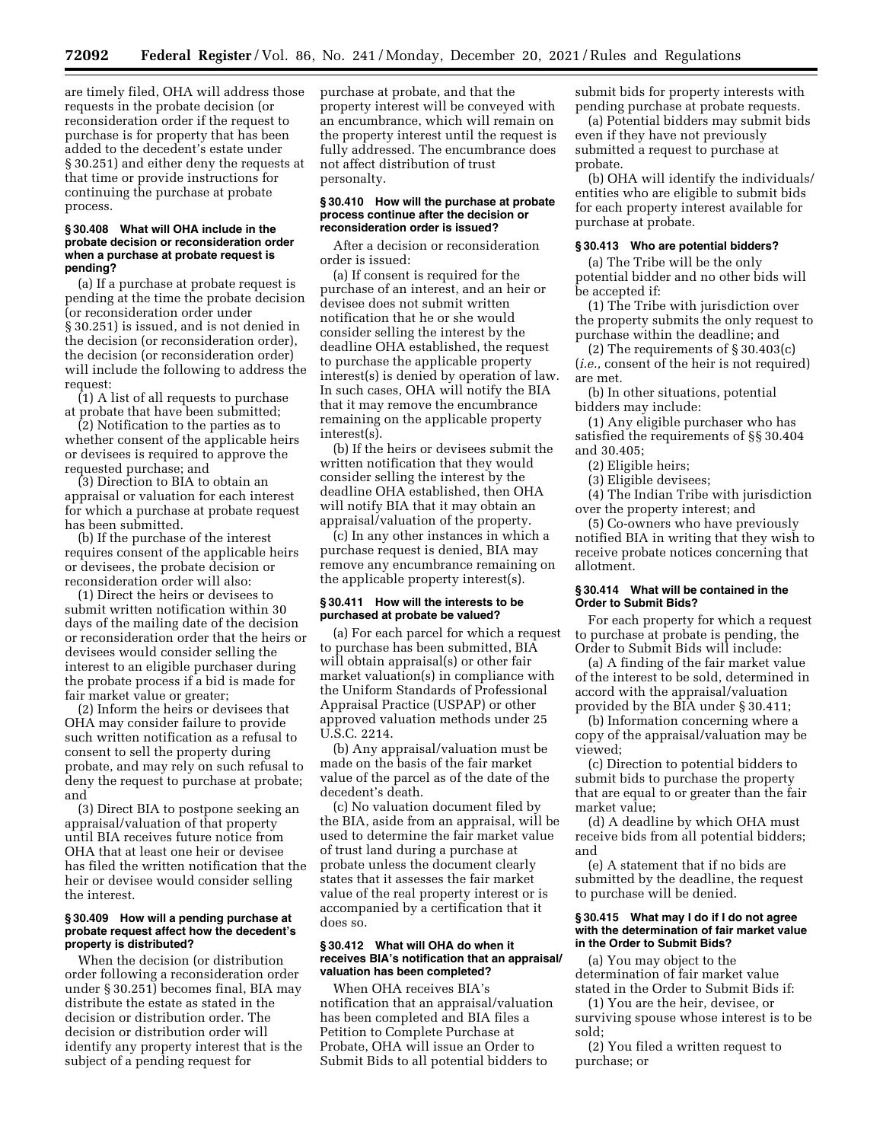are timely filed, OHA will address those requests in the probate decision (or reconsideration order if the request to purchase is for property that has been added to the decedent's estate under § 30.251) and either deny the requests at that time or provide instructions for continuing the purchase at probate process.

### **§ 30.408 What will OHA include in the probate decision or reconsideration order when a purchase at probate request is pending?**

(a) If a purchase at probate request is pending at the time the probate decision (or reconsideration order under § 30.251) is issued, and is not denied in the decision (or reconsideration order), the decision (or reconsideration order) will include the following to address the request:

(1) A list of all requests to purchase at probate that have been submitted;

(2) Notification to the parties as to whether consent of the applicable heirs or devisees is required to approve the requested purchase; and

(3) Direction to BIA to obtain an appraisal or valuation for each interest for which a purchase at probate request has been submitted.

(b) If the purchase of the interest requires consent of the applicable heirs or devisees, the probate decision or reconsideration order will also:

(1) Direct the heirs or devisees to submit written notification within 30 days of the mailing date of the decision or reconsideration order that the heirs or devisees would consider selling the interest to an eligible purchaser during the probate process if a bid is made for fair market value or greater;

(2) Inform the heirs or devisees that OHA may consider failure to provide such written notification as a refusal to consent to sell the property during probate, and may rely on such refusal to deny the request to purchase at probate; and

(3) Direct BIA to postpone seeking an appraisal/valuation of that property until BIA receives future notice from OHA that at least one heir or devisee has filed the written notification that the heir or devisee would consider selling the interest.

### **§ 30.409 How will a pending purchase at probate request affect how the decedent's property is distributed?**

When the decision (or distribution order following a reconsideration order under § 30.251) becomes final, BIA may distribute the estate as stated in the decision or distribution order. The decision or distribution order will identify any property interest that is the subject of a pending request for

purchase at probate, and that the property interest will be conveyed with an encumbrance, which will remain on the property interest until the request is fully addressed. The encumbrance does not affect distribution of trust personalty.

#### **§ 30.410 How will the purchase at probate process continue after the decision or reconsideration order is issued?**

After a decision or reconsideration order is issued:

(a) If consent is required for the purchase of an interest, and an heir or devisee does not submit written notification that he or she would consider selling the interest by the deadline OHA established, the request to purchase the applicable property interest(s) is denied by operation of law. In such cases, OHA will notify the BIA that it may remove the encumbrance remaining on the applicable property interest(s).

(b) If the heirs or devisees submit the written notification that they would consider selling the interest by the deadline OHA established, then OHA will notify BIA that it may obtain an appraisal/valuation of the property.

(c) In any other instances in which a purchase request is denied, BIA may remove any encumbrance remaining on the applicable property interest(s).

## **§ 30.411 How will the interests to be purchased at probate be valued?**

(a) For each parcel for which a request to purchase has been submitted, BIA will obtain appraisal(s) or other fair market valuation(s) in compliance with the Uniform Standards of Professional Appraisal Practice (USPAP) or other approved valuation methods under 25 U.S.C. 2214.

(b) Any appraisal/valuation must be made on the basis of the fair market value of the parcel as of the date of the decedent's death.

(c) No valuation document filed by the BIA, aside from an appraisal, will be used to determine the fair market value of trust land during a purchase at probate unless the document clearly states that it assesses the fair market value of the real property interest or is accompanied by a certification that it does so.

#### **§ 30.412 What will OHA do when it receives BIA's notification that an appraisal/ valuation has been completed?**

When OHA receives BIA's notification that an appraisal/valuation has been completed and BIA files a Petition to Complete Purchase at Probate, OHA will issue an Order to Submit Bids to all potential bidders to

submit bids for property interests with pending purchase at probate requests.

(a) Potential bidders may submit bids even if they have not previously submitted a request to purchase at probate.

(b) OHA will identify the individuals/ entities who are eligible to submit bids for each property interest available for purchase at probate.

#### **§ 30.413 Who are potential bidders?**

(a) The Tribe will be the only potential bidder and no other bids will be accepted if:

(1) The Tribe with jurisdiction over the property submits the only request to purchase within the deadline; and

(2) The requirements of § 30.403(c) (*i.e.,* consent of the heir is not required) are met.

(b) In other situations, potential bidders may include:

(1) Any eligible purchaser who has satisfied the requirements of §§ 30.404 and 30.405;

(2) Eligible heirs;

(3) Eligible devisees;

(4) The Indian Tribe with jurisdiction over the property interest; and

(5) Co-owners who have previously notified BIA in writing that they wish to receive probate notices concerning that allotment.

### **§ 30.414 What will be contained in the Order to Submit Bids?**

For each property for which a request to purchase at probate is pending, the Order to Submit Bids will include:

(a) A finding of the fair market value of the interest to be sold, determined in accord with the appraisal/valuation provided by the BIA under § 30.411;

(b) Information concerning where a copy of the appraisal/valuation may be viewed;

(c) Direction to potential bidders to submit bids to purchase the property that are equal to or greater than the fair market value;

(d) A deadline by which OHA must receive bids from all potential bidders; and

(e) A statement that if no bids are submitted by the deadline, the request to purchase will be denied.

### **§ 30.415 What may I do if I do not agree with the determination of fair market value in the Order to Submit Bids?**

(a) You may object to the determination of fair market value stated in the Order to Submit Bids if:

(1) You are the heir, devisee, or surviving spouse whose interest is to be sold;

(2) You filed a written request to purchase; or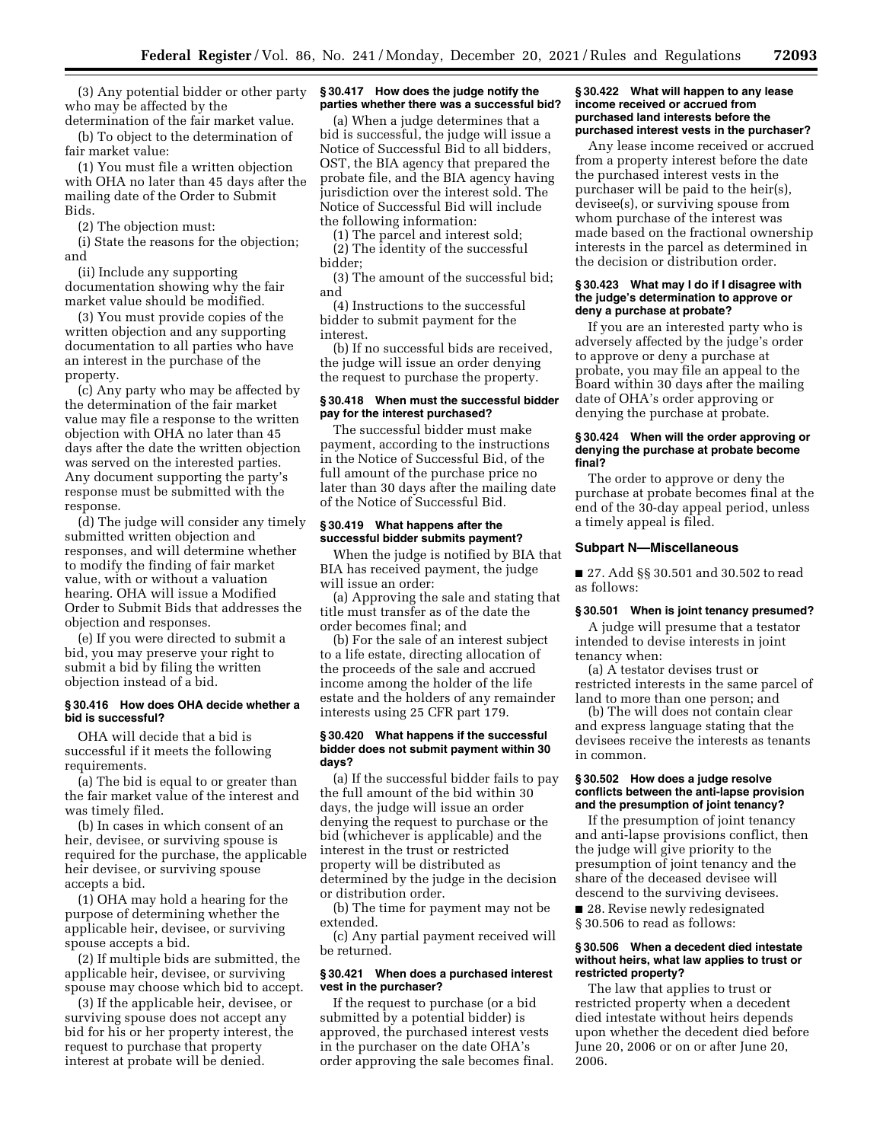(3) Any potential bidder or other party who may be affected by the determination of the fair market value.

(b) To object to the determination of fair market value:

(1) You must file a written objection with OHA no later than 45 days after the mailing date of the Order to Submit Bids.

(2) The objection must:

(i) State the reasons for the objection; and

(ii) Include any supporting documentation showing why the fair market value should be modified.

(3) You must provide copies of the written objection and any supporting documentation to all parties who have an interest in the purchase of the property.

(c) Any party who may be affected by the determination of the fair market value may file a response to the written objection with OHA no later than 45 days after the date the written objection was served on the interested parties. Any document supporting the party's response must be submitted with the response.

(d) The judge will consider any timely submitted written objection and responses, and will determine whether to modify the finding of fair market value, with or without a valuation hearing. OHA will issue a Modified Order to Submit Bids that addresses the objection and responses.

(e) If you were directed to submit a bid, you may preserve your right to submit a bid by filing the written objection instead of a bid.

## **§ 30.416 How does OHA decide whether a bid is successful?**

OHA will decide that a bid is successful if it meets the following requirements.

(a) The bid is equal to or greater than the fair market value of the interest and was timely filed.

(b) In cases in which consent of an heir, devisee, or surviving spouse is required for the purchase, the applicable heir devisee, or surviving spouse accepts a bid.

(1) OHA may hold a hearing for the purpose of determining whether the applicable heir, devisee, or surviving spouse accepts a bid.

(2) If multiple bids are submitted, the applicable heir, devisee, or surviving spouse may choose which bid to accept.

(3) If the applicable heir, devisee, or surviving spouse does not accept any bid for his or her property interest, the request to purchase that property interest at probate will be denied.

#### **§ 30.417 How does the judge notify the parties whether there was a successful bid?**

(a) When a judge determines that a bid is successful, the judge will issue a Notice of Successful Bid to all bidders, OST, the BIA agency that prepared the probate file, and the BIA agency having jurisdiction over the interest sold. The Notice of Successful Bid will include the following information:

(1) The parcel and interest sold; (2) The identity of the successful bidder;

(3) The amount of the successful bid; and

(4) Instructions to the successful bidder to submit payment for the interest.

(b) If no successful bids are received, the judge will issue an order denying the request to purchase the property.

### **§ 30.418 When must the successful bidder pay for the interest purchased?**

The successful bidder must make payment, according to the instructions in the Notice of Successful Bid, of the full amount of the purchase price no later than 30 days after the mailing date of the Notice of Successful Bid.

## **§ 30.419 What happens after the successful bidder submits payment?**

When the judge is notified by BIA that BIA has received payment, the judge will issue an order:

(a) Approving the sale and stating that title must transfer as of the date the order becomes final; and

(b) For the sale of an interest subject to a life estate, directing allocation of the proceeds of the sale and accrued income among the holder of the life estate and the holders of any remainder interests using 25 CFR part 179.

### **§ 30.420 What happens if the successful bidder does not submit payment within 30 days?**

(a) If the successful bidder fails to pay the full amount of the bid within 30 days, the judge will issue an order denying the request to purchase or the bid (whichever is applicable) and the interest in the trust or restricted property will be distributed as determined by the judge in the decision or distribution order.

(b) The time for payment may not be extended.

(c) Any partial payment received will be returned.

### **§ 30.421 When does a purchased interest vest in the purchaser?**

If the request to purchase (or a bid submitted by a potential bidder) is approved, the purchased interest vests in the purchaser on the date OHA's order approving the sale becomes final.

#### **§ 30.422 What will happen to any lease income received or accrued from purchased land interests before the purchased interest vests in the purchaser?**

Any lease income received or accrued from a property interest before the date the purchased interest vests in the purchaser will be paid to the heir(s), devisee(s), or surviving spouse from whom purchase of the interest was made based on the fractional ownership interests in the parcel as determined in the decision or distribution order.

#### **§ 30.423 What may I do if I disagree with the judge's determination to approve or deny a purchase at probate?**

If you are an interested party who is adversely affected by the judge's order to approve or deny a purchase at probate, you may file an appeal to the Board within 30 days after the mailing date of OHA's order approving or denying the purchase at probate.

### **§ 30.424 When will the order approving or denying the purchase at probate become final?**

The order to approve or deny the purchase at probate becomes final at the end of the 30-day appeal period, unless a timely appeal is filed.

### **Subpart N—Miscellaneous**

■ 27. Add §§ 30.501 and 30.502 to read as follows:

#### **§ 30.501 When is joint tenancy presumed?**

A judge will presume that a testator intended to devise interests in joint tenancy when:

(a) A testator devises trust or restricted interests in the same parcel of land to more than one person; and

(b) The will does not contain clear and express language stating that the devisees receive the interests as tenants in common.

#### **§ 30.502 How does a judge resolve conflicts between the anti-lapse provision and the presumption of joint tenancy?**

If the presumption of joint tenancy and anti-lapse provisions conflict, then the judge will give priority to the presumption of joint tenancy and the share of the deceased devisee will descend to the surviving devisees.

■ 28. Revise newly redesignated § 30.506 to read as follows:

## **§ 30.506 When a decedent died intestate without heirs, what law applies to trust or restricted property?**

The law that applies to trust or restricted property when a decedent died intestate without heirs depends upon whether the decedent died before June 20, 2006 or on or after June 20, 2006.